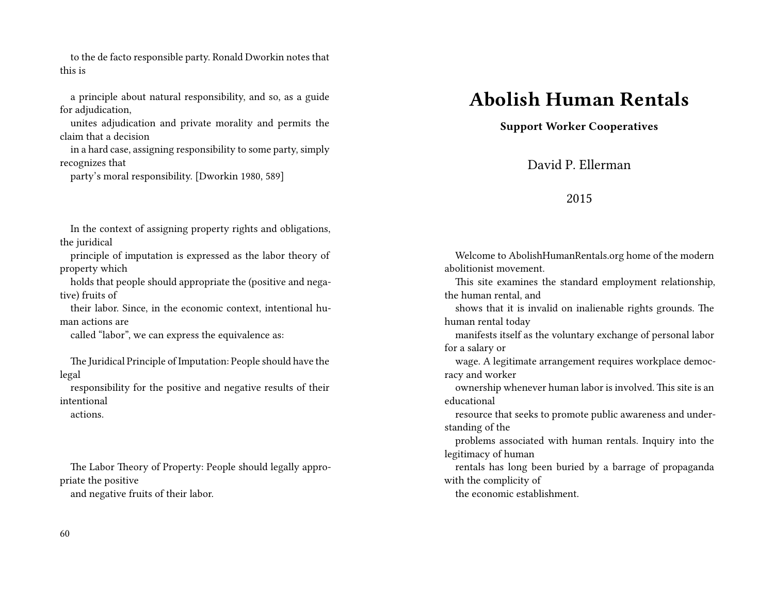to the de facto responsible party. Ronald Dworkin notes that this is

a principle about natural responsibility, and so, as a guide for adjudication,

unites adjudication and private morality and permits the claim that a decision

in a hard case, assigning responsibility to some party, simply recognizes that

party's moral responsibility. [Dworkin 1980, 589]

In the context of assigning property rights and obligations, the juridical

principle of imputation is expressed as the labor theory of property which

holds that people should appropriate the (positive and negative) fruits of

their labor. Since, in the economic context, intentional human actions are

called "labor", we can express the equivalence as:

The Juridical Principle of Imputation: People should have the legal

responsibility for the positive and negative results of their intentional

actions.

The Labor Theory of Property: People should legally appropriate the positive

and negative fruits of their labor.

# **Abolish Human Rentals**

# **Support Worker Cooperatives**

David P. Ellerman

# 2015

Welcome to AbolishHumanRentals.org home of the modern abolitionist movement.

This site examines the standard employment relationship, the human rental, and

shows that it is invalid on inalienable rights grounds. The human rental today

manifests itself as the voluntary exchange of personal labor for a salary or

wage. A legitimate arrangement requires workplace democracy and worker

ownership whenever human labor is involved. This site is an educational

resource that seeks to promote public awareness and understanding of the

problems associated with human rentals. Inquiry into the legitimacy of human

rentals has long been buried by a barrage of propaganda with the complicity of

the economic establishment.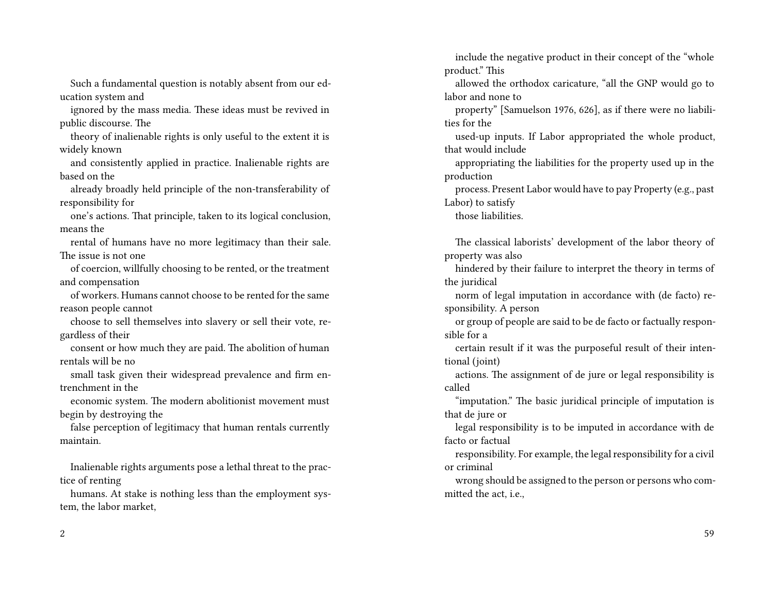Such a fundamental question is notably absent from our education system and

ignored by the mass media. These ideas must be revived in public discourse. The

theory of inalienable rights is only useful to the extent it is widely known

and consistently applied in practice. Inalienable rights are based on the

already broadly held principle of the non-transferability of responsibility for

one's actions. That principle, taken to its logical conclusion, means the

rental of humans have no more legitimacy than their sale. The issue is not one

of coercion, willfully choosing to be rented, or the treatment and compensation

of workers. Humans cannot choose to be rented for the same reason people cannot

choose to sell themselves into slavery or sell their vote, regardless of their

consent or how much they are paid. The abolition of human rentals will be no

small task given their widespread prevalence and firm entrenchment in the

economic system. The modern abolitionist movement must begin by destroying the

false perception of legitimacy that human rentals currently maintain.

Inalienable rights arguments pose a lethal threat to the practice of renting

humans. At stake is nothing less than the employment system, the labor market,

include the negative product in their concept of the "whole product." This

allowed the orthodox caricature, "all the GNP would go to labor and none to

property" [Samuelson 1976, 626], as if there were no liabilities for the

used-up inputs. If Labor appropriated the whole product, that would include

appropriating the liabilities for the property used up in the production

process. Present Labor would have to pay Property (e.g., past Labor) to satisfy

those liabilities.

The classical laborists' development of the labor theory of property was also

hindered by their failure to interpret the theory in terms of the juridical

norm of legal imputation in accordance with (de facto) responsibility. A person

or group of people are said to be de facto or factually responsible for a

certain result if it was the purposeful result of their intentional (joint)

actions. The assignment of de jure or legal responsibility is called

"imputation." The basic juridical principle of imputation is that de jure or

legal responsibility is to be imputed in accordance with de facto or factual

responsibility. For example, the legal responsibility for a civil or criminal

wrong should be assigned to the person or persons who committed the act, i.e.,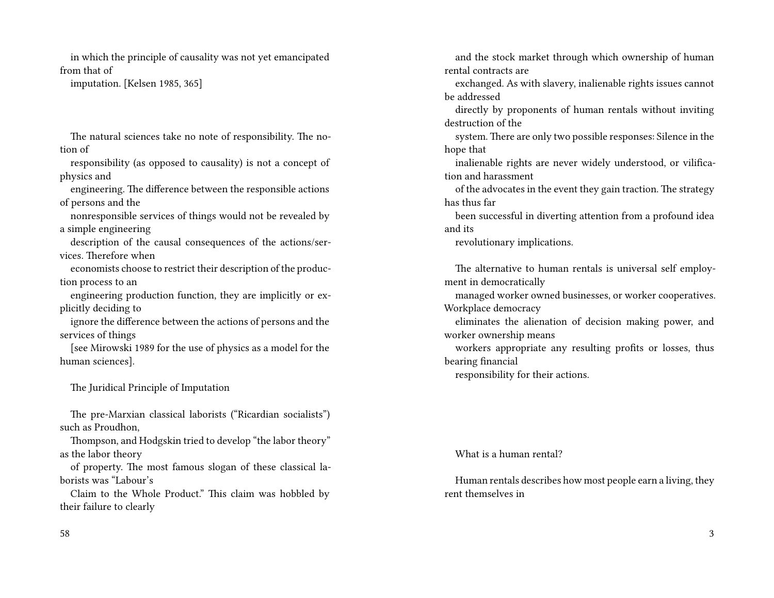in which the principle of causality was not yet emancipated from that of

imputation. [Kelsen 1985, 365]

The natural sciences take no note of responsibility. The notion of

responsibility (as opposed to causality) is not a concept of physics and

engineering. The difference between the responsible actions of persons and the

nonresponsible services of things would not be revealed by a simple engineering

description of the causal consequences of the actions/services. Therefore when

economists choose to restrict their description of the production process to an

engineering production function, they are implicitly or explicitly deciding to

ignore the difference between the actions of persons and the services of things

[see Mirowski 1989 for the use of physics as a model for the human sciences].

The Juridical Principle of Imputation

The pre-Marxian classical laborists ("Ricardian socialists") such as Proudhon,

Thompson, and Hodgskin tried to develop "the labor theory" as the labor theory

of property. The most famous slogan of these classical laborists was "Labour's

Claim to the Whole Product." This claim was hobbled by their failure to clearly

and the stock market through which ownership of human rental contracts are

exchanged. As with slavery, inalienable rights issues cannot be addressed

directly by proponents of human rentals without inviting destruction of the

system. There are only two possible responses: Silence in the hope that

inalienable rights are never widely understood, or vilification and harassment

of the advocates in the event they gain traction. The strategy has thus far

been successful in diverting attention from a profound idea and its

revolutionary implications.

The alternative to human rentals is universal self employment in democratically

managed worker owned businesses, or worker cooperatives. Workplace democracy

eliminates the alienation of decision making power, and worker ownership means

workers appropriate any resulting profits or losses, thus bearing financial

responsibility for their actions.

What is a human rental?

Human rentals describes how most people earn a living, they rent themselves in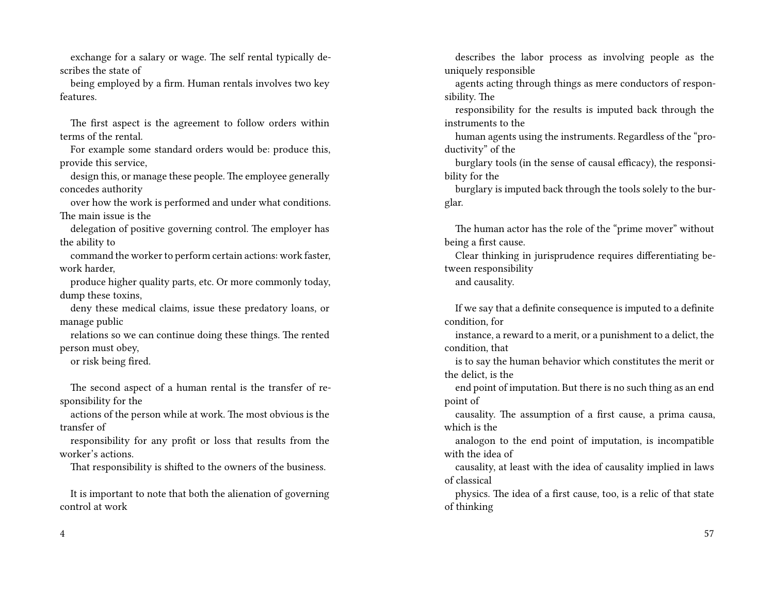exchange for a salary or wage. The self rental typically describes the state of

being employed by a firm. Human rentals involves two key features.

The first aspect is the agreement to follow orders within terms of the rental.

For example some standard orders would be: produce this, provide this service,

design this, or manage these people. The employee generally concedes authority

over how the work is performed and under what conditions. The main issue is the

delegation of positive governing control. The employer has the ability to

command the worker to perform certain actions: work faster, work harder,

produce higher quality parts, etc. Or more commonly today, dump these toxins,

deny these medical claims, issue these predatory loans, or manage public

relations so we can continue doing these things. The rented person must obey,

or risk being fired.

The second aspect of a human rental is the transfer of responsibility for the

actions of the person while at work. The most obvious is the transfer of

responsibility for any profit or loss that results from the worker's actions.

That responsibility is shifted to the owners of the business.

It is important to note that both the alienation of governing control at work

4

describes the labor process as involving people as the uniquely responsible

agents acting through things as mere conductors of responsibility. The

responsibility for the results is imputed back through the instruments to the

human agents using the instruments. Regardless of the "productivity" of the

burglary tools (in the sense of causal efficacy), the responsibility for the

burglary is imputed back through the tools solely to the burglar.

The human actor has the role of the "prime mover" without being a first cause.

Clear thinking in jurisprudence requires differentiating between responsibility

and causality.

If we say that a definite consequence is imputed to a definite condition, for

instance, a reward to a merit, or a punishment to a delict, the condition, that

is to say the human behavior which constitutes the merit or the delict, is the

end point of imputation. But there is no such thing as an end point of

causality. The assumption of a first cause, a prima causa, which is the

analogon to the end point of imputation, is incompatible with the idea of

causality, at least with the idea of causality implied in laws of classical

physics. The idea of a first cause, too, is a relic of that state of thinking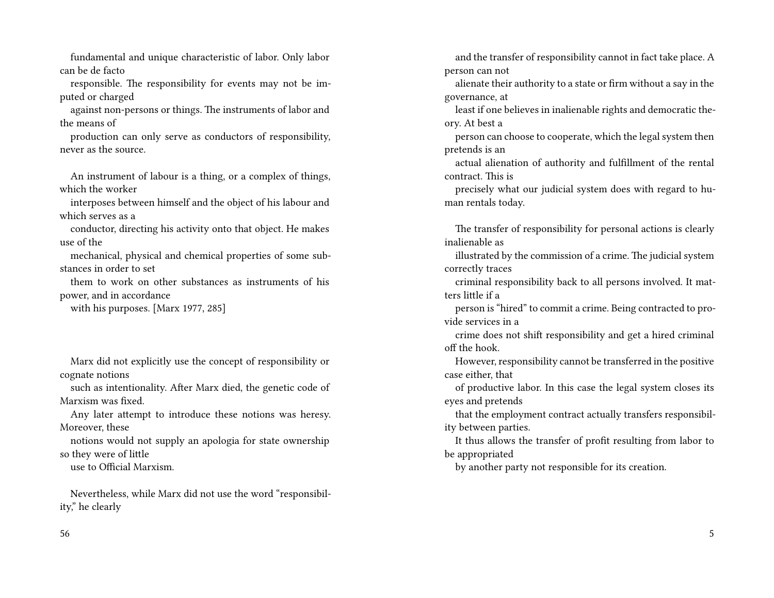fundamental and unique characteristic of labor. Only labor can be de facto

responsible. The responsibility for events may not be imputed or charged

against non-persons or things. The instruments of labor and the means of

production can only serve as conductors of responsibility, never as the source.

An instrument of labour is a thing, or a complex of things, which the worker

interposes between himself and the object of his labour and which serves as a

conductor, directing his activity onto that object. He makes use of the

mechanical, physical and chemical properties of some substances in order to set

them to work on other substances as instruments of his power, and in accordance

with his purposes. [Marx 1977, 285]

Marx did not explicitly use the concept of responsibility or cognate notions

such as intentionality. After Marx died, the genetic code of Marxism was fixed.

Any later attempt to introduce these notions was heresy. Moreover, these

notions would not supply an apologia for state ownership so they were of little

use to Official Marxism.

Nevertheless, while Marx did not use the word "responsibility," he clearly

and the transfer of responsibility cannot in fact take place. A person can not

alienate their authority to a state or firm without a say in the governance, at

least if one believes in inalienable rights and democratic theory. At best a

person can choose to cooperate, which the legal system then pretends is an

actual alienation of authority and fulfillment of the rental contract. This is

precisely what our judicial system does with regard to human rentals today.

The transfer of responsibility for personal actions is clearly inalienable as

illustrated by the commission of a crime. The judicial system correctly traces

criminal responsibility back to all persons involved. It matters little if a

person is "hired" to commit a crime. Being contracted to provide services in a

crime does not shift responsibility and get a hired criminal off the hook.

However, responsibility cannot be transferred in the positive case either, that

of productive labor. In this case the legal system closes its eyes and pretends

that the employment contract actually transfers responsibility between parties.

It thus allows the transfer of profit resulting from labor to be appropriated

by another party not responsible for its creation.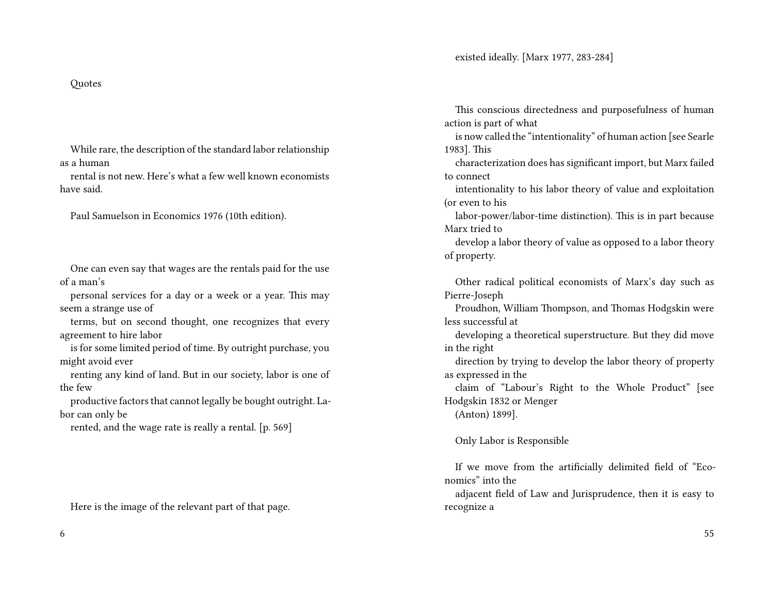### Quotes

While rare, the description of the standard labor relationship as a human

rental is not new. Here's what a few well known economists have said.

Paul Samuelson in Economics 1976 (10th edition).

One can even say that wages are the rentals paid for the use of a man's

personal services for a day or a week or a year. This may seem a strange use of

terms, but on second thought, one recognizes that every agreement to hire labor

is for some limited period of time. By outright purchase, you might avoid ever

renting any kind of land. But in our society, labor is one of the few

productive factors that cannot legally be bought outright. Labor can only be

rented, and the wage rate is really a rental. [p. 569]

Here is the image of the relevant part of that page.

This conscious directedness and purposefulness of human action is part of what

is now called the "intentionality" of human action [see Searle 1983]. This

characterization does has significant import, but Marx failed to connect

intentionality to his labor theory of value and exploitation (or even to his

labor-power/labor-time distinction). This is in part because Marx tried to

develop a labor theory of value as opposed to a labor theory of property.

Other radical political economists of Marx's day such as Pierre-Joseph

Proudhon, William Thompson, and Thomas Hodgskin were less successful at

developing a theoretical superstructure. But they did move in the right

direction by trying to develop the labor theory of property as expressed in the

claim of "Labour's Right to the Whole Product" [see Hodgskin 1832 or Menger

(Anton) 1899].

Only Labor is Responsible

If we move from the artificially delimited field of "Economics" into the

adjacent field of Law and Jurisprudence, then it is easy to recognize a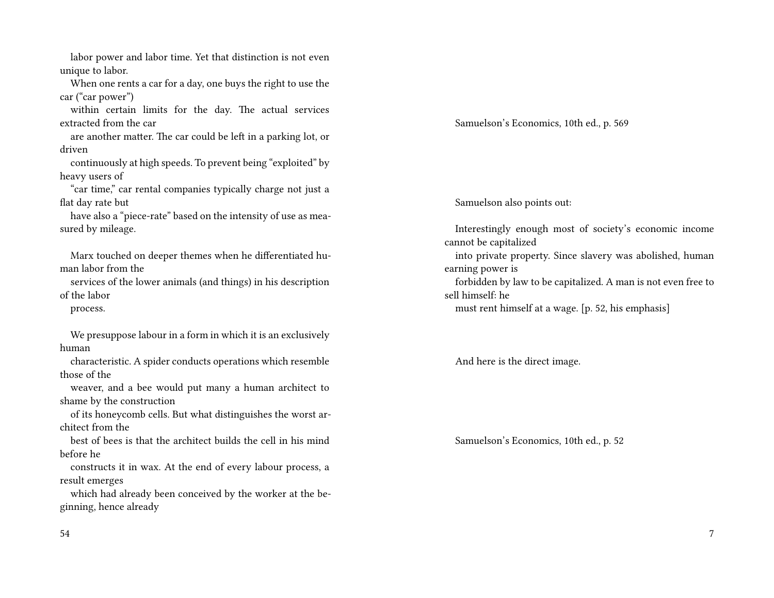labor power and labor time. Yet that distinction is not even unique to labor.

When one rents a car for a day, one buys the right to use the car ("car power")

within certain limits for the day. The actual services extracted from the car

are another matter. The car could be left in a parking lot, or driven

continuously at high speeds. To prevent being "exploited" by heavy users of

"car time," car rental companies typically charge not just a flat day rate but

have also a "piece-rate" based on the intensity of use as measured by mileage.

Marx touched on deeper themes when he differentiated human labor from the

services of the lower animals (and things) in his description of the labor

process.

We presuppose labour in a form in which it is an exclusively human

characteristic. A spider conducts operations which resemble those of the

weaver, and a bee would put many a human architect to shame by the construction

of its honeycomb cells. But what distinguishes the worst architect from the

best of bees is that the architect builds the cell in his mind before he

constructs it in wax. At the end of every labour process, a result emerges

which had already been conceived by the worker at the beginning, hence already

Samuelson's Economics, 10th ed., p. 569

Samuelson also points out:

Interestingly enough most of society's economic income cannot be capitalized

into private property. Since slavery was abolished, human earning power is

forbidden by law to be capitalized. A man is not even free to sell himself: he

must rent himself at a wage. [p. 52, his emphasis]

And here is the direct image.

Samuelson's Economics, 10th ed., p. 52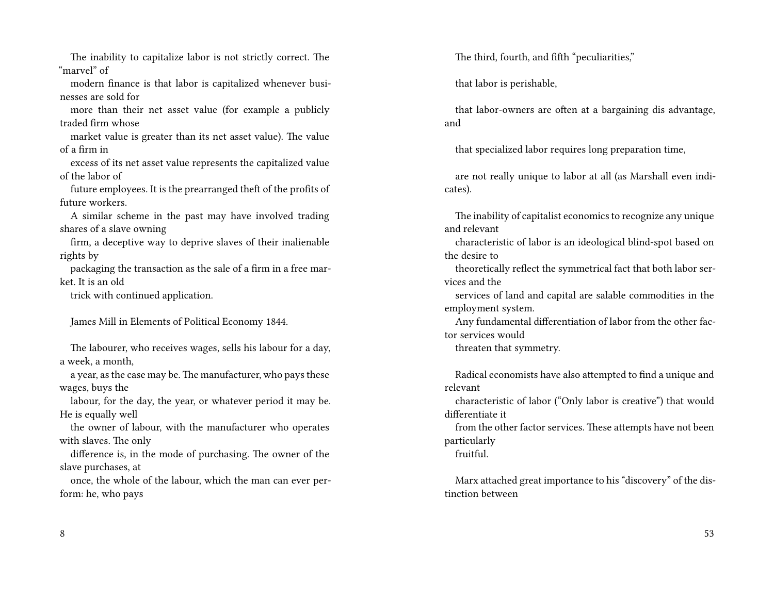The inability to capitalize labor is not strictly correct. The "marvel" of

modern finance is that labor is capitalized whenever businesses are sold for

more than their net asset value (for example a publicly traded firm whose

market value is greater than its net asset value). The value of a firm in

excess of its net asset value represents the capitalized value of the labor of

future employees. It is the prearranged theft of the profits of future workers.

A similar scheme in the past may have involved trading shares of a slave owning

firm, a deceptive way to deprive slaves of their inalienable rights by

packaging the transaction as the sale of a firm in a free market. It is an old

trick with continued application.

James Mill in Elements of Political Economy 1844.

The labourer, who receives wages, sells his labour for a day, a week, a month,

a year, as the case may be. The manufacturer, who pays these wages, buys the

labour, for the day, the year, or whatever period it may be. He is equally well

the owner of labour, with the manufacturer who operates with slaves. The only

difference is, in the mode of purchasing. The owner of the slave purchases, at

once, the whole of the labour, which the man can ever perform: he, who pays

The third, fourth, and fifth "peculiarities,"

that labor is perishable,

that labor-owners are often at a bargaining dis advantage, and

that specialized labor requires long preparation time,

are not really unique to labor at all (as Marshall even indicates).

The inability of capitalist economics to recognize any unique and relevant

characteristic of labor is an ideological blind-spot based on the desire to

theoretically reflect the symmetrical fact that both labor services and the

services of land and capital are salable commodities in the employment system.

Any fundamental differentiation of labor from the other factor services would

threaten that symmetry.

Radical economists have also attempted to find a unique and relevant

characteristic of labor ("Only labor is creative") that would differentiate it

from the other factor services. These attempts have not been particularly

fruitful.

Marx attached great importance to his "discovery" of the distinction between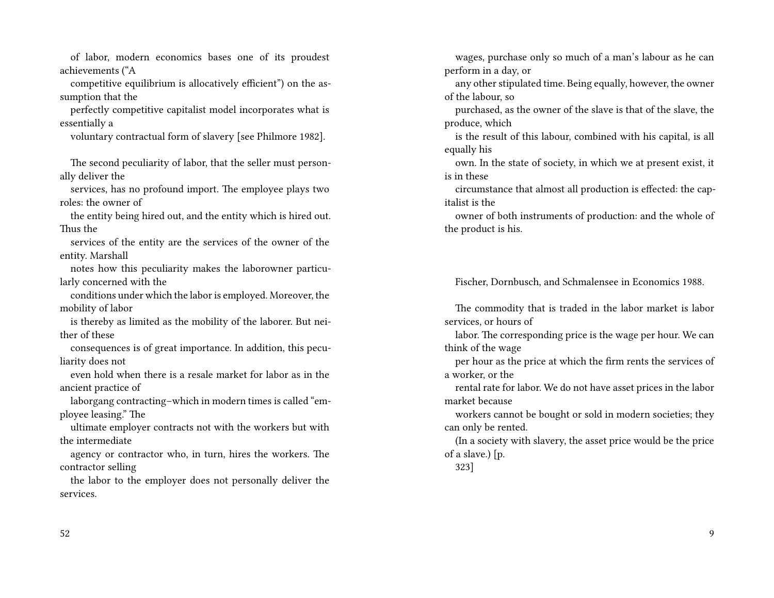of labor, modern economics bases one of its proudest achievements ("A

competitive equilibrium is allocatively efficient") on the assumption that the

perfectly competitive capitalist model incorporates what is essentially a

voluntary contractual form of slavery [see Philmore 1982].

The second peculiarity of labor, that the seller must personally deliver the

services, has no profound import. The employee plays two roles: the owner of

the entity being hired out, and the entity which is hired out. Thus the

services of the entity are the services of the owner of the entity. Marshall

notes how this peculiarity makes the laborowner particularly concerned with the

conditions under which the labor is employed. Moreover, the mobility of labor

is thereby as limited as the mobility of the laborer. But neither of these

consequences is of great importance. In addition, this peculiarity does not

even hold when there is a resale market for labor as in the ancient practice of

laborgang contracting–which in modern times is called "employee leasing." The

ultimate employer contracts not with the workers but with the intermediate

agency or contractor who, in turn, hires the workers. The contractor selling

the labor to the employer does not personally deliver the services.

wages, purchase only so much of a man's labour as he can perform in a day, or

any other stipulated time. Being equally, however, the owner of the labour, so

purchased, as the owner of the slave is that of the slave, the produce, which

is the result of this labour, combined with his capital, is all equally his

own. In the state of society, in which we at present exist, it is in these

circumstance that almost all production is effected: the capitalist is the

owner of both instruments of production: and the whole of the product is his.

Fischer, Dornbusch, and Schmalensee in Economics 1988.

The commodity that is traded in the labor market is labor services, or hours of

labor. The corresponding price is the wage per hour. We can think of the wage

per hour as the price at which the firm rents the services of a worker, or the

rental rate for labor. We do not have asset prices in the labor market because

workers cannot be bought or sold in modern societies; they can only be rented.

(In a society with slavery, the asset price would be the price of a slave.) [p.

323]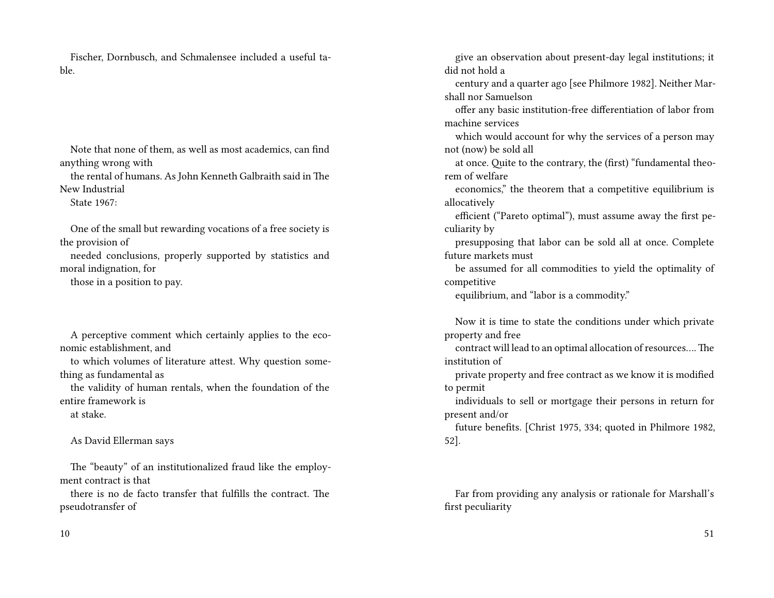Fischer, Dornbusch, and Schmalensee included a useful table.

Note that none of them, as well as most academics, can find anything wrong with

the rental of humans. As John Kenneth Galbraith said in The New Industrial

State 1967:

One of the small but rewarding vocations of a free society is the provision of

needed conclusions, properly supported by statistics and moral indignation, for

those in a position to pay.

A perceptive comment which certainly applies to the economic establishment, and

to which volumes of literature attest. Why question something as fundamental as

the validity of human rentals, when the foundation of the entire framework is

at stake.

As David Ellerman says

The "beauty" of an institutionalized fraud like the employment contract is that

there is no de facto transfer that fulfills the contract. The pseudotransfer of

give an observation about present-day legal institutions; it did not hold a

century and a quarter ago [see Philmore 1982]. Neither Marshall nor Samuelson

offer any basic institution-free differentiation of labor from machine services

which would account for why the services of a person may not (now) be sold all

at once. Quite to the contrary, the (first) "fundamental theorem of welfare

economics," the theorem that a competitive equilibrium is allocatively

efficient ("Pareto optimal"), must assume away the first peculiarity by

presupposing that labor can be sold all at once. Complete future markets must

be assumed for all commodities to yield the optimality of competitive

equilibrium, and "labor is a commodity."

Now it is time to state the conditions under which private property and free

contract will lead to an optimal allocation of resources…. The institution of

private property and free contract as we know it is modified to permit

individuals to sell or mortgage their persons in return for present and/or

future benefits. [Christ 1975, 334; quoted in Philmore 1982, 52].

Far from providing any analysis or rationale for Marshall's first peculiarity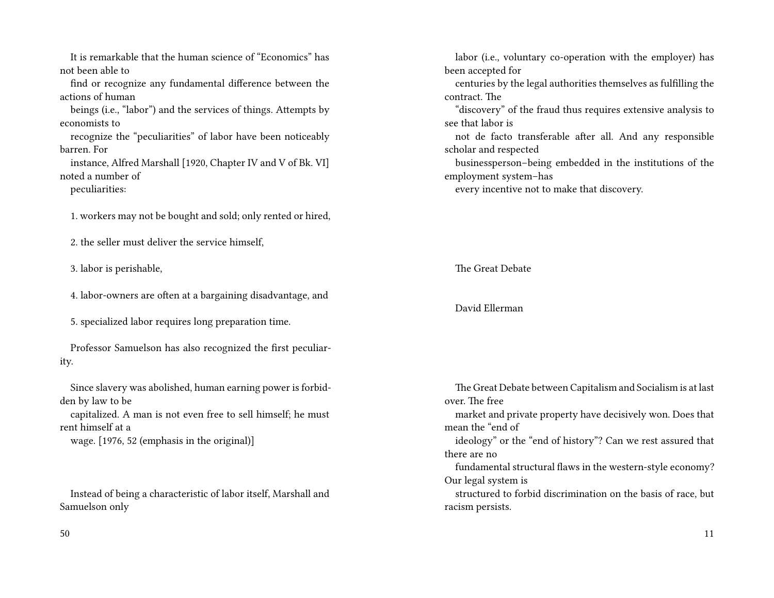It is remarkable that the human science of "Economics" has not been able to

find or recognize any fundamental difference between the actions of human

beings (i.e., "labor") and the services of things. Attempts by economists to

recognize the "peculiarities" of labor have been noticeably barren. For

instance, Alfred Marshall [1920, Chapter IV and V of Bk. VI] noted a number of

peculiarities:

1. workers may not be bought and sold; only rented or hired,

2. the seller must deliver the service himself,

3. labor is perishable,

4. labor-owners are often at a bargaining disadvantage, and

5. specialized labor requires long preparation time.

Professor Samuelson has also recognized the first peculiarity.

Since slavery was abolished, human earning power is forbidden by law to be

capitalized. A man is not even free to sell himself; he must rent himself at a

wage. [1976, 52 (emphasis in the original)]

Instead of being a characteristic of labor itself, Marshall and Samuelson only

50

labor (i.e., voluntary co-operation with the employer) has been accepted for

centuries by the legal authorities themselves as fulfilling the contract. The

"discovery" of the fraud thus requires extensive analysis to see that labor is

not de facto transferable after all. And any responsible scholar and respected

businessperson–being embedded in the institutions of the employment system–has

every incentive not to make that discovery.

The Great Debate

David Ellerman

The Great Debate between Capitalism and Socialism is at last over. The free

market and private property have decisively won. Does that mean the "end of

ideology" or the "end of history"? Can we rest assured that there are no

fundamental structural flaws in the western-style economy? Our legal system is

structured to forbid discrimination on the basis of race, but racism persists.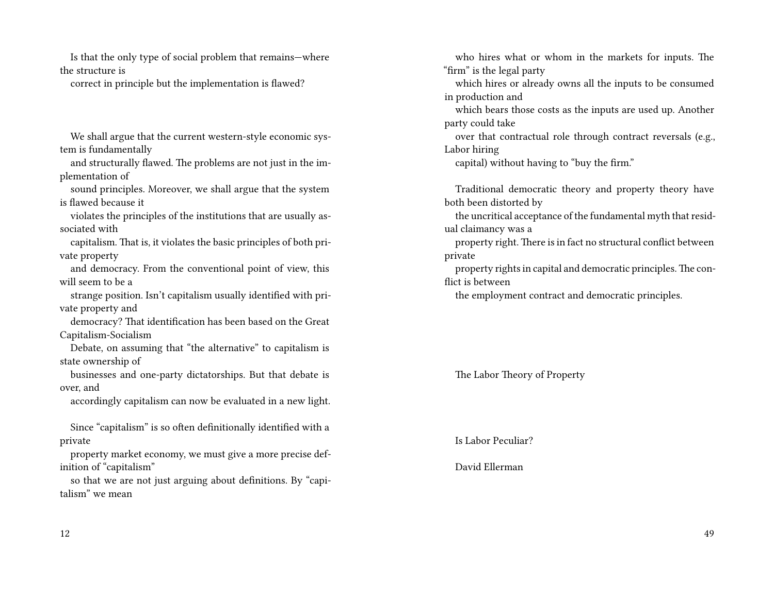Is that the only type of social problem that remains—where the structure is

correct in principle but the implementation is flawed?

We shall argue that the current western-style economic system is fundamentally

and structurally flawed. The problems are not just in the implementation of

sound principles. Moreover, we shall argue that the system is flawed because it

violates the principles of the institutions that are usually associated with

capitalism. That is, it violates the basic principles of both private property

and democracy. From the conventional point of view, this will seem to be a

strange position. Isn't capitalism usually identified with private property and

democracy? That identification has been based on the Great Capitalism-Socialism

Debate, on assuming that "the alternative" to capitalism is state ownership of

businesses and one-party dictatorships. But that debate is over, and

accordingly capitalism can now be evaluated in a new light.

Since "capitalism" is so often definitionally identified with a private

property market economy, we must give a more precise definition of "capitalism"

so that we are not just arguing about definitions. By "capitalism" we mean

who hires what or whom in the markets for inputs. The "firm" is the legal party

which hires or already owns all the inputs to be consumed in production and

which bears those costs as the inputs are used up. Another party could take

over that contractual role through contract reversals (e.g., Labor hiring

capital) without having to "buy the firm."

Traditional democratic theory and property theory have both been distorted by

the uncritical acceptance of the fundamental myth that residual claimancy was a

property right. There is in fact no structural conflict between private

property rights in capital and democratic principles.The conflict is between

the employment contract and democratic principles.

The Labor Theory of Property

Is Labor Peculiar?

## David Ellerman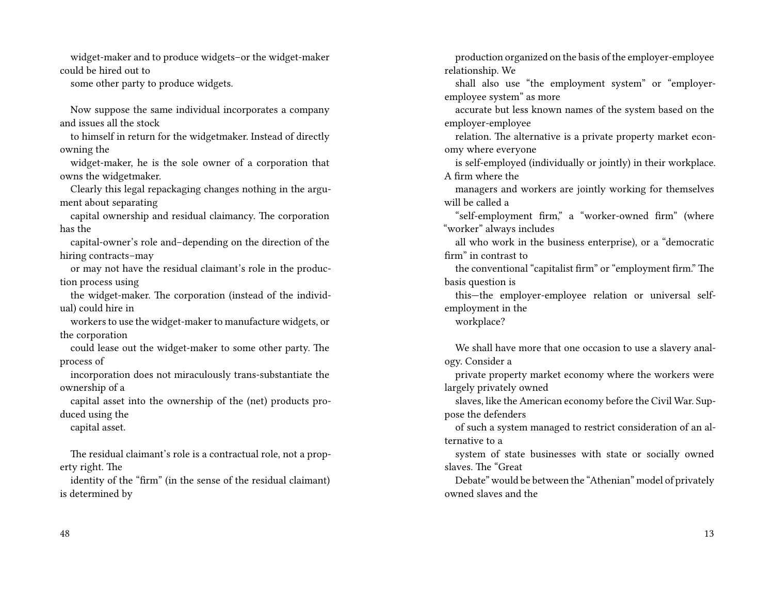widget-maker and to produce widgets–or the widget-maker could be hired out to

some other party to produce widgets.

Now suppose the same individual incorporates a company and issues all the stock

to himself in return for the widgetmaker. Instead of directly owning the

widget-maker, he is the sole owner of a corporation that owns the widgetmaker.

Clearly this legal repackaging changes nothing in the argument about separating

capital ownership and residual claimancy. The corporation has the

capital-owner's role and–depending on the direction of the hiring contracts–may

or may not have the residual claimant's role in the production process using

the widget-maker. The corporation (instead of the individual) could hire in

workers to use the widget-maker to manufacture widgets, or the corporation

could lease out the widget-maker to some other party. The process of

incorporation does not miraculously trans-substantiate the ownership of a

capital asset into the ownership of the (net) products produced using the

capital asset.

The residual claimant's role is a contractual role, not a property right. The

identity of the "firm" (in the sense of the residual claimant) is determined by

production organized on the basis of the employer-employee relationship. We

shall also use "the employment system" or "employeremployee system" as more

accurate but less known names of the system based on the employer-employee

relation. The alternative is a private property market economy where everyone

is self-employed (individually or jointly) in their workplace. A firm where the

managers and workers are jointly working for themselves will be called a

"self-employment firm," a "worker-owned firm" (where "worker" always includes

all who work in the business enterprise), or a "democratic firm" in contrast to

the conventional "capitalist firm" or "employment firm." The basis question is

this—the employer-employee relation or universal selfemployment in the

workplace?

We shall have more that one occasion to use a slavery analogy. Consider a

private property market economy where the workers were largely privately owned

slaves, like the American economy before the Civil War. Suppose the defenders

of such a system managed to restrict consideration of an alternative to a

system of state businesses with state or socially owned slaves. The "Great

Debate" would be between the "Athenian" model of privately owned slaves and the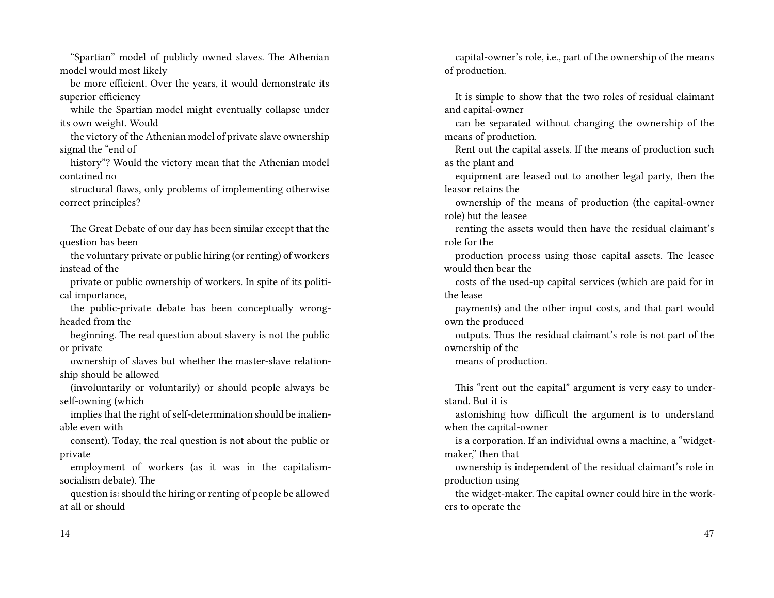"Spartian" model of publicly owned slaves. The Athenian model would most likely

be more efficient. Over the years, it would demonstrate its superior efficiency

while the Spartian model might eventually collapse under its own weight. Would

the victory of the Athenian model of private slave ownership signal the "end of

history"? Would the victory mean that the Athenian model contained no

structural flaws, only problems of implementing otherwise correct principles?

The Great Debate of our day has been similar except that the question has been

the voluntary private or public hiring (or renting) of workers instead of the

private or public ownership of workers. In spite of its political importance,

the public-private debate has been conceptually wrongheaded from the

beginning. The real question about slavery is not the public or private

ownership of slaves but whether the master-slave relationship should be allowed

(involuntarily or voluntarily) or should people always be self-owning (which

implies that the right of self-determination should be inalienable even with

consent). Today, the real question is not about the public or private

employment of workers (as it was in the capitalismsocialism debate). The

question is: should the hiring or renting of people be allowed at all or should

capital-owner's role, i.e., part of the ownership of the means of production.

It is simple to show that the two roles of residual claimant and capital-owner

can be separated without changing the ownership of the means of production.

Rent out the capital assets. If the means of production such as the plant and

equipment are leased out to another legal party, then the leasor retains the

ownership of the means of production (the capital-owner role) but the leasee

renting the assets would then have the residual claimant's role for the

production process using those capital assets. The leasee would then bear the

costs of the used-up capital services (which are paid for in the lease

payments) and the other input costs, and that part would own the produced

outputs. Thus the residual claimant's role is not part of the ownership of the

means of production.

This "rent out the capital" argument is very easy to understand. But it is

astonishing how difficult the argument is to understand when the capital-owner

is a corporation. If an individual owns a machine, a "widgetmaker," then that

ownership is independent of the residual claimant's role in production using

the widget-maker. The capital owner could hire in the workers to operate the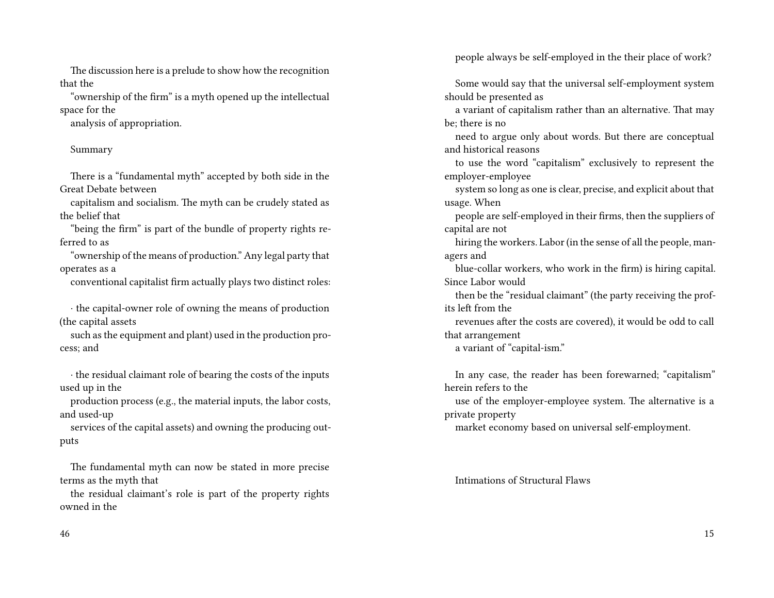The discussion here is a prelude to show how the recognition that the

"ownership of the firm" is a myth opened up the intellectual space for the

analysis of appropriation.

### Summary

There is a "fundamental myth" accepted by both side in the Great Debate between

capitalism and socialism. The myth can be crudely stated as the belief that

"being the firm" is part of the bundle of property rights referred to as

"ownership of the means of production." Any legal party that operates as a

conventional capitalist firm actually plays two distinct roles:

· the capital-owner role of owning the means of production (the capital assets

such as the equipment and plant) used in the production process; and

· the residual claimant role of bearing the costs of the inputs used up in the

production process (e.g., the material inputs, the labor costs, and used-up

services of the capital assets) and owning the producing outputs

The fundamental myth can now be stated in more precise terms as the myth that

the residual claimant's role is part of the property rights owned in the

46

people always be self-employed in the their place of work?

Some would say that the universal self-employment system should be presented as

a variant of capitalism rather than an alternative. That may be; there is no

need to argue only about words. But there are conceptual and historical reasons

to use the word "capitalism" exclusively to represent the employer-employee

system so long as one is clear, precise, and explicit about that usage. When

people are self-employed in their firms, then the suppliers of capital are not

hiring the workers. Labor (in the sense of all the people, managers and

blue-collar workers, who work in the firm) is hiring capital. Since Labor would

then be the "residual claimant" (the party receiving the profits left from the

revenues after the costs are covered), it would be odd to call that arrangement

a variant of "capital-ism."

In any case, the reader has been forewarned; "capitalism" herein refers to the

use of the employer-employee system. The alternative is a private property

market economy based on universal self-employment.

Intimations of Structural Flaws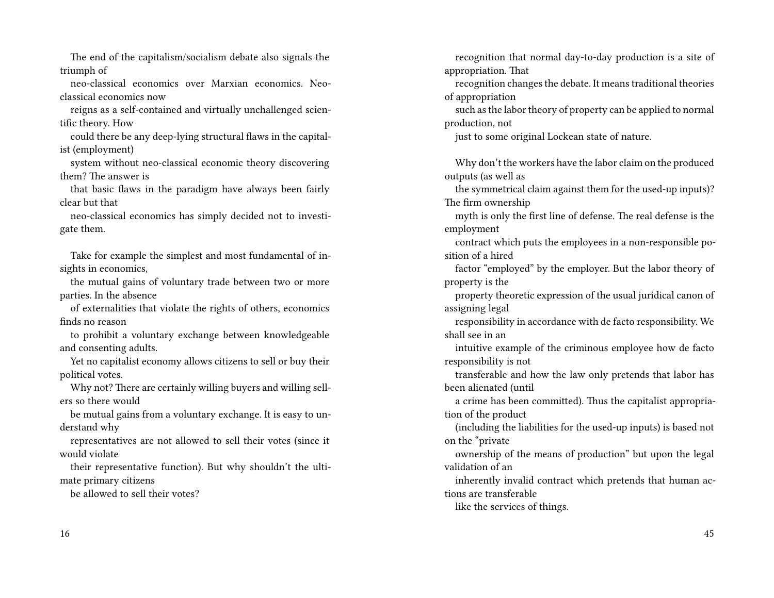The end of the capitalism/socialism debate also signals the triumph of

neo-classical economics over Marxian economics. Neoclassical economics now

reigns as a self-contained and virtually unchallenged scientific theory. How

could there be any deep-lying structural flaws in the capitalist (employment)

system without neo-classical economic theory discovering them? The answer is

that basic flaws in the paradigm have always been fairly clear but that

neo-classical economics has simply decided not to investigate them.

Take for example the simplest and most fundamental of insights in economics,

the mutual gains of voluntary trade between two or more parties. In the absence

of externalities that violate the rights of others, economics finds no reason

to prohibit a voluntary exchange between knowledgeable and consenting adults.

Yet no capitalist economy allows citizens to sell or buy their political votes.

Why not? There are certainly willing buyers and willing sellers so there would

be mutual gains from a voluntary exchange. It is easy to understand why

representatives are not allowed to sell their votes (since it would violate

their representative function). But why shouldn't the ultimate primary citizens

be allowed to sell their votes?

recognition that normal day-to-day production is a site of appropriation. That

recognition changes the debate. It means traditional theories of appropriation

such as the labor theory of property can be applied to normal production, not

just to some original Lockean state of nature.

Why don't the workers have the labor claim on the produced outputs (as well as

the symmetrical claim against them for the used-up inputs)? The firm ownership

myth is only the first line of defense. The real defense is the employment

contract which puts the employees in a non-responsible position of a hired

factor "employed" by the employer. But the labor theory of property is the

property theoretic expression of the usual juridical canon of assigning legal

responsibility in accordance with de facto responsibility. We shall see in an

intuitive example of the criminous employee how de facto responsibility is not

transferable and how the law only pretends that labor has been alienated (until

a crime has been committed). Thus the capitalist appropriation of the product

(including the liabilities for the used-up inputs) is based not on the "private

ownership of the means of production" but upon the legal validation of an

inherently invalid contract which pretends that human actions are transferable

like the services of things.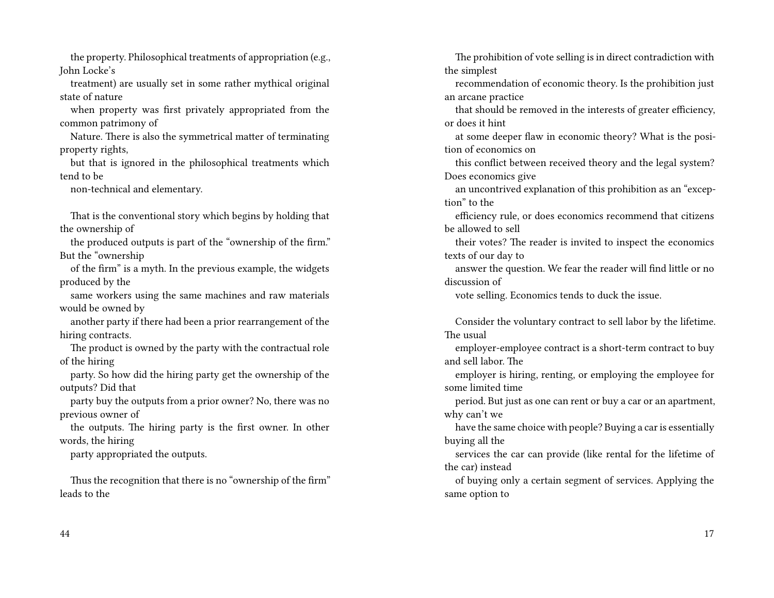the property. Philosophical treatments of appropriation (e.g., John Locke's

treatment) are usually set in some rather mythical original state of nature

when property was first privately appropriated from the common patrimony of

Nature. There is also the symmetrical matter of terminating property rights,

but that is ignored in the philosophical treatments which tend to be

non-technical and elementary.

That is the conventional story which begins by holding that the ownership of

the produced outputs is part of the "ownership of the firm." But the "ownership

of the firm" is a myth. In the previous example, the widgets produced by the

same workers using the same machines and raw materials would be owned by

another party if there had been a prior rearrangement of the hiring contracts.

The product is owned by the party with the contractual role of the hiring

party. So how did the hiring party get the ownership of the outputs? Did that

party buy the outputs from a prior owner? No, there was no previous owner of

the outputs. The hiring party is the first owner. In other words, the hiring

party appropriated the outputs.

Thus the recognition that there is no "ownership of the firm" leads to the

The prohibition of vote selling is in direct contradiction with the simplest

recommendation of economic theory. Is the prohibition just an arcane practice

that should be removed in the interests of greater efficiency, or does it hint

at some deeper flaw in economic theory? What is the position of economics on

this conflict between received theory and the legal system? Does economics give

an uncontrived explanation of this prohibition as an "exception" to the

efficiency rule, or does economics recommend that citizens be allowed to sell

their votes? The reader is invited to inspect the economics texts of our day to

answer the question. We fear the reader will find little or no discussion of

vote selling. Economics tends to duck the issue.

Consider the voluntary contract to sell labor by the lifetime. The usual

employer-employee contract is a short-term contract to buy and sell labor. The

employer is hiring, renting, or employing the employee for some limited time

period. But just as one can rent or buy a car or an apartment, why can't we

have the same choice with people? Buying a car is essentially buying all the

services the car can provide (like rental for the lifetime of the car) instead

of buying only a certain segment of services. Applying the same option to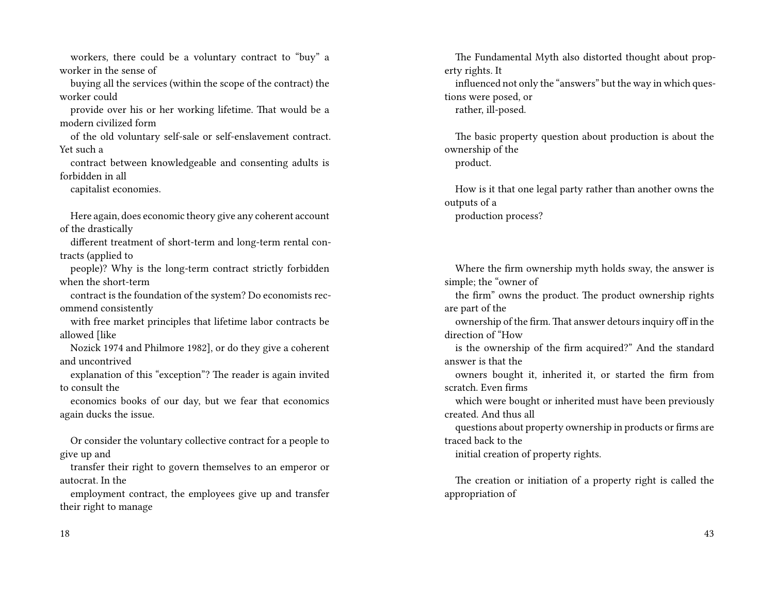workers, there could be a voluntary contract to "buy" a worker in the sense of

buying all the services (within the scope of the contract) the worker could

provide over his or her working lifetime. That would be a modern civilized form

of the old voluntary self-sale or self-enslavement contract. Yet such a

contract between knowledgeable and consenting adults is forbidden in all

capitalist economies.

Here again, does economic theory give any coherent account of the drastically

different treatment of short-term and long-term rental contracts (applied to

people)? Why is the long-term contract strictly forbidden when the short-term

contract is the foundation of the system? Do economists recommend consistently

with free market principles that lifetime labor contracts be allowed [like

Nozick 1974 and Philmore 1982], or do they give a coherent and uncontrived

explanation of this "exception"? The reader is again invited to consult the

economics books of our day, but we fear that economics again ducks the issue.

Or consider the voluntary collective contract for a people to give up and

transfer their right to govern themselves to an emperor or autocrat. In the

employment contract, the employees give up and transfer their right to manage

The Fundamental Myth also distorted thought about property rights. It

influenced not only the "answers" but the way in which questions were posed, or rather, ill-posed.

The basic property question about production is about the ownership of the product.

How is it that one legal party rather than another owns the outputs of a

production process?

Where the firm ownership myth holds sway, the answer is simple; the "owner of

the firm" owns the product. The product ownership rights are part of the

ownership of the firm. That answer detours inquiry off in the direction of "How

is the ownership of the firm acquired?" And the standard answer is that the

owners bought it, inherited it, or started the firm from scratch. Even firms

which were bought or inherited must have been previously created. And thus all

questions about property ownership in products or firms are traced back to the

initial creation of property rights.

The creation or initiation of a property right is called the appropriation of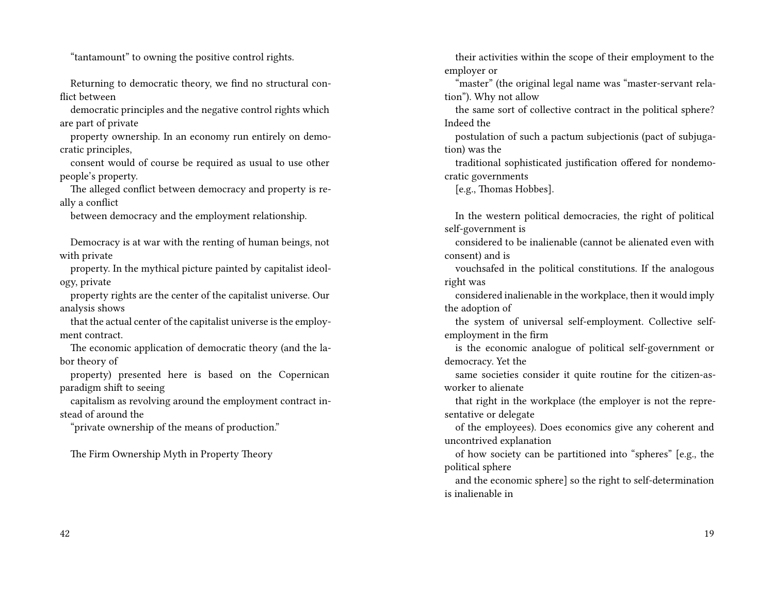"tantamount" to owning the positive control rights.

Returning to democratic theory, we find no structural conflict between

democratic principles and the negative control rights which are part of private

property ownership. In an economy run entirely on democratic principles,

consent would of course be required as usual to use other people's property.

The alleged conflict between democracy and property is really a conflict

between democracy and the employment relationship.

Democracy is at war with the renting of human beings, not with private

property. In the mythical picture painted by capitalist ideology, private

property rights are the center of the capitalist universe. Our analysis shows

that the actual center of the capitalist universe is the employment contract.

The economic application of democratic theory (and the labor theory of

property) presented here is based on the Copernican paradigm shift to seeing

capitalism as revolving around the employment contract instead of around the

"private ownership of the means of production."

The Firm Ownership Myth in Property Theory

their activities within the scope of their employment to the employer or

"master" (the original legal name was "master-servant relation"). Why not allow

the same sort of collective contract in the political sphere? Indeed the

postulation of such a pactum subjectionis (pact of subjugation) was the

traditional sophisticated justification offered for nondemocratic governments

[e.g., Thomas Hobbes].

In the western political democracies, the right of political self-government is

considered to be inalienable (cannot be alienated even with consent) and is

vouchsafed in the political constitutions. If the analogous right was

considered inalienable in the workplace, then it would imply the adoption of

the system of universal self-employment. Collective selfemployment in the firm

is the economic analogue of political self-government or democracy. Yet the

same societies consider it quite routine for the citizen-asworker to alienate

that right in the workplace (the employer is not the representative or delegate

of the employees). Does economics give any coherent and uncontrived explanation

of how society can be partitioned into "spheres" [e.g., the political sphere

and the economic sphere] so the right to self-determination is inalienable in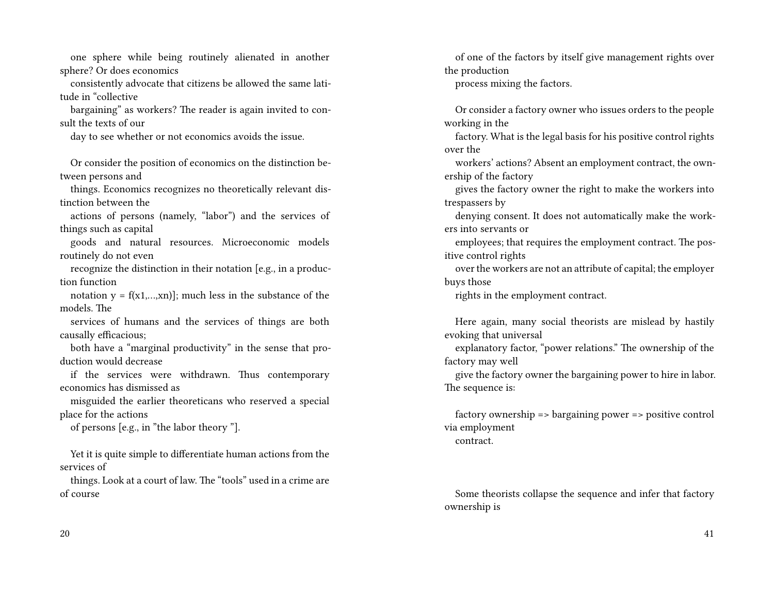one sphere while being routinely alienated in another sphere? Or does economics

consistently advocate that citizens be allowed the same latitude in "collective

bargaining" as workers? The reader is again invited to consult the texts of our

day to see whether or not economics avoids the issue.

Or consider the position of economics on the distinction between persons and

things. Economics recognizes no theoretically relevant distinction between the

actions of persons (namely, "labor") and the services of things such as capital

goods and natural resources. Microeconomic models routinely do not even

recognize the distinction in their notation [e.g., in a production function

notation  $y = f(x1,...,xn)$ ; much less in the substance of the models. The

services of humans and the services of things are both causally efficacious;

both have a "marginal productivity" in the sense that production would decrease

if the services were withdrawn. Thus contemporary economics has dismissed as

misguided the earlier theoreticans who reserved a special place for the actions

of persons [e.g., in "the labor theory "].

Yet it is quite simple to differentiate human actions from the services of

things. Look at a court of law. The "tools" used in a crime are of course

of one of the factors by itself give management rights over the production

process mixing the factors.

Or consider a factory owner who issues orders to the people working in the

factory. What is the legal basis for his positive control rights over the

workers' actions? Absent an employment contract, the ownership of the factory

gives the factory owner the right to make the workers into trespassers by

denying consent. It does not automatically make the workers into servants or

employees; that requires the employment contract. The positive control rights

over the workers are not an attribute of capital; the employer buys those

rights in the employment contract.

Here again, many social theorists are mislead by hastily evoking that universal

explanatory factor, "power relations." The ownership of the factory may well

give the factory owner the bargaining power to hire in labor. The sequence is:

factory ownership => bargaining power => positive control via employment

contract.

Some theorists collapse the sequence and infer that factory ownership is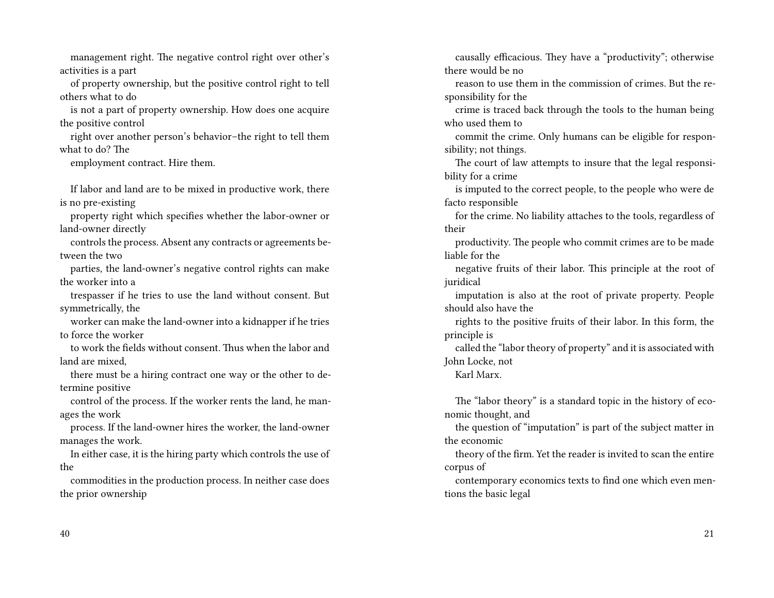management right. The negative control right over other's activities is a part

of property ownership, but the positive control right to tell others what to do

is not a part of property ownership. How does one acquire the positive control

right over another person's behavior–the right to tell them what to do? The

employment contract. Hire them.

If labor and land are to be mixed in productive work, there is no pre-existing

property right which specifies whether the labor-owner or land-owner directly

controls the process. Absent any contracts or agreements between the two

parties, the land-owner's negative control rights can make the worker into a

trespasser if he tries to use the land without consent. But symmetrically, the

worker can make the land-owner into a kidnapper if he tries to force the worker

to work the fields without consent. Thus when the labor and land are mixed,

there must be a hiring contract one way or the other to determine positive

control of the process. If the worker rents the land, he manages the work

process. If the land-owner hires the worker, the land-owner manages the work.

In either case, it is the hiring party which controls the use of the

commodities in the production process. In neither case does the prior ownership

causally efficacious. They have a "productivity"; otherwise there would be no

reason to use them in the commission of crimes. But the responsibility for the

crime is traced back through the tools to the human being who used them to

commit the crime. Only humans can be eligible for responsibility; not things.

The court of law attempts to insure that the legal responsibility for a crime

is imputed to the correct people, to the people who were de facto responsible

for the crime. No liability attaches to the tools, regardless of their

productivity. The people who commit crimes are to be made liable for the

negative fruits of their labor. This principle at the root of juridical

imputation is also at the root of private property. People should also have the

rights to the positive fruits of their labor. In this form, the principle is

called the "labor theory of property" and it is associated with John Locke, not

Karl Marx.

The "labor theory" is a standard topic in the history of economic thought, and

the question of "imputation" is part of the subject matter in the economic

theory of the firm. Yet the reader is invited to scan the entire corpus of

contemporary economics texts to find one which even mentions the basic legal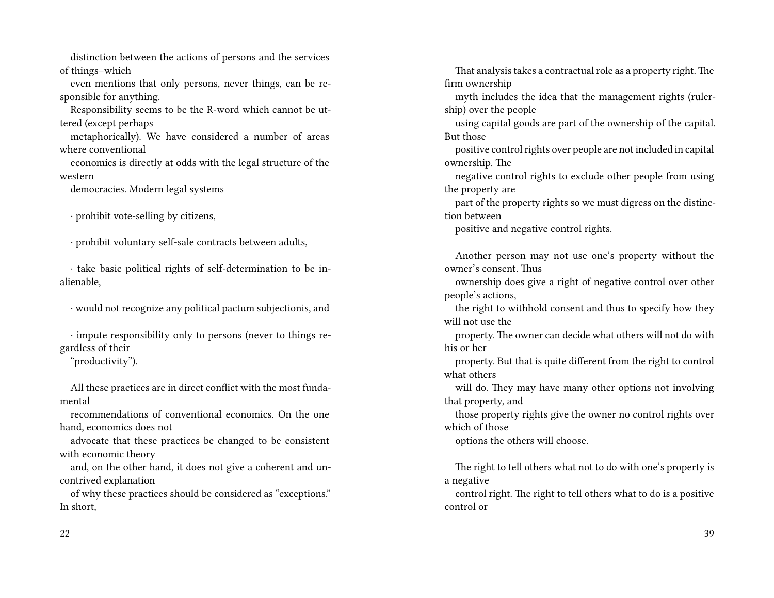distinction between the actions of persons and the services of things–which

even mentions that only persons, never things, can be responsible for anything.

Responsibility seems to be the R-word which cannot be uttered (except perhaps

metaphorically). We have considered a number of areas where conventional

economics is directly at odds with the legal structure of the western

democracies. Modern legal systems

· prohibit vote-selling by citizens,

· prohibit voluntary self-sale contracts between adults,

· take basic political rights of self-determination to be inalienable,

· would not recognize any political pactum subjectionis, and

· impute responsibility only to persons (never to things regardless of their

"productivity").

All these practices are in direct conflict with the most fundamental

recommendations of conventional economics. On the one hand, economics does not

advocate that these practices be changed to be consistent with economic theory

and, on the other hand, it does not give a coherent and uncontrived explanation

of why these practices should be considered as "exceptions." In short,

That analysis takes a contractual role as a property right. The firm ownership

myth includes the idea that the management rights (rulership) over the people

using capital goods are part of the ownership of the capital. But those

positive control rights over people are not included in capital ownership. The

negative control rights to exclude other people from using the property are

part of the property rights so we must digress on the distinction between

positive and negative control rights.

Another person may not use one's property without the owner's consent. Thus

ownership does give a right of negative control over other people's actions,

the right to withhold consent and thus to specify how they will not use the

property. The owner can decide what others will not do with his or her

property. But that is quite different from the right to control what others

will do. They may have many other options not involving that property, and

those property rights give the owner no control rights over which of those

options the others will choose.

The right to tell others what not to do with one's property is a negative

control right. The right to tell others what to do is a positive control or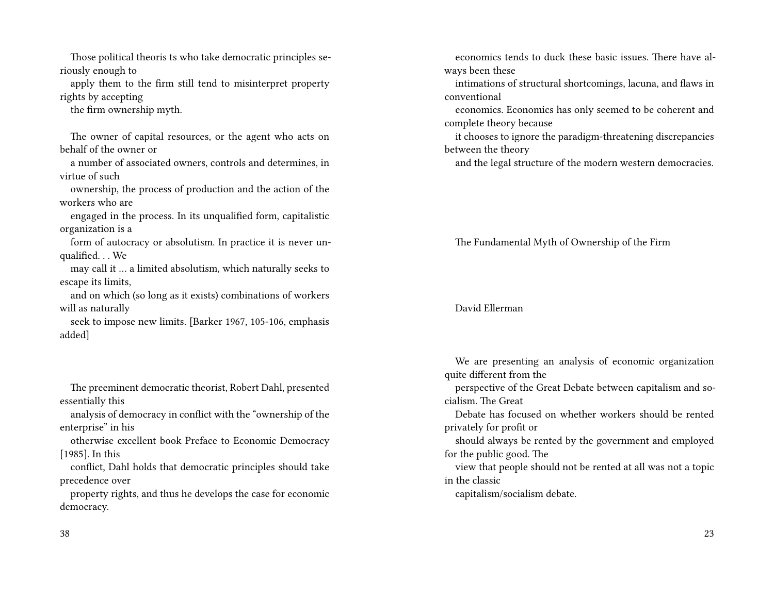Those political theoris ts who take democratic principles seriously enough to

apply them to the firm still tend to misinterpret property rights by accepting

the firm ownership myth.

The owner of capital resources, or the agent who acts on behalf of the owner or

a number of associated owners, controls and determines, in virtue of such

ownership, the process of production and the action of the workers who are

engaged in the process. In its unqualified form, capitalistic organization is a

form of autocracy or absolutism. In practice it is never unqualified. . . We

may call it … a limited absolutism, which naturally seeks to escape its limits,

and on which (so long as it exists) combinations of workers will as naturally

seek to impose new limits. [Barker 1967, 105-106, emphasis added]

The preeminent democratic theorist, Robert Dahl, presented essentially this

analysis of democracy in conflict with the "ownership of the enterprise" in his

otherwise excellent book Preface to Economic Democracy [1985]. In this

conflict, Dahl holds that democratic principles should take precedence over

property rights, and thus he develops the case for economic democracy.

38

economics tends to duck these basic issues. There have always been these

intimations of structural shortcomings, lacuna, and flaws in conventional

economics. Economics has only seemed to be coherent and complete theory because

it chooses to ignore the paradigm-threatening discrepancies between the theory

and the legal structure of the modern western democracies.

The Fundamental Myth of Ownership of the Firm

## David Ellerman

We are presenting an analysis of economic organization quite different from the

perspective of the Great Debate between capitalism and socialism. The Great

Debate has focused on whether workers should be rented privately for profit or

should always be rented by the government and employed for the public good. The

view that people should not be rented at all was not a topic in the classic

capitalism/socialism debate.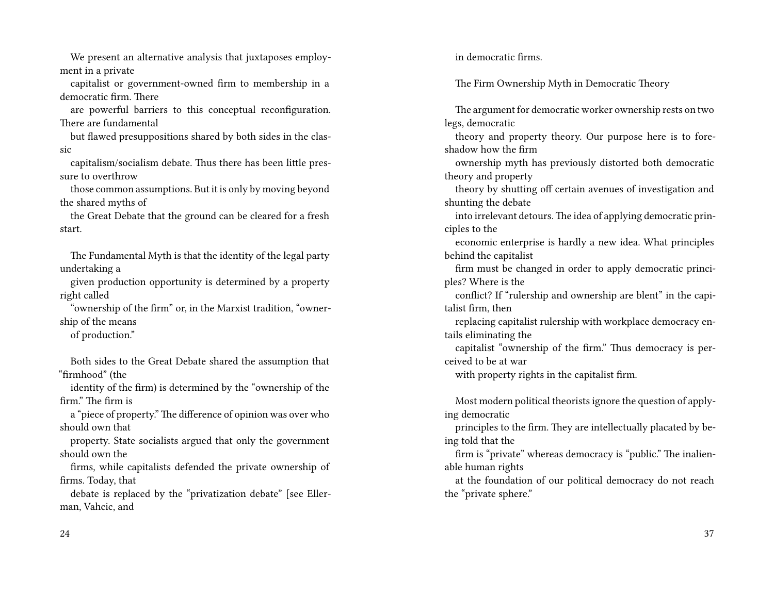We present an alternative analysis that juxtaposes employment in a private

capitalist or government-owned firm to membership in a democratic firm. There

are powerful barriers to this conceptual reconfiguration. There are fundamental

but flawed presuppositions shared by both sides in the classic

capitalism/socialism debate. Thus there has been little pressure to overthrow

those common assumptions. But it is only by moving beyond the shared myths of

the Great Debate that the ground can be cleared for a fresh start.

The Fundamental Myth is that the identity of the legal party undertaking a

given production opportunity is determined by a property right called

"ownership of the firm" or, in the Marxist tradition, "ownership of the means

of production."

Both sides to the Great Debate shared the assumption that "firmhood" (the

identity of the firm) is determined by the "ownership of the firm." The firm is

a "piece of property." The difference of opinion was over who should own that

property. State socialists argued that only the government should own the

firms, while capitalists defended the private ownership of firms. Today, that

debate is replaced by the "privatization debate" [see Ellerman, Vahcic, and

in democratic firms.

The Firm Ownership Myth in Democratic Theory

The argument for democratic worker ownership rests on two legs, democratic

theory and property theory. Our purpose here is to foreshadow how the firm

ownership myth has previously distorted both democratic theory and property

theory by shutting off certain avenues of investigation and shunting the debate

into irrelevant detours. The idea of applying democratic principles to the

economic enterprise is hardly a new idea. What principles behind the capitalist

firm must be changed in order to apply democratic principles? Where is the

conflict? If "rulership and ownership are blent" in the capitalist firm, then

replacing capitalist rulership with workplace democracy entails eliminating the

capitalist "ownership of the firm." Thus democracy is perceived to be at war

with property rights in the capitalist firm.

Most modern political theorists ignore the question of applying democratic

principles to the firm. They are intellectually placated by being told that the

firm is "private" whereas democracy is "public." The inalienable human rights

at the foundation of our political democracy do not reach the "private sphere."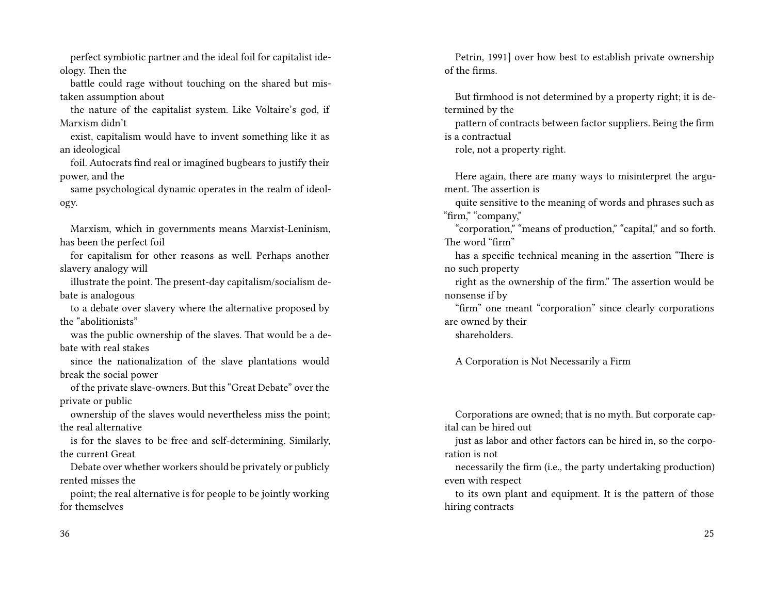perfect symbiotic partner and the ideal foil for capitalist ideology. Then the

battle could rage without touching on the shared but mistaken assumption about

the nature of the capitalist system. Like Voltaire's god, if Marxism didn't

exist, capitalism would have to invent something like it as an ideological

foil. Autocrats find real or imagined bugbears to justify their power, and the

same psychological dynamic operates in the realm of ideology.

Marxism, which in governments means Marxist-Leninism, has been the perfect foil

for capitalism for other reasons as well. Perhaps another slavery analogy will

illustrate the point. The present-day capitalism/socialism debate is analogous

to a debate over slavery where the alternative proposed by the "abolitionists"

was the public ownership of the slaves. That would be a debate with real stakes

since the nationalization of the slave plantations would break the social power

of the private slave-owners. But this "Great Debate" over the private or public

ownership of the slaves would nevertheless miss the point; the real alternative

is for the slaves to be free and self-determining. Similarly, the current Great

Debate over whether workers should be privately or publicly rented misses the

point; the real alternative is for people to be jointly working for themselves

Petrin, 1991] over how best to establish private ownership of the firms.

But firmhood is not determined by a property right; it is determined by the

pattern of contracts between factor suppliers. Being the firm is a contractual

role, not a property right.

Here again, there are many ways to misinterpret the argument. The assertion is

quite sensitive to the meaning of words and phrases such as "firm," "company,"

"corporation," "means of production," "capital," and so forth. The word "firm"

has a specific technical meaning in the assertion "There is no such property

right as the ownership of the firm." The assertion would be nonsense if by

"firm" one meant "corporation" since clearly corporations are owned by their

shareholders.

A Corporation is Not Necessarily a Firm

Corporations are owned; that is no myth. But corporate capital can be hired out

just as labor and other factors can be hired in, so the corporation is not

necessarily the firm (i.e., the party undertaking production) even with respect

to its own plant and equipment. It is the pattern of those hiring contracts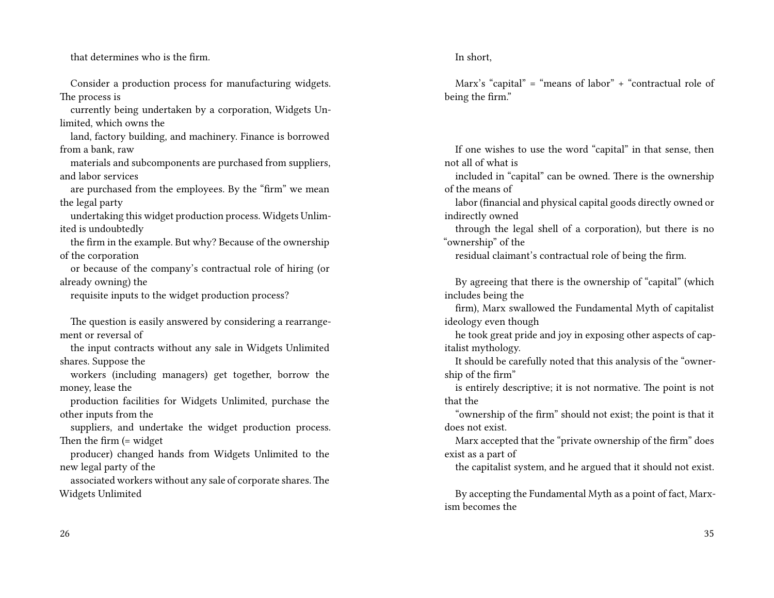that determines who is the firm.

Consider a production process for manufacturing widgets. The process is

currently being undertaken by a corporation, Widgets Unlimited, which owns the

land, factory building, and machinery. Finance is borrowed from a bank, raw

materials and subcomponents are purchased from suppliers, and labor services

are purchased from the employees. By the "firm" we mean the legal party

undertaking this widget production process. Widgets Unlimited is undoubtedly

the firm in the example. But why? Because of the ownership of the corporation

or because of the company's contractual role of hiring (or already owning) the

requisite inputs to the widget production process?

The question is easily answered by considering a rearrangement or reversal of

the input contracts without any sale in Widgets Unlimited shares. Suppose the

workers (including managers) get together, borrow the money, lease the

production facilities for Widgets Unlimited, purchase the other inputs from the

suppliers, and undertake the widget production process. Then the firm (= widget

producer) changed hands from Widgets Unlimited to the new legal party of the

associated workers without any sale of corporate shares. The Widgets Unlimited

Marx's "capital" = "means of labor" + "contractual role of being the firm."

If one wishes to use the word "capital" in that sense, then not all of what is

included in "capital" can be owned. There is the ownership of the means of

labor (financial and physical capital goods directly owned or indirectly owned

through the legal shell of a corporation), but there is no "ownership" of the

residual claimant's contractual role of being the firm.

By agreeing that there is the ownership of "capital" (which includes being the

firm), Marx swallowed the Fundamental Myth of capitalist ideology even though

he took great pride and joy in exposing other aspects of capitalist mythology.

It should be carefully noted that this analysis of the "ownership of the firm"

is entirely descriptive; it is not normative. The point is not that the

"ownership of the firm" should not exist; the point is that it does not exist.

Marx accepted that the "private ownership of the firm" does exist as a part of

the capitalist system, and he argued that it should not exist.

By accepting the Fundamental Myth as a point of fact, Marxism becomes the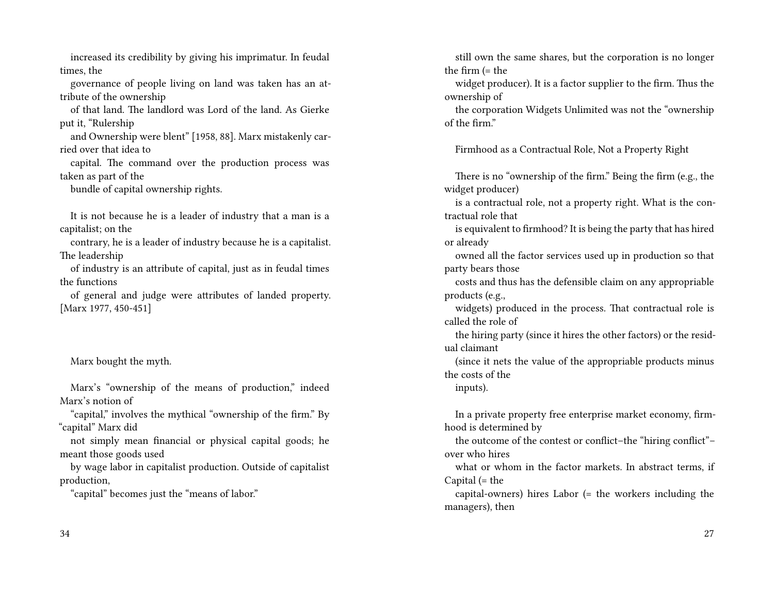increased its credibility by giving his imprimatur. In feudal times, the

governance of people living on land was taken has an attribute of the ownership

of that land. The landlord was Lord of the land. As Gierke put it, "Rulership

and Ownership were blent" [1958, 88]. Marx mistakenly carried over that idea to

capital. The command over the production process was taken as part of the

bundle of capital ownership rights.

It is not because he is a leader of industry that a man is a capitalist; on the

contrary, he is a leader of industry because he is a capitalist. The leadership

of industry is an attribute of capital, just as in feudal times the functions

of general and judge were attributes of landed property. [Marx 1977, 450-451]

Marx bought the myth.

Marx's "ownership of the means of production," indeed Marx's notion of

"capital," involves the mythical "ownership of the firm." By "capital" Marx did

not simply mean financial or physical capital goods; he meant those goods used

by wage labor in capitalist production. Outside of capitalist production,

"capital" becomes just the "means of labor."

still own the same shares, but the corporation is no longer the firm (= the

widget producer). It is a factor supplier to the firm. Thus the ownership of

the corporation Widgets Unlimited was not the "ownership of the firm."

Firmhood as a Contractual Role, Not a Property Right

There is no "ownership of the firm." Being the firm (e.g., the widget producer)

is a contractual role, not a property right. What is the contractual role that

is equivalent to firmhood? It is being the party that has hired or already

owned all the factor services used up in production so that party bears those

costs and thus has the defensible claim on any appropriable products (e.g.,

widgets) produced in the process. That contractual role is called the role of

the hiring party (since it hires the other factors) or the residual claimant

(since it nets the value of the appropriable products minus the costs of the

inputs).

In a private property free enterprise market economy, firmhood is determined by

the outcome of the contest or conflict–the "hiring conflict"– over who hires

what or whom in the factor markets. In abstract terms, if Capital (= the

capital-owners) hires Labor (= the workers including the managers), then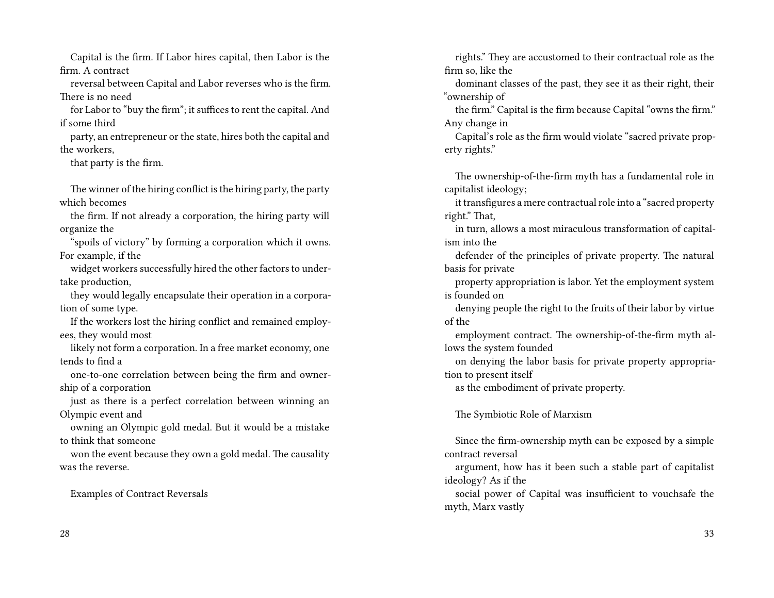Capital is the firm. If Labor hires capital, then Labor is the firm. A contract

reversal between Capital and Labor reverses who is the firm. There is no need

for Labor to "buy the firm"; it suffices to rent the capital. And if some third

party, an entrepreneur or the state, hires both the capital and the workers,

that party is the firm.

The winner of the hiring conflict is the hiring party, the party which becomes

the firm. If not already a corporation, the hiring party will organize the

"spoils of victory" by forming a corporation which it owns. For example, if the

widget workers successfully hired the other factors to undertake production,

they would legally encapsulate their operation in a corporation of some type.

If the workers lost the hiring conflict and remained employees, they would most

likely not form a corporation. In a free market economy, one tends to find a

one-to-one correlation between being the firm and ownership of a corporation

just as there is a perfect correlation between winning an Olympic event and

owning an Olympic gold medal. But it would be a mistake to think that someone

won the event because they own a gold medal. The causality was the reverse.

Examples of Contract Reversals

rights." They are accustomed to their contractual role as the firm so, like the

dominant classes of the past, they see it as their right, their "ownership of

the firm." Capital is the firm because Capital "owns the firm." Any change in

Capital's role as the firm would violate "sacred private property rights."

The ownership-of-the-firm myth has a fundamental role in capitalist ideology;

it transfigures a mere contractual role into a "sacred property right." That,

in turn, allows a most miraculous transformation of capitalism into the

defender of the principles of private property. The natural basis for private

property appropriation is labor. Yet the employment system is founded on

denying people the right to the fruits of their labor by virtue of the

employment contract. The ownership-of-the-firm myth allows the system founded

on denying the labor basis for private property appropriation to present itself

as the embodiment of private property.

The Symbiotic Role of Marxism

Since the firm-ownership myth can be exposed by a simple contract reversal

argument, how has it been such a stable part of capitalist ideology? As if the

social power of Capital was insufficient to vouchsafe the myth, Marx vastly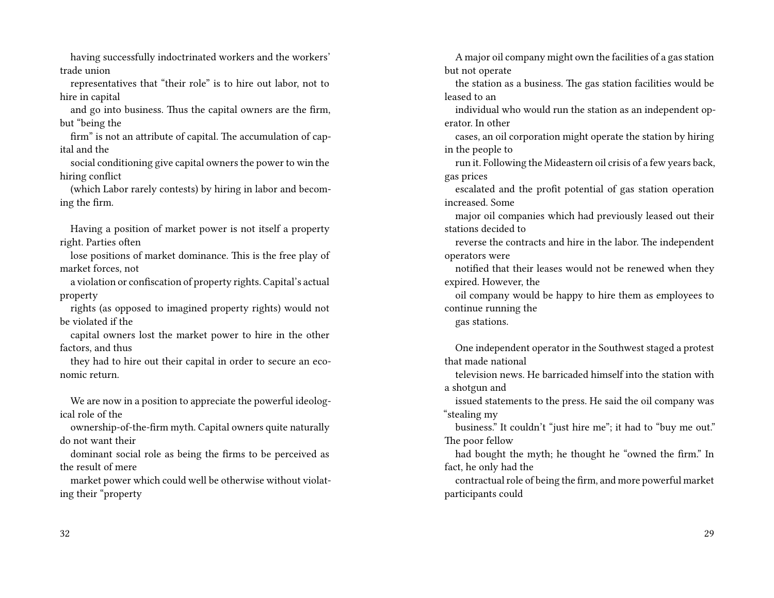having successfully indoctrinated workers and the workers' trade union

representatives that "their role" is to hire out labor, not to hire in capital

and go into business. Thus the capital owners are the firm, but "being the

firm" is not an attribute of capital. The accumulation of capital and the

social conditioning give capital owners the power to win the hiring conflict

(which Labor rarely contests) by hiring in labor and becoming the firm.

Having a position of market power is not itself a property right. Parties often

lose positions of market dominance. This is the free play of market forces, not

a violation or confiscation of property rights. Capital's actual property

rights (as opposed to imagined property rights) would not be violated if the

capital owners lost the market power to hire in the other factors, and thus

they had to hire out their capital in order to secure an economic return.

We are now in a position to appreciate the powerful ideological role of the

ownership-of-the-firm myth. Capital owners quite naturally do not want their

dominant social role as being the firms to be perceived as the result of mere

market power which could well be otherwise without violating their "property

A major oil company might own the facilities of a gas station but not operate

the station as a business. The gas station facilities would be leased to an

individual who would run the station as an independent operator. In other

cases, an oil corporation might operate the station by hiring in the people to

run it. Following the Mideastern oil crisis of a few years back, gas prices

escalated and the profit potential of gas station operation increased. Some

major oil companies which had previously leased out their stations decided to

reverse the contracts and hire in the labor. The independent operators were

notified that their leases would not be renewed when they expired. However, the

oil company would be happy to hire them as employees to continue running the

gas stations.

One independent operator in the Southwest staged a protest that made national

television news. He barricaded himself into the station with a shotgun and

issued statements to the press. He said the oil company was "stealing my

business." It couldn't "just hire me"; it had to "buy me out." The poor fellow

had bought the myth; he thought he "owned the firm." In fact, he only had the

contractual role of being the firm, and more powerful market participants could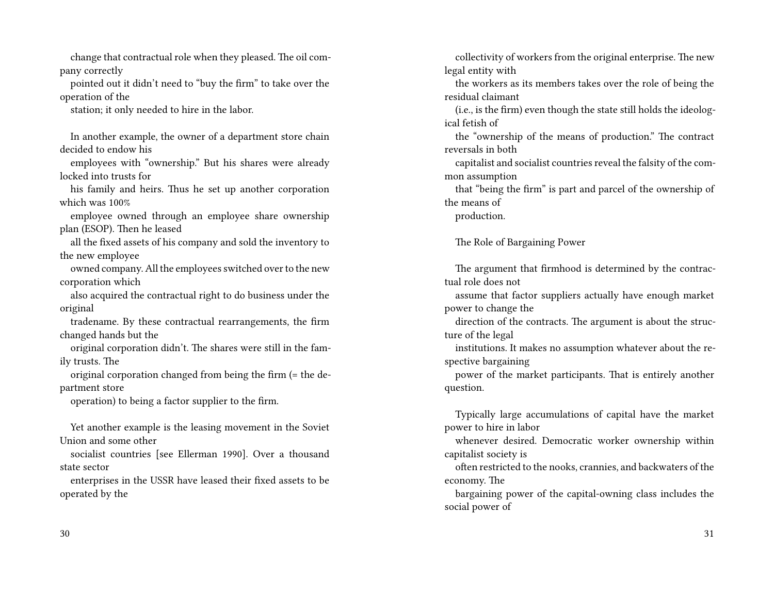change that contractual role when they pleased. The oil company correctly

pointed out it didn't need to "buy the firm" to take over the operation of the

station; it only needed to hire in the labor.

In another example, the owner of a department store chain decided to endow his

employees with "ownership." But his shares were already locked into trusts for

his family and heirs. Thus he set up another corporation which was 100%

employee owned through an employee share ownership plan (ESOP). Then he leased

all the fixed assets of his company and sold the inventory to the new employee

owned company. All the employees switched over to the new corporation which

also acquired the contractual right to do business under the original

tradename. By these contractual rearrangements, the firm changed hands but the

original corporation didn't. The shares were still in the family trusts. The

original corporation changed from being the firm (= the department store

operation) to being a factor supplier to the firm.

Yet another example is the leasing movement in the Soviet Union and some other

socialist countries [see Ellerman 1990]. Over a thousand state sector

enterprises in the USSR have leased their fixed assets to be operated by the

collectivity of workers from the original enterprise. The new legal entity with

the workers as its members takes over the role of being the residual claimant

(i.e., is the firm) even though the state still holds the ideological fetish of

the "ownership of the means of production." The contract reversals in both

capitalist and socialist countries reveal the falsity of the common assumption

that "being the firm" is part and parcel of the ownership of the means of

production.

The Role of Bargaining Power

The argument that firmhood is determined by the contractual role does not

assume that factor suppliers actually have enough market power to change the

direction of the contracts. The argument is about the structure of the legal

institutions. It makes no assumption whatever about the respective bargaining

power of the market participants. That is entirely another question.

Typically large accumulations of capital have the market power to hire in labor

whenever desired. Democratic worker ownership within capitalist society is

often restricted to the nooks, crannies, and backwaters of the economy. The

bargaining power of the capital-owning class includes the social power of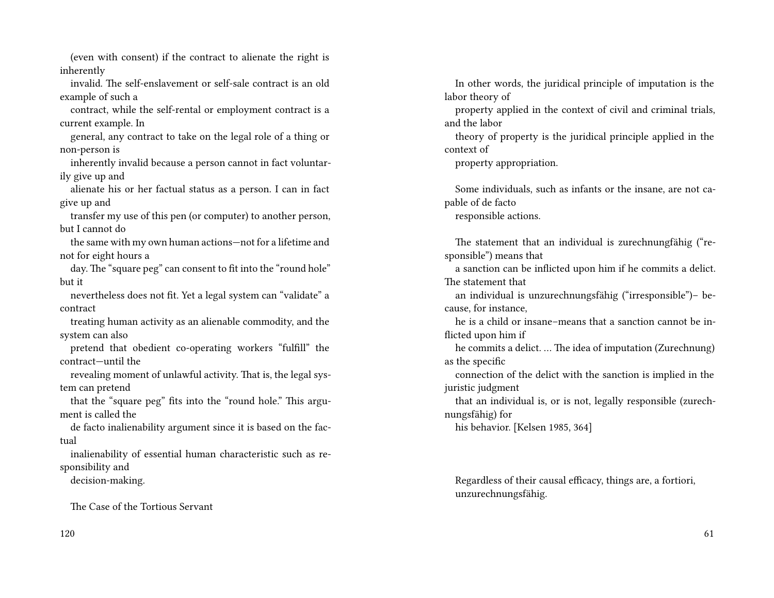(even with consent) if the contract to alienate the right is inherently

invalid. The self-enslavement or self-sale contract is an old example of such a

contract, while the self-rental or employment contract is a current example. In

general, any contract to take on the legal role of a thing or non-person is

inherently invalid because a person cannot in fact voluntarily give up and

alienate his or her factual status as a person. I can in fact give up and

transfer my use of this pen (or computer) to another person, but I cannot do

the same with my own human actions—not for a lifetime and not for eight hours a

day. The "square peg" can consent to fit into the "round hole" but it

nevertheless does not fit. Yet a legal system can "validate" a contract

treating human activity as an alienable commodity, and the system can also

pretend that obedient co-operating workers "fulfill" the contract—until the

revealing moment of unlawful activity. That is, the legal system can pretend

that the "square peg" fits into the "round hole." This argument is called the

de facto inalienability argument since it is based on the factual

inalienability of essential human characteristic such as responsibility and

decision-making.

The Case of the Tortious Servant

120

In other words, the juridical principle of imputation is the labor theory of

property applied in the context of civil and criminal trials, and the labor

theory of property is the juridical principle applied in the context of

property appropriation.

Some individuals, such as infants or the insane, are not capable of de facto

responsible actions.

The statement that an individual is zurechnungfähig ("responsible") means that

a sanction can be inflicted upon him if he commits a delict. The statement that

an individual is unzurechnungsfähig ("irresponsible")– because, for instance,

he is a child or insane–means that a sanction cannot be inflicted upon him if

he commits a delict. … The idea of imputation (Zurechnung) as the specific

connection of the delict with the sanction is implied in the juristic judgment

that an individual is, or is not, legally responsible (zurechnungsfähig) for

his behavior. [Kelsen 1985, 364]

Regardless of their causal efficacy, things are, a fortiori, unzurechnungsfähig.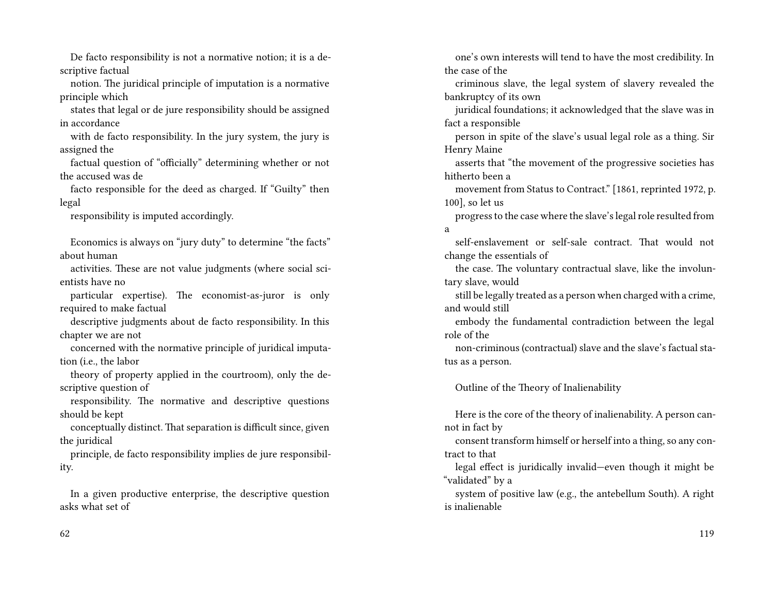De facto responsibility is not a normative notion; it is a descriptive factual

notion. The juridical principle of imputation is a normative principle which

states that legal or de jure responsibility should be assigned in accordance

with de facto responsibility. In the jury system, the jury is assigned the

factual question of "officially" determining whether or not the accused was de

facto responsible for the deed as charged. If "Guilty" then legal

responsibility is imputed accordingly.

Economics is always on "jury duty" to determine "the facts" about human

activities. These are not value judgments (where social scientists have no

particular expertise). The economist-as-juror is only required to make factual

descriptive judgments about de facto responsibility. In this chapter we are not

concerned with the normative principle of juridical imputation (i.e., the labor

theory of property applied in the courtroom), only the descriptive question of

responsibility. The normative and descriptive questions should be kept

conceptually distinct. That separation is difficult since, given the juridical

principle, de facto responsibility implies de jure responsibility.

In a given productive enterprise, the descriptive question asks what set of

62

one's own interests will tend to have the most credibility. In the case of the

criminous slave, the legal system of slavery revealed the bankruptcy of its own

juridical foundations; it acknowledged that the slave was in fact a responsible

person in spite of the slave's usual legal role as a thing. Sir Henry Maine

asserts that "the movement of the progressive societies has hitherto been a

movement from Status to Contract." [1861, reprinted 1972, p. 100], so let us

progress to the case where the slave's legal role resulted from a

self-enslavement or self-sale contract. That would not change the essentials of

the case. The voluntary contractual slave, like the involuntary slave, would

still be legally treated as a person when charged with a crime, and would still

embody the fundamental contradiction between the legal role of the

non-criminous (contractual) slave and the slave's factual status as a person.

Outline of the Theory of Inalienability

Here is the core of the theory of inalienability. A person cannot in fact by

consent transform himself or herself into a thing, so any contract to that

legal effect is juridically invalid—even though it might be "validated" by a

system of positive law (e.g., the antebellum South). A right is inalienable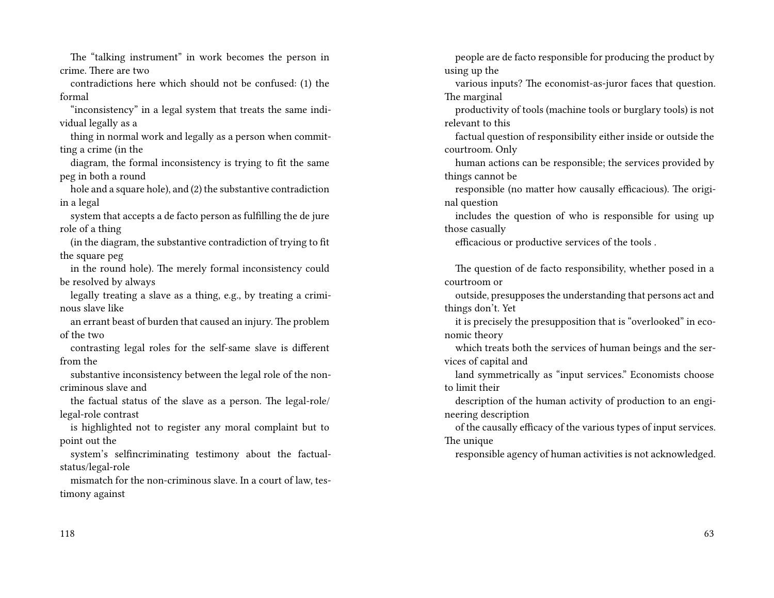The "talking instrument" in work becomes the person in crime. There are two

contradictions here which should not be confused: (1) the formal

"inconsistency" in a legal system that treats the same individual legally as a

thing in normal work and legally as a person when committing a crime (in the

diagram, the formal inconsistency is trying to fit the same peg in both a round

hole and a square hole), and (2) the substantive contradiction in a legal

system that accepts a de facto person as fulfilling the de jure role of a thing

(in the diagram, the substantive contradiction of trying to fit the square peg

in the round hole). The merely formal inconsistency could be resolved by always

legally treating a slave as a thing, e.g., by treating a criminous slave like

an errant beast of burden that caused an injury. The problem of the two

contrasting legal roles for the self-same slave is different from the

substantive inconsistency between the legal role of the noncriminous slave and

the factual status of the slave as a person. The legal-role/ legal-role contrast

is highlighted not to register any moral complaint but to point out the

system's selfincriminating testimony about the factualstatus/legal-role

mismatch for the non-criminous slave. In a court of law, testimony against

people are de facto responsible for producing the product by using up the

various inputs? The economist-as-juror faces that question. The marginal

productivity of tools (machine tools or burglary tools) is not relevant to this

factual question of responsibility either inside or outside the courtroom. Only

human actions can be responsible; the services provided by things cannot be

responsible (no matter how causally efficacious). The original question

includes the question of who is responsible for using up those casually

efficacious or productive services of the tools .

The question of de facto responsibility, whether posed in a courtroom or

outside, presupposes the understanding that persons act and things don't. Yet

it is precisely the presupposition that is "overlooked" in economic theory

which treats both the services of human beings and the services of capital and

land symmetrically as "input services." Economists choose to limit their

description of the human activity of production to an engineering description

of the causally efficacy of the various types of input services. The unique

responsible agency of human activities is not acknowledged.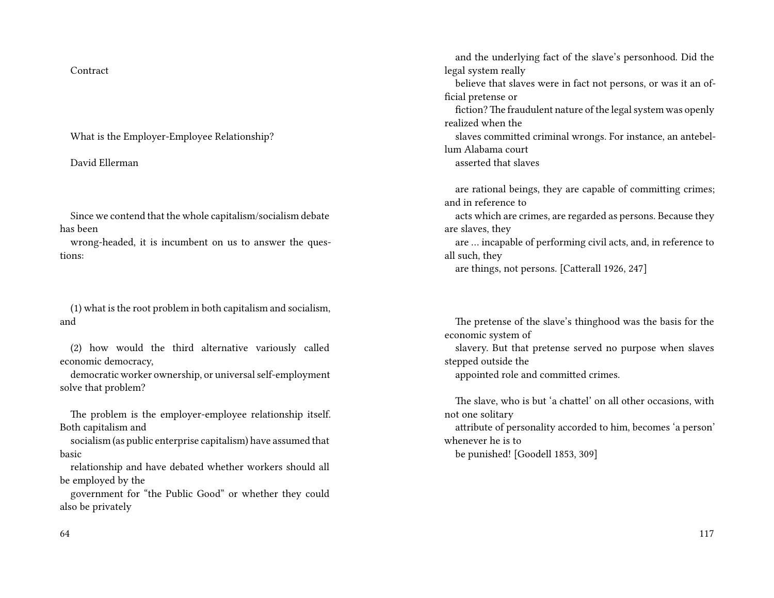### **Contract**

What is the Employer-Employee Relationship?

David Ellerman

Since we contend that the whole capitalism/socialism debate has been

wrong-headed, it is incumbent on us to answer the questions:

(1) what is the root problem in both capitalism and socialism, and

(2) how would the third alternative variously called economic democracy,

democratic worker ownership, or universal self-employment solve that problem?

The problem is the employer-employee relationship itself. Both capitalism and

socialism (as public enterprise capitalism) have assumed that basic

relationship and have debated whether workers should all be employed by the

government for "the Public Good" or whether they could also be privately

64

and the underlying fact of the slave's personhood. Did the legal system really

believe that slaves were in fact not persons, or was it an official pretense or

fiction?The fraudulent nature of the legal system was openly realized when the

slaves committed criminal wrongs. For instance, an antebellum Alabama court

asserted that slaves

are rational beings, they are capable of committing crimes; and in reference to

acts which are crimes, are regarded as persons. Because they are slaves, they

are … incapable of performing civil acts, and, in reference to all such, they

are things, not persons. [Catterall 1926, 247]

The pretense of the slave's thinghood was the basis for the economic system of

slavery. But that pretense served no purpose when slaves stepped outside the

appointed role and committed crimes.

The slave, who is but 'a chattel' on all other occasions, with not one solitary

attribute of personality accorded to him, becomes 'a person' whenever he is to

be punished! [Goodell 1853, 309]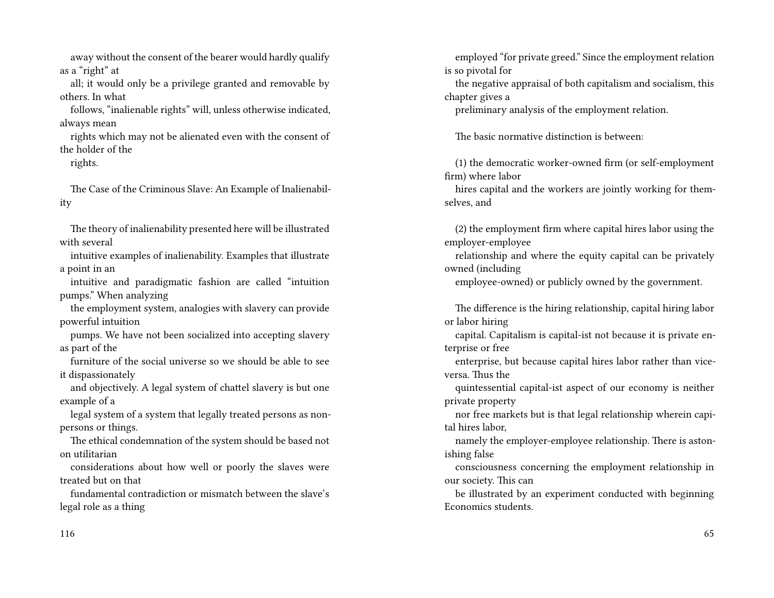away without the consent of the bearer would hardly qualify as a "right" at

all; it would only be a privilege granted and removable by others. In what

follows, "inalienable rights" will, unless otherwise indicated, always mean

rights which may not be alienated even with the consent of the holder of the

rights.

The Case of the Criminous Slave: An Example of Inalienability

The theory of inalienability presented here will be illustrated with several

intuitive examples of inalienability. Examples that illustrate a point in an

intuitive and paradigmatic fashion are called "intuition pumps." When analyzing

the employment system, analogies with slavery can provide powerful intuition

pumps. We have not been socialized into accepting slavery as part of the

furniture of the social universe so we should be able to see it dispassionately

and objectively. A legal system of chattel slavery is but one example of a

legal system of a system that legally treated persons as nonpersons or things.

The ethical condemnation of the system should be based not on utilitarian

considerations about how well or poorly the slaves were treated but on that

fundamental contradiction or mismatch between the slave's legal role as a thing

the negative appraisal of both capitalism and socialism, this chapter gives a

preliminary analysis of the employment relation.

The basic normative distinction is between:

(1) the democratic worker-owned firm (or self-employment firm) where labor

hires capital and the workers are jointly working for themselves, and

(2) the employment firm where capital hires labor using the employer-employee

relationship and where the equity capital can be privately owned (including

employee-owned) or publicly owned by the government.

The difference is the hiring relationship, capital hiring labor or labor hiring

capital. Capitalism is capital-ist not because it is private enterprise or free

enterprise, but because capital hires labor rather than viceversa. Thus the

quintessential capital-ist aspect of our economy is neither private property

nor free markets but is that legal relationship wherein capital hires labor,

namely the employer-employee relationship. There is astonishing false

consciousness concerning the employment relationship in our society. This can

be illustrated by an experiment conducted with beginning Economics students.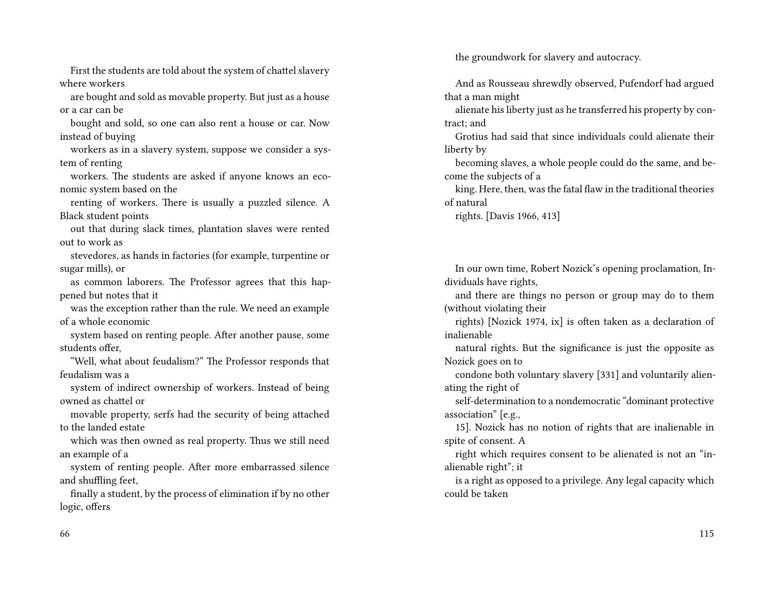First the students are told about the system of chattel slavery where workers

are bought and sold as movable property. But just as a house or a car can be

bought and sold, so one can also rent a house or car. Now instead of buying

workers as in a slavery system, suppose we consider a system of renting

workers. The students are asked if anyone knows an economic system based on the

renting of workers. There is usually a puzzled silence. A Black student points

out that during slack times, plantation slaves were rented out to work as

stevedores, as hands in factories (for example, turpentine or sugar mills), or

as common laborers. The Professor agrees that this happened but notes that it

was the exception rather than the rule. We need an example of a whole economic

system based on renting people. After another pause, some students offer,

"Well, what about feudalism?" The Professor responds that feudalism was a

system of indirect ownership of workers. Instead of being owned as chattel or

movable property, serfs had the security of being attached to the landed estate

which was then owned as real property. Thus we still need an example of a

system of renting people. After more embarrassed silence and shuffling feet,

finally a student, by the process of elimination if by no other logic, offers

the groundwork for slavery and autocracy.

And as Rousseau shrewdly observed, Pufendorf had argued that a man might

alienate his liberty just as he transferred his property by contract; and

Grotius had said that since individuals could alienate their liberty by

becoming slaves, a whole people could do the same, and become the subjects of a

king. Here, then, was the fatal flaw in the traditional theories of natural

rights. [Davis 1966, 413]

In our own time, Robert Nozick's opening proclamation, Individuals have rights,

and there are things no person or group may do to them (without violating their

rights) [Nozick 1974, ix] is often taken as a declaration of inalienable

natural rights. But the significance is just the opposite as Nozick goes on to

condone both voluntary slavery [331] and voluntarily alienating the right of

self-determination to a nondemocratic "dominant protective association" [e.g.,

15]. Nozick has no notion of rights that are inalienable in spite of consent. A

right which requires consent to be alienated is not an "inalienable right"; it

is a right as opposed to a privilege. Any legal capacity which could be taken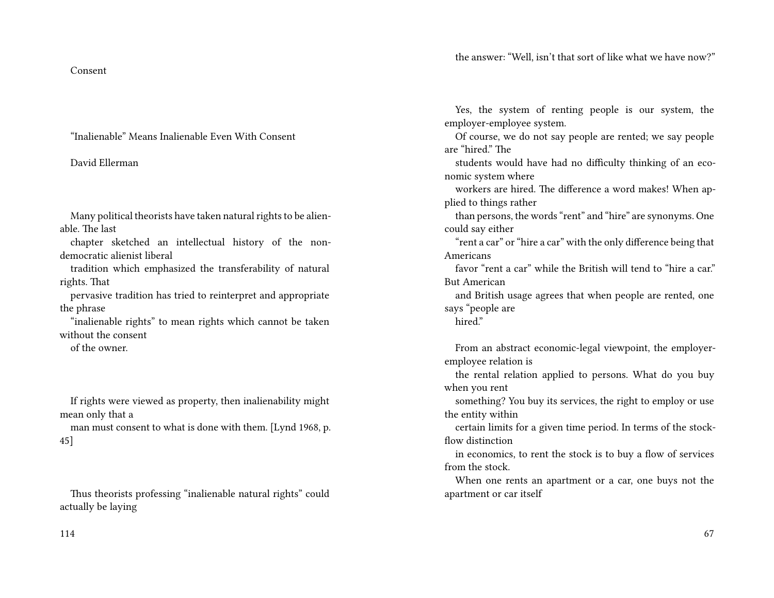## Consent

"Inalienable" Means Inalienable Even With Consent

David Ellerman

Many political theorists have taken natural rights to be alienable. The last

chapter sketched an intellectual history of the nondemocratic alienist liberal

tradition which emphasized the transferability of natural rights. That

pervasive tradition has tried to reinterpret and appropriate the phrase

"inalienable rights" to mean rights which cannot be taken without the consent

of the owner.

If rights were viewed as property, then inalienability might mean only that a

man must consent to what is done with them. [Lynd 1968, p. 45]

Thus theorists professing "inalienable natural rights" could actually be laying

Yes, the system of renting people is our system, the employer-employee system.

Of course, we do not say people are rented; we say people are "hired." The

students would have had no difficulty thinking of an economic system where

workers are hired. The difference a word makes! When applied to things rather

than persons, the words "rent" and "hire" are synonyms. One could say either

"rent a car" or "hire a car" with the only difference being that Americans

favor "rent a car" while the British will tend to "hire a car." But American

and British usage agrees that when people are rented, one says "people are

hired."

From an abstract economic-legal viewpoint, the employeremployee relation is

the rental relation applied to persons. What do you buy when you rent

something? You buy its services, the right to employ or use the entity within

certain limits for a given time period. In terms of the stockflow distinction

in economics, to rent the stock is to buy a flow of services from the stock.

When one rents an apartment or a car, one buys not the apartment or car itself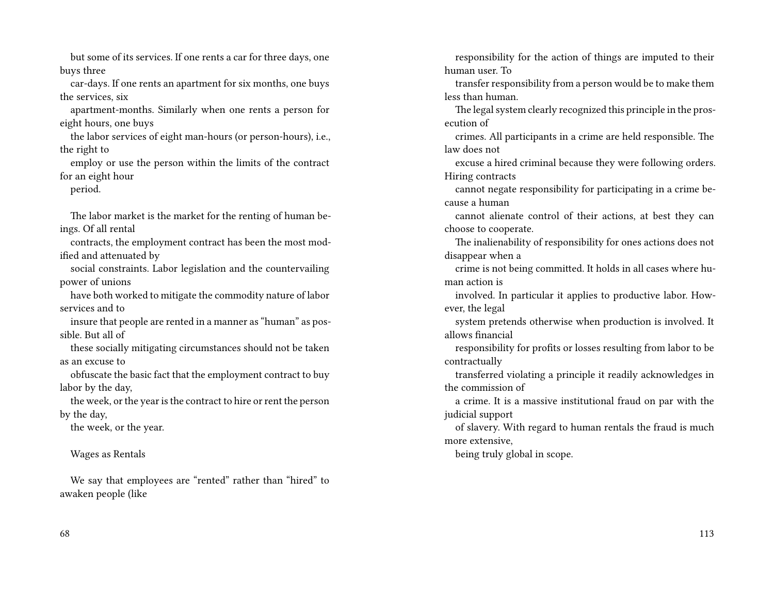but some of its services. If one rents a car for three days, one buys three

car-days. If one rents an apartment for six months, one buys the services, six

apartment-months. Similarly when one rents a person for eight hours, one buys

the labor services of eight man-hours (or person-hours), i.e., the right to

employ or use the person within the limits of the contract for an eight hour

period.

The labor market is the market for the renting of human beings. Of all rental

contracts, the employment contract has been the most modified and attenuated by

social constraints. Labor legislation and the countervailing power of unions

have both worked to mitigate the commodity nature of labor services and to

insure that people are rented in a manner as "human" as possible. But all of

these socially mitigating circumstances should not be taken as an excuse to

obfuscate the basic fact that the employment contract to buy labor by the day,

the week, or the year is the contract to hire or rent the person by the day,

the week, or the year.

Wages as Rentals

We say that employees are "rented" rather than "hired" to awaken people (like

responsibility for the action of things are imputed to their human user. To

transfer responsibility from a person would be to make them less than human.

The legal system clearly recognized this principle in the prosecution of

crimes. All participants in a crime are held responsible. The law does not

excuse a hired criminal because they were following orders. Hiring contracts

cannot negate responsibility for participating in a crime because a human

cannot alienate control of their actions, at best they can choose to cooperate.

The inalienability of responsibility for ones actions does not disappear when a

crime is not being committed. It holds in all cases where human action is

involved. In particular it applies to productive labor. However, the legal

system pretends otherwise when production is involved. It allows financial

responsibility for profits or losses resulting from labor to be contractually

transferred violating a principle it readily acknowledges in the commission of

a crime. It is a massive institutional fraud on par with the judicial support

of slavery. With regard to human rentals the fraud is much more extensive,

being truly global in scope.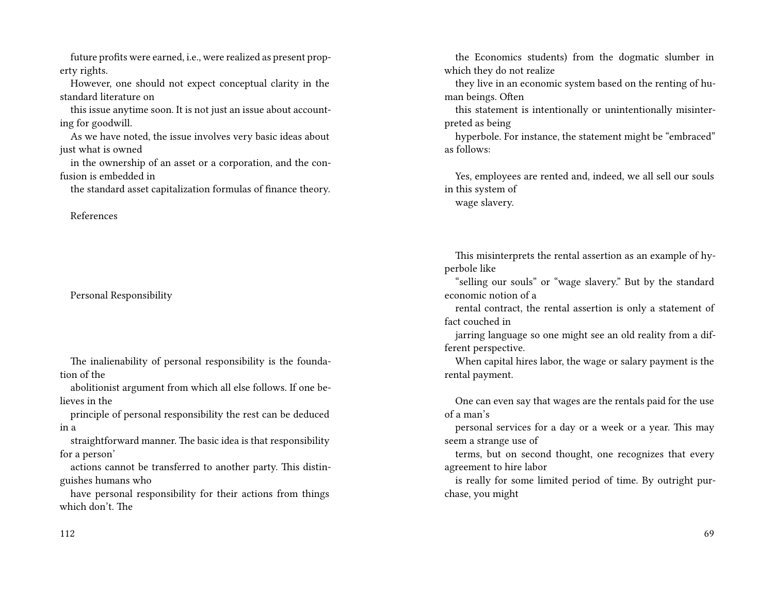future profits were earned, i.e., were realized as present property rights.

However, one should not expect conceptual clarity in the standard literature on

this issue anytime soon. It is not just an issue about accounting for goodwill.

As we have noted, the issue involves very basic ideas about just what is owned

in the ownership of an asset or a corporation, and the confusion is embedded in

the standard asset capitalization formulas of finance theory.

References

Personal Responsibility

The inalienability of personal responsibility is the foundation of the

abolitionist argument from which all else follows. If one believes in the

principle of personal responsibility the rest can be deduced in a

straightforward manner. The basic idea is that responsibility for a person'

actions cannot be transferred to another party. This distinguishes humans who

have personal responsibility for their actions from things which don't. The

112

the Economics students) from the dogmatic slumber in which they do not realize

they live in an economic system based on the renting of human beings. Often

this statement is intentionally or unintentionally misinterpreted as being

hyperbole. For instance, the statement might be "embraced" as follows:

Yes, employees are rented and, indeed, we all sell our souls in this system of

wage slavery.

This misinterprets the rental assertion as an example of hyperbole like

"selling our souls" or "wage slavery." But by the standard economic notion of a

rental contract, the rental assertion is only a statement of fact couched in

jarring language so one might see an old reality from a different perspective.

When capital hires labor, the wage or salary payment is the rental payment.

One can even say that wages are the rentals paid for the use of a man's

personal services for a day or a week or a year. This may seem a strange use of

terms, but on second thought, one recognizes that every agreement to hire labor

is really for some limited period of time. By outright purchase, you might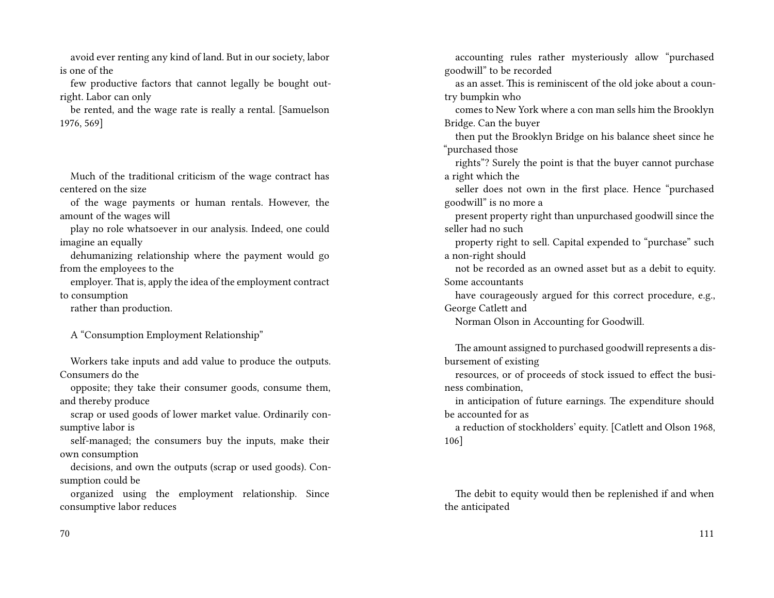avoid ever renting any kind of land. But in our society, labor is one of the

few productive factors that cannot legally be bought outright. Labor can only

be rented, and the wage rate is really a rental. [Samuelson 1976, 569]

Much of the traditional criticism of the wage contract has centered on the size

of the wage payments or human rentals. However, the amount of the wages will

play no role whatsoever in our analysis. Indeed, one could imagine an equally

dehumanizing relationship where the payment would go from the employees to the

employer. That is, apply the idea of the employment contract to consumption

rather than production.

A "Consumption Employment Relationship"

Workers take inputs and add value to produce the outputs. Consumers do the

opposite; they take their consumer goods, consume them, and thereby produce

scrap or used goods of lower market value. Ordinarily consumptive labor is

self-managed; the consumers buy the inputs, make their own consumption

decisions, and own the outputs (scrap or used goods). Consumption could be

organized using the employment relationship. Since consumptive labor reduces

accounting rules rather mysteriously allow "purchased goodwill" to be recorded

as an asset. This is reminiscent of the old joke about a country bumpkin who

comes to New York where a con man sells him the Brooklyn Bridge. Can the buyer

then put the Brooklyn Bridge on his balance sheet since he "purchased those

rights"? Surely the point is that the buyer cannot purchase a right which the

seller does not own in the first place. Hence "purchased goodwill" is no more a

present property right than unpurchased goodwill since the seller had no such

property right to sell. Capital expended to "purchase" such a non-right should

not be recorded as an owned asset but as a debit to equity. Some accountants

have courageously argued for this correct procedure, e.g., George Catlett and

Norman Olson in Accounting for Goodwill.

The amount assigned to purchased goodwill represents a disbursement of existing

resources, or of proceeds of stock issued to effect the business combination,

in anticipation of future earnings. The expenditure should be accounted for as

a reduction of stockholders' equity. [Catlett and Olson 1968, 106]

The debit to equity would then be replenished if and when the anticipated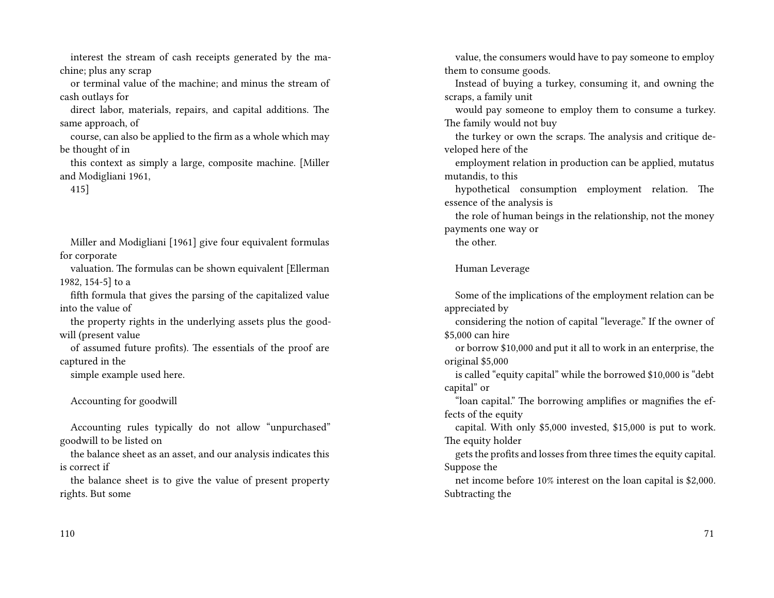interest the stream of cash receipts generated by the machine; plus any scrap

or terminal value of the machine; and minus the stream of cash outlays for

direct labor, materials, repairs, and capital additions. The same approach, of

course, can also be applied to the firm as a whole which may be thought of in

this context as simply a large, composite machine. [Miller and Modigliani 1961,

415]

Miller and Modigliani [1961] give four equivalent formulas for corporate

valuation. The formulas can be shown equivalent [Ellerman 1982, 154-5] to a

fifth formula that gives the parsing of the capitalized value into the value of

the property rights in the underlying assets plus the goodwill (present value

of assumed future profits). The essentials of the proof are captured in the

simple example used here.

Accounting for goodwill

Accounting rules typically do not allow "unpurchased" goodwill to be listed on

the balance sheet as an asset, and our analysis indicates this is correct if

the balance sheet is to give the value of present property rights. But some

value, the consumers would have to pay someone to employ them to consume goods.

Instead of buying a turkey, consuming it, and owning the scraps, a family unit

would pay someone to employ them to consume a turkey. The family would not buy

the turkey or own the scraps. The analysis and critique developed here of the

employment relation in production can be applied, mutatus mutandis, to this

hypothetical consumption employment relation. The essence of the analysis is

the role of human beings in the relationship, not the money payments one way or

the other.

Human Leverage

Some of the implications of the employment relation can be appreciated by

considering the notion of capital "leverage." If the owner of \$5,000 can hire

or borrow \$10,000 and put it all to work in an enterprise, the original \$5,000

is called "equity capital" while the borrowed \$10,000 is "debt capital" or

"loan capital." The borrowing amplifies or magnifies the effects of the equity

capital. With only \$5,000 invested, \$15,000 is put to work. The equity holder

gets the profits and losses from three times the equity capital. Suppose the

net income before 10% interest on the loan capital is \$2,000. Subtracting the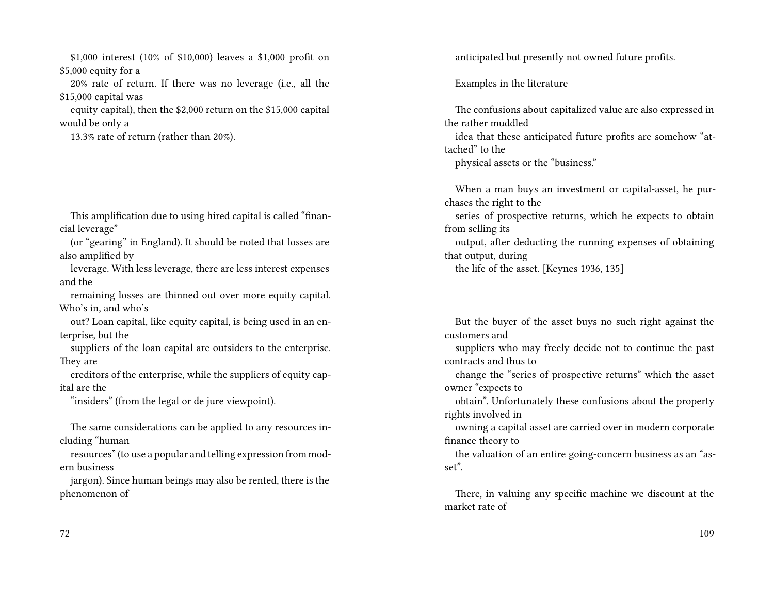\$1,000 interest (10% of \$10,000) leaves a \$1,000 profit on \$5,000 equity for a

20% rate of return. If there was no leverage (i.e., all the \$15,000 capital was

equity capital), then the \$2,000 return on the \$15,000 capital would be only a

13.3% rate of return (rather than 20%).

This amplification due to using hired capital is called "financial leverage"

(or "gearing" in England). It should be noted that losses are also amplified by

leverage. With less leverage, there are less interest expenses and the

remaining losses are thinned out over more equity capital. Who's in, and who's

out? Loan capital, like equity capital, is being used in an enterprise, but the

suppliers of the loan capital are outsiders to the enterprise. They are

creditors of the enterprise, while the suppliers of equity capital are the

"insiders" (from the legal or de jure viewpoint).

The same considerations can be applied to any resources including "human

resources" (to use a popular and telling expression from modern business

jargon). Since human beings may also be rented, there is the phenomenon of

anticipated but presently not owned future profits.

Examples in the literature

The confusions about capitalized value are also expressed in the rather muddled

idea that these anticipated future profits are somehow "attached" to the

physical assets or the "business."

When a man buys an investment or capital-asset, he purchases the right to the

series of prospective returns, which he expects to obtain from selling its

output, after deducting the running expenses of obtaining that output, during

the life of the asset. [Keynes 1936, 135]

But the buyer of the asset buys no such right against the customers and

suppliers who may freely decide not to continue the past contracts and thus to

change the "series of prospective returns" which the asset owner "expects to

obtain". Unfortunately these confusions about the property rights involved in

owning a capital asset are carried over in modern corporate finance theory to

the valuation of an entire going-concern business as an "asset".

There, in valuing any specific machine we discount at the market rate of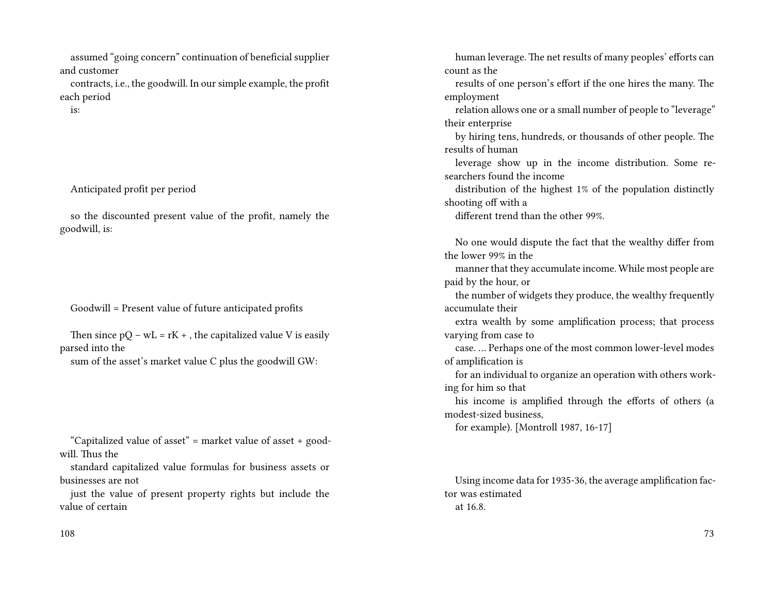assumed "going concern" continuation of beneficial supplier and customer

contracts, i.e., the goodwill. In our simple example, the profit each period

is:

Anticipated profit per period

so the discounted present value of the profit, namely the goodwill, is:

Goodwill = Present value of future anticipated profits

Then since  $pQ - wL = rK +$ , the capitalized value V is easily parsed into the

sum of the asset's market value C plus the goodwill GW:

"Capitalized value of asset" = market value of asset + goodwill. Thus the

standard capitalized value formulas for business assets or businesses are not

just the value of present property rights but include the value of certain

human leverage. The net results of many peoples' efforts can count as the

results of one person's effort if the one hires the many. The employment

relation allows one or a small number of people to "leverage" their enterprise

by hiring tens, hundreds, or thousands of other people. The results of human

leverage show up in the income distribution. Some researchers found the income

distribution of the highest 1% of the population distinctly shooting off with a

different trend than the other 99%.

No one would dispute the fact that the wealthy differ from the lower 99% in the

manner that they accumulate income. While most people are paid by the hour, or

the number of widgets they produce, the wealthy frequently accumulate their

extra wealth by some amplification process; that process varying from case to

case. … Perhaps one of the most common lower-level modes of amplification is

for an individual to organize an operation with others working for him so that

his income is amplified through the efforts of others (a modest-sized business,

for example). [Montroll 1987, 16-17]

Using income data for 1935-36, the average amplification factor was estimated at 16.8.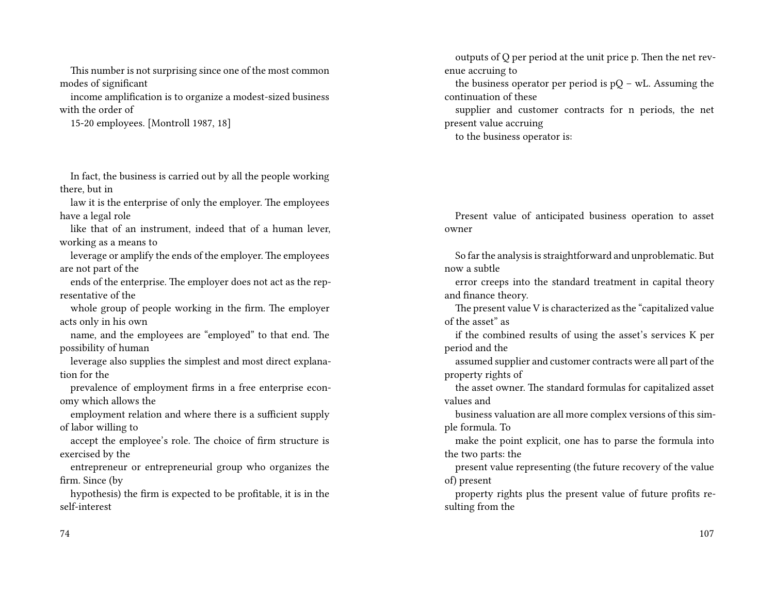This number is not surprising since one of the most common modes of significant

income amplification is to organize a modest-sized business with the order of

15-20 employees. [Montroll 1987, 18]

In fact, the business is carried out by all the people working there, but in

law it is the enterprise of only the employer. The employees have a legal role

like that of an instrument, indeed that of a human lever, working as a means to

leverage or amplify the ends of the employer. The employees are not part of the

ends of the enterprise. The employer does not act as the representative of the

whole group of people working in the firm. The employer acts only in his own

name, and the employees are "employed" to that end. The possibility of human

leverage also supplies the simplest and most direct explanation for the

prevalence of employment firms in a free enterprise economy which allows the

employment relation and where there is a sufficient supply of labor willing to

accept the employee's role. The choice of firm structure is exercised by the

entrepreneur or entrepreneurial group who organizes the firm. Since (by

hypothesis) the firm is expected to be profitable, it is in the self-interest

outputs of Q per period at the unit price p. Then the net revenue accruing to

the business operator per period is  $pQ - wL$ . Assuming the continuation of these

supplier and customer contracts for n periods, the net present value accruing

to the business operator is:

Present value of anticipated business operation to asset owner

So far the analysis is straightforward and unproblematic. But now a subtle

error creeps into the standard treatment in capital theory and finance theory.

The present value V is characterized as the "capitalized value of the asset" as

if the combined results of using the asset's services K per period and the

assumed supplier and customer contracts were all part of the property rights of

the asset owner. The standard formulas for capitalized asset values and

business valuation are all more complex versions of this simple formula. To

make the point explicit, one has to parse the formula into the two parts: the

present value representing (the future recovery of the value of) present

property rights plus the present value of future profits resulting from the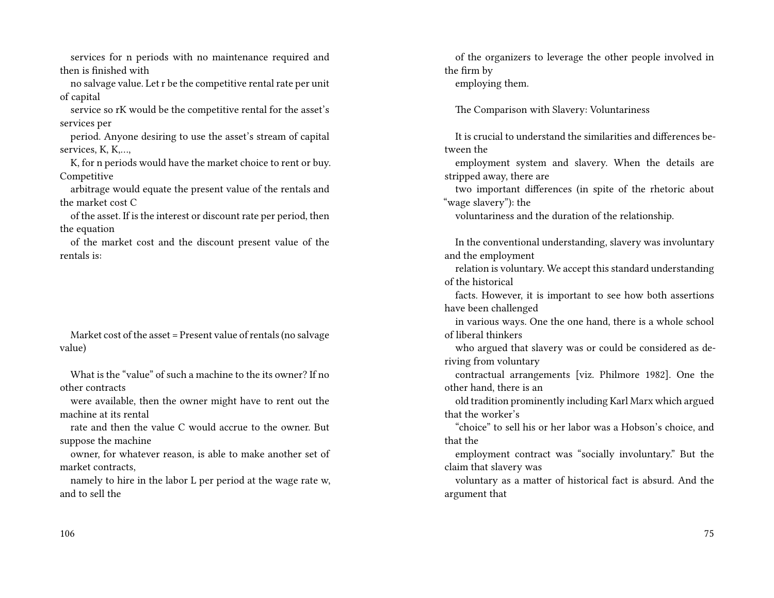services for n periods with no maintenance required and then is finished with

no salvage value. Let r be the competitive rental rate per unit of capital

service so rK would be the competitive rental for the asset's services per

period. Anyone desiring to use the asset's stream of capital services, K, K,…,

K, for n periods would have the market choice to rent or buy. Competitive

arbitrage would equate the present value of the rentals and the market cost C

of the asset. If is the interest or discount rate per period, then the equation

of the market cost and the discount present value of the rentals is:

Market cost of the asset = Present value of rentals (no salvage value)

What is the "value" of such a machine to the its owner? If no other contracts

were available, then the owner might have to rent out the machine at its rental

rate and then the value C would accrue to the owner. But suppose the machine

owner, for whatever reason, is able to make another set of market contracts,

namely to hire in the labor L per period at the wage rate w, and to sell the

of the organizers to leverage the other people involved in the firm by employing them.

The Comparison with Slavery: Voluntariness

It is crucial to understand the similarities and differences between the

employment system and slavery. When the details are stripped away, there are

two important differences (in spite of the rhetoric about "wage slavery"): the

voluntariness and the duration of the relationship.

In the conventional understanding, slavery was involuntary and the employment

relation is voluntary. We accept this standard understanding of the historical

facts. However, it is important to see how both assertions have been challenged

in various ways. One the one hand, there is a whole school of liberal thinkers

who argued that slavery was or could be considered as deriving from voluntary

contractual arrangements [viz. Philmore 1982]. One the other hand, there is an

old tradition prominently including Karl Marx which argued that the worker's

"choice" to sell his or her labor was a Hobson's choice, and that the

employment contract was "socially involuntary." But the claim that slavery was

voluntary as a matter of historical fact is absurd. And the argument that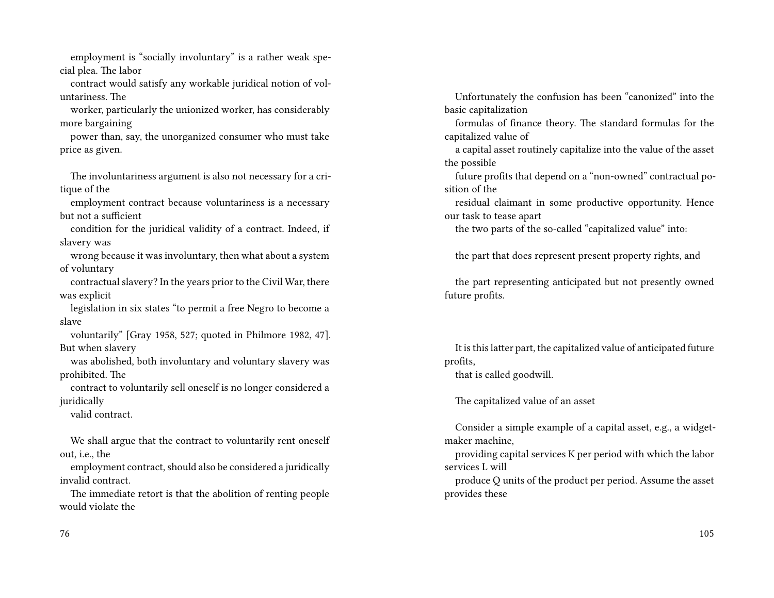employment is "socially involuntary" is a rather weak special plea. The labor

contract would satisfy any workable juridical notion of voluntariness. The

worker, particularly the unionized worker, has considerably more bargaining

power than, say, the unorganized consumer who must take price as given.

The involuntariness argument is also not necessary for a critique of the

employment contract because voluntariness is a necessary but not a sufficient

condition for the juridical validity of a contract. Indeed, if slavery was

wrong because it was involuntary, then what about a system of voluntary

contractual slavery? In the years prior to the Civil War, there was explicit

legislation in six states "to permit a free Negro to become a slave

voluntarily" [Gray 1958, 527; quoted in Philmore 1982, 47]. But when slavery

was abolished, both involuntary and voluntary slavery was prohibited. The

contract to voluntarily sell oneself is no longer considered a juridically

valid contract.

We shall argue that the contract to voluntarily rent oneself out, i.e., the

employment contract, should also be considered a juridically invalid contract.

The immediate retort is that the abolition of renting people would violate the

Unfortunately the confusion has been "canonized" into the basic capitalization

formulas of finance theory. The standard formulas for the capitalized value of

a capital asset routinely capitalize into the value of the asset the possible

future profits that depend on a "non-owned" contractual position of the

residual claimant in some productive opportunity. Hence our task to tease apart

the two parts of the so-called "capitalized value" into:

the part that does represent present property rights, and

the part representing anticipated but not presently owned future profits.

It is this latter part, the capitalized value of anticipated future profits,

that is called goodwill.

The capitalized value of an asset

Consider a simple example of a capital asset, e.g., a widgetmaker machine,

providing capital services K per period with which the labor services L will

produce Q units of the product per period. Assume the asset provides these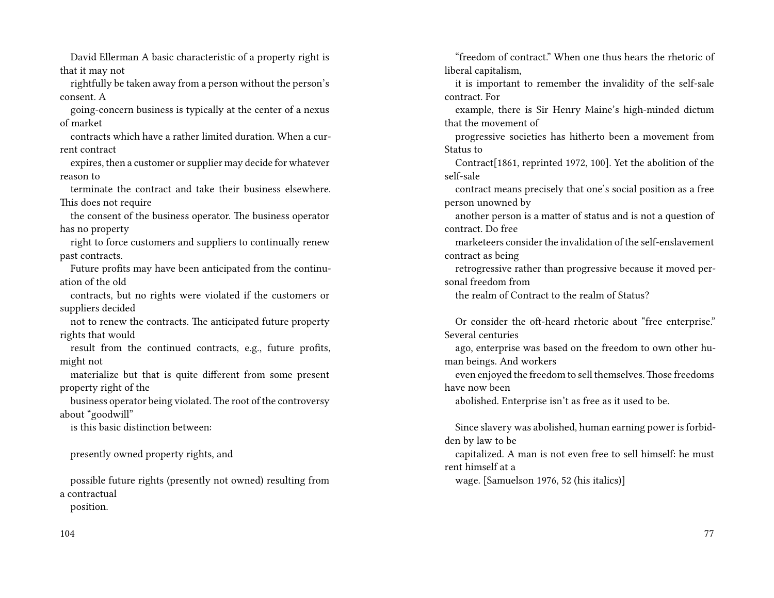David Ellerman A basic characteristic of a property right is that it may not

rightfully be taken away from a person without the person's consent. A

going-concern business is typically at the center of a nexus of market

contracts which have a rather limited duration. When a current contract

expires, then a customer or supplier may decide for whatever reason to

terminate the contract and take their business elsewhere. This does not require

the consent of the business operator. The business operator has no property

right to force customers and suppliers to continually renew past contracts.

Future profits may have been anticipated from the continuation of the old

contracts, but no rights were violated if the customers or suppliers decided

not to renew the contracts. The anticipated future property rights that would

result from the continued contracts, e.g., future profits, might not

materialize but that is quite different from some present property right of the

business operator being violated. The root of the controversy about "goodwill"

is this basic distinction between:

presently owned property rights, and

possible future rights (presently not owned) resulting from a contractual position.

104

"freedom of contract." When one thus hears the rhetoric of liberal capitalism,

it is important to remember the invalidity of the self-sale contract. For

example, there is Sir Henry Maine's high-minded dictum that the movement of

progressive societies has hitherto been a movement from Status to

Contract[1861, reprinted 1972, 100]. Yet the abolition of the self-sale

contract means precisely that one's social position as a free person unowned by

another person is a matter of status and is not a question of contract. Do free

marketeers consider the invalidation of the self-enslavement contract as being

retrogressive rather than progressive because it moved personal freedom from

the realm of Contract to the realm of Status?

Or consider the oft-heard rhetoric about "free enterprise." Several centuries

ago, enterprise was based on the freedom to own other human beings. And workers

even enjoyed the freedom to sell themselves.Those freedoms have now been

abolished. Enterprise isn't as free as it used to be.

Since slavery was abolished, human earning power is forbidden by law to be

capitalized. A man is not even free to sell himself: he must rent himself at a

wage. [Samuelson 1976, 52 (his italics)]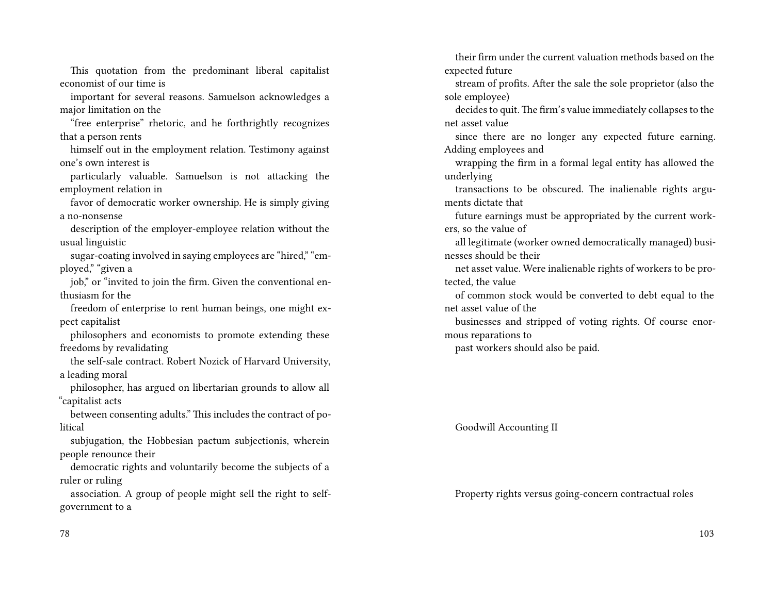This quotation from the predominant liberal capitalist economist of our time is

important for several reasons. Samuelson acknowledges a major limitation on the

"free enterprise" rhetoric, and he forthrightly recognizes that a person rents

himself out in the employment relation. Testimony against one's own interest is

particularly valuable. Samuelson is not attacking the employment relation in

favor of democratic worker ownership. He is simply giving a no-nonsense

description of the employer-employee relation without the usual linguistic

sugar-coating involved in saying employees are "hired," "employed," "given a

job," or "invited to join the firm. Given the conventional enthusiasm for the

freedom of enterprise to rent human beings, one might expect capitalist

philosophers and economists to promote extending these freedoms by revalidating

the self-sale contract. Robert Nozick of Harvard University, a leading moral

philosopher, has argued on libertarian grounds to allow all "capitalist acts

between consenting adults." This includes the contract of political

subjugation, the Hobbesian pactum subjectionis, wherein people renounce their

democratic rights and voluntarily become the subjects of a ruler or ruling

association. A group of people might sell the right to selfgovernment to a

78

their firm under the current valuation methods based on the expected future

stream of profits. After the sale the sole proprietor (also the sole employee)

decides to quit. The firm's value immediately collapses to the net asset value

since there are no longer any expected future earning. Adding employees and

wrapping the firm in a formal legal entity has allowed the underlying

transactions to be obscured. The inalienable rights arguments dictate that

future earnings must be appropriated by the current workers, so the value of

all legitimate (worker owned democratically managed) businesses should be their

net asset value. Were inalienable rights of workers to be protected, the value

of common stock would be converted to debt equal to the net asset value of the

businesses and stripped of voting rights. Of course enormous reparations to

past workers should also be paid.

Goodwill Accounting II

Property rights versus going-concern contractual roles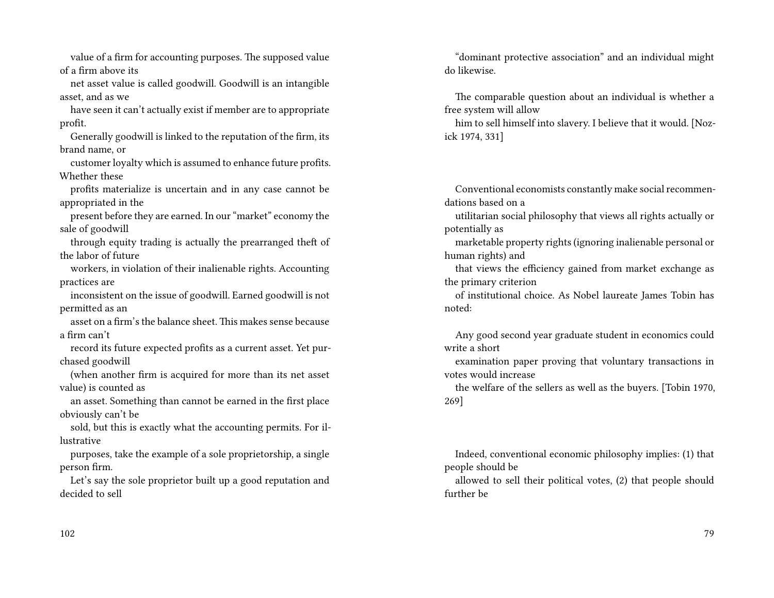value of a firm for accounting purposes. The supposed value of a firm above its

net asset value is called goodwill. Goodwill is an intangible asset, and as we

have seen it can't actually exist if member are to appropriate profit.

Generally goodwill is linked to the reputation of the firm, its brand name, or

customer loyalty which is assumed to enhance future profits. Whether these

profits materialize is uncertain and in any case cannot be appropriated in the

present before they are earned. In our "market" economy the sale of goodwill

through equity trading is actually the prearranged theft of the labor of future

workers, in violation of their inalienable rights. Accounting practices are

inconsistent on the issue of goodwill. Earned goodwill is not permitted as an

asset on a firm's the balance sheet. This makes sense because a firm can't

record its future expected profits as a current asset. Yet purchased goodwill

(when another firm is acquired for more than its net asset value) is counted as

an asset. Something than cannot be earned in the first place obviously can't be

sold, but this is exactly what the accounting permits. For illustrative

purposes, take the example of a sole proprietorship, a single person firm.

Let's say the sole proprietor built up a good reputation and decided to sell

"dominant protective association" and an individual might do likewise.

The comparable question about an individual is whether a free system will allow

him to sell himself into slavery. I believe that it would. [Nozick 1974, 331]

Conventional economists constantly make social recommendations based on a

utilitarian social philosophy that views all rights actually or potentially as

marketable property rights (ignoring inalienable personal or human rights) and

that views the efficiency gained from market exchange as the primary criterion

of institutional choice. As Nobel laureate James Tobin has noted:

Any good second year graduate student in economics could write a short

examination paper proving that voluntary transactions in votes would increase

the welfare of the sellers as well as the buyers. [Tobin 1970, 269]

Indeed, conventional economic philosophy implies: (1) that people should be

allowed to sell their political votes, (2) that people should further be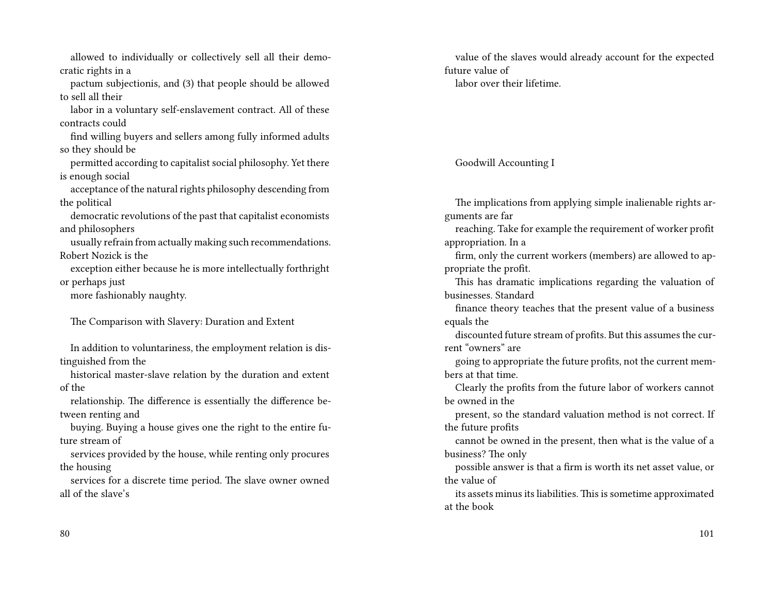allowed to individually or collectively sell all their democratic rights in a

pactum subjectionis, and (3) that people should be allowed to sell all their

labor in a voluntary self-enslavement contract. All of these contracts could

find willing buyers and sellers among fully informed adults so they should be

permitted according to capitalist social philosophy. Yet there is enough social

acceptance of the natural rights philosophy descending from the political

democratic revolutions of the past that capitalist economists and philosophers

usually refrain from actually making such recommendations. Robert Nozick is the

exception either because he is more intellectually forthright or perhaps just

more fashionably naughty.

The Comparison with Slavery: Duration and Extent

In addition to voluntariness, the employment relation is distinguished from the

historical master-slave relation by the duration and extent of the

relationship. The difference is essentially the difference between renting and

buying. Buying a house gives one the right to the entire future stream of

services provided by the house, while renting only procures the housing

services for a discrete time period. The slave owner owned all of the slave's

value of the slaves would already account for the expected future value of labor over their lifetime.

Goodwill Accounting I

The implications from applying simple inalienable rights arguments are far

reaching. Take for example the requirement of worker profit appropriation. In a

firm, only the current workers (members) are allowed to appropriate the profit.

This has dramatic implications regarding the valuation of businesses. Standard

finance theory teaches that the present value of a business equals the

discounted future stream of profits. But this assumes the current "owners" are

going to appropriate the future profits, not the current members at that time.

Clearly the profits from the future labor of workers cannot be owned in the

present, so the standard valuation method is not correct. If the future profits

cannot be owned in the present, then what is the value of a business? The only

possible answer is that a firm is worth its net asset value, or the value of

its assets minus its liabilities. This is sometime approximated at the book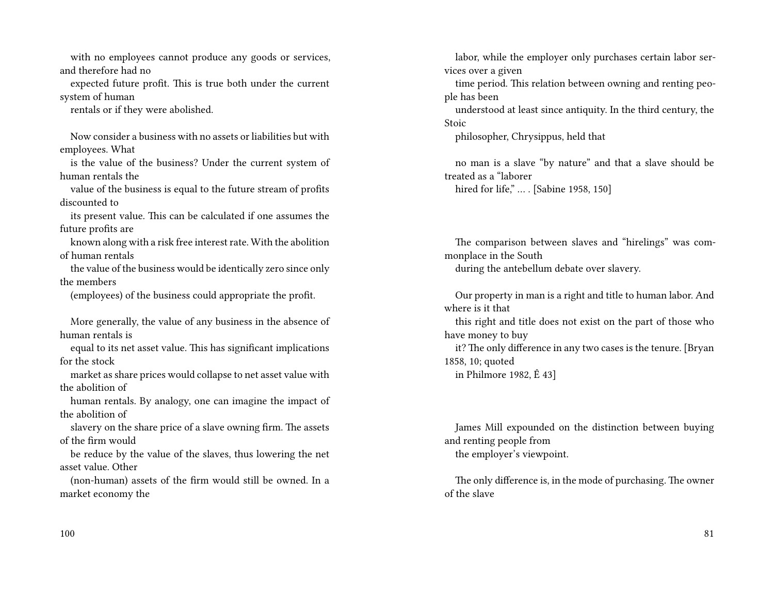with no employees cannot produce any goods or services, and therefore had no

expected future profit. This is true both under the current system of human

rentals or if they were abolished.

Now consider a business with no assets or liabilities but with employees. What

is the value of the business? Under the current system of human rentals the

value of the business is equal to the future stream of profits discounted to

its present value. This can be calculated if one assumes the future profits are

known along with a risk free interest rate. With the abolition of human rentals

the value of the business would be identically zero since only the members

(employees) of the business could appropriate the profit.

More generally, the value of any business in the absence of human rentals is

equal to its net asset value. This has significant implications for the stock

market as share prices would collapse to net asset value with the abolition of

human rentals. By analogy, one can imagine the impact of the abolition of

slavery on the share price of a slave owning firm. The assets of the firm would

be reduce by the value of the slaves, thus lowering the net asset value. Other

(non-human) assets of the firm would still be owned. In a market economy the

labor, while the employer only purchases certain labor services over a given

time period. This relation between owning and renting people has been

understood at least since antiquity. In the third century, the **Stoic** 

philosopher, Chrysippus, held that

no man is a slave "by nature" and that a slave should be treated as a "laborer

hired for life," … . [Sabine 1958, 150]

The comparison between slaves and "hirelings" was commonplace in the South

during the antebellum debate over slavery.

Our property in man is a right and title to human labor. And where is it that

this right and title does not exist on the part of those who have money to buy

it? The only difference in any two cases is the tenure. [Bryan 1858, 10; quoted in Philmore 1982, Ê 43]

James Mill expounded on the distinction between buying and renting people from the employer's viewpoint.

The only difference is, in the mode of purchasing. The owner of the slave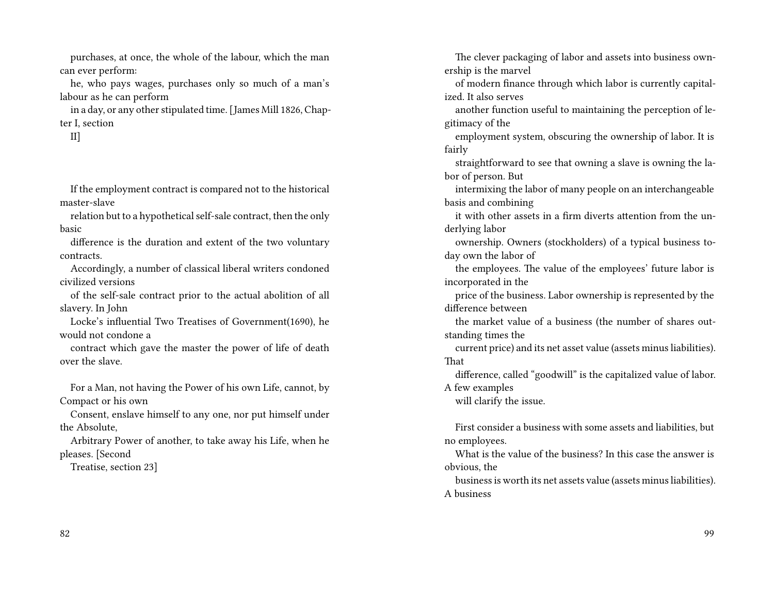purchases, at once, the whole of the labour, which the man can ever perform:

he, who pays wages, purchases only so much of a man's labour as he can perform

in a day, or any other stipulated time. [James Mill 1826, Chapter I, section

II]

If the employment contract is compared not to the historical master-slave

relation but to a hypothetical self-sale contract, then the only basic

difference is the duration and extent of the two voluntary contracts.

Accordingly, a number of classical liberal writers condoned civilized versions

of the self-sale contract prior to the actual abolition of all slavery. In John

Locke's influential Two Treatises of Government(1690), he would not condone a

contract which gave the master the power of life of death over the slave.

For a Man, not having the Power of his own Life, cannot, by Compact or his own

Consent, enslave himself to any one, nor put himself under the Absolute,

Arbitrary Power of another, to take away his Life, when he pleases. [Second

Treatise, section 23]

The clever packaging of labor and assets into business ownership is the marvel

of modern finance through which labor is currently capitalized. It also serves

another function useful to maintaining the perception of legitimacy of the

employment system, obscuring the ownership of labor. It is fairly

straightforward to see that owning a slave is owning the labor of person. But

intermixing the labor of many people on an interchangeable basis and combining

it with other assets in a firm diverts attention from the underlying labor

ownership. Owners (stockholders) of a typical business today own the labor of

the employees. The value of the employees' future labor is incorporated in the

price of the business. Labor ownership is represented by the difference between

the market value of a business (the number of shares outstanding times the

current price) and its net asset value (assets minus liabilities). That

difference, called "goodwill" is the capitalized value of labor. A few examples

will clarify the issue.

First consider a business with some assets and liabilities, but no employees.

What is the value of the business? In this case the answer is obvious, the

business is worth its net assets value (assets minus liabilities). A business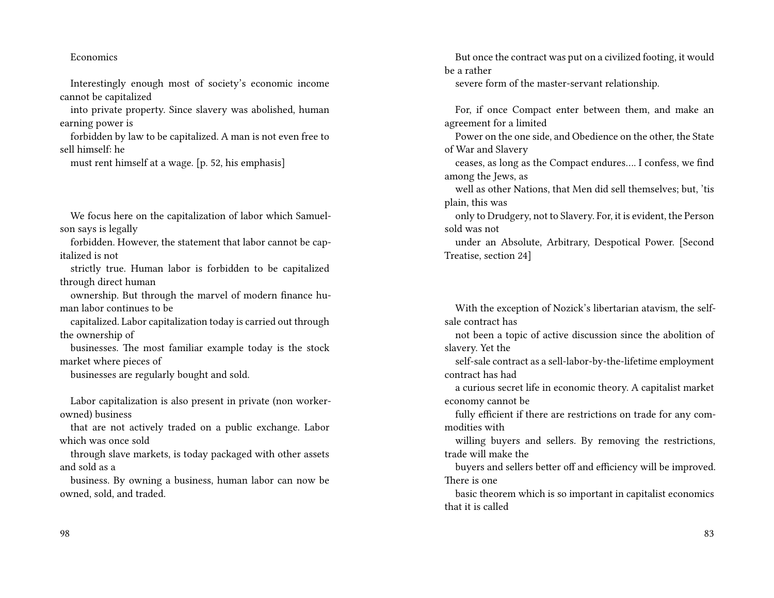## Economics

Interestingly enough most of society's economic income cannot be capitalized

into private property. Since slavery was abolished, human earning power is

forbidden by law to be capitalized. A man is not even free to sell himself: he

must rent himself at a wage. [p. 52, his emphasis]

We focus here on the capitalization of labor which Samuelson says is legally

forbidden. However, the statement that labor cannot be capitalized is not

strictly true. Human labor is forbidden to be capitalized through direct human

ownership. But through the marvel of modern finance human labor continues to be

capitalized. Labor capitalization today is carried out through the ownership of

businesses. The most familiar example today is the stock market where pieces of

businesses are regularly bought and sold.

Labor capitalization is also present in private (non workerowned) business

that are not actively traded on a public exchange. Labor which was once sold

through slave markets, is today packaged with other assets and sold as a

business. By owning a business, human labor can now be owned, sold, and traded.

But once the contract was put on a civilized footing, it would be a rather

severe form of the master-servant relationship.

For, if once Compact enter between them, and make an agreement for a limited

Power on the one side, and Obedience on the other, the State of War and Slavery

ceases, as long as the Compact endures…. I confess, we find among the Jews, as

well as other Nations, that Men did sell themselves; but, 'tis plain, this was

only to Drudgery, not to Slavery. For, it is evident, the Person sold was not

under an Absolute, Arbitrary, Despotical Power. [Second Treatise, section 24]

With the exception of Nozick's libertarian atavism, the selfsale contract has

not been a topic of active discussion since the abolition of slavery. Yet the

self-sale contract as a sell-labor-by-the-lifetime employment contract has had

a curious secret life in economic theory. A capitalist market economy cannot be

fully efficient if there are restrictions on trade for any commodities with

willing buyers and sellers. By removing the restrictions, trade will make the

buyers and sellers better off and efficiency will be improved. There is one

basic theorem which is so important in capitalist economics that it is called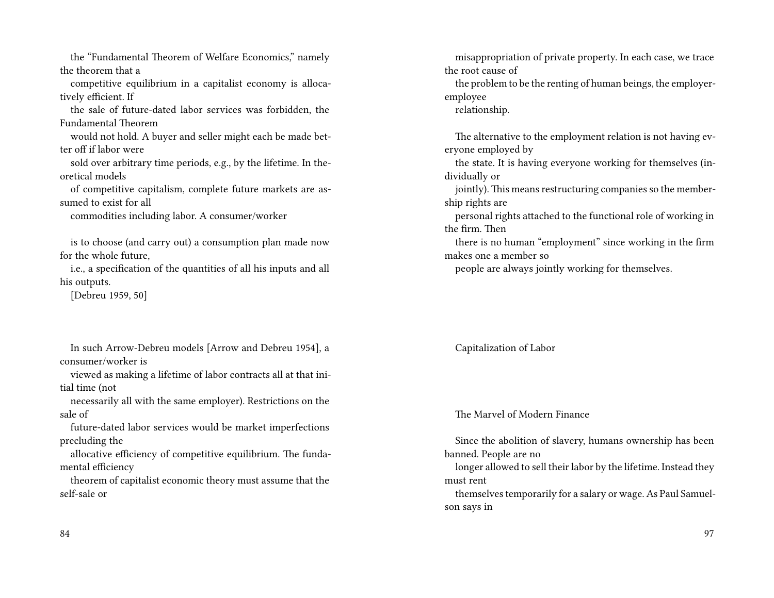the "Fundamental Theorem of Welfare Economics," namely the theorem that a

competitive equilibrium in a capitalist economy is allocatively efficient. If

the sale of future-dated labor services was forbidden, the Fundamental Theorem

would not hold. A buyer and seller might each be made better off if labor were

sold over arbitrary time periods, e.g., by the lifetime. In theoretical models

of competitive capitalism, complete future markets are assumed to exist for all

commodities including labor. A consumer/worker

is to choose (and carry out) a consumption plan made now for the whole future,

i.e., a specification of the quantities of all his inputs and all his outputs.

[Debreu 1959, 50]

In such Arrow-Debreu models [Arrow and Debreu 1954], a consumer/worker is

viewed as making a lifetime of labor contracts all at that initial time (not

necessarily all with the same employer). Restrictions on the sale of

future-dated labor services would be market imperfections precluding the

allocative efficiency of competitive equilibrium. The fundamental efficiency

theorem of capitalist economic theory must assume that the self-sale or

84

misappropriation of private property. In each case, we trace the root cause of

the problem to be the renting of human beings, the employeremployee

relationship.

The alternative to the employment relation is not having everyone employed by

the state. It is having everyone working for themselves (individually or

jointly). This means restructuring companies so the membership rights are

personal rights attached to the functional role of working in the firm. Then

there is no human "employment" since working in the firm makes one a member so

people are always jointly working for themselves.

Capitalization of Labor

The Marvel of Modern Finance

Since the abolition of slavery, humans ownership has been banned. People are no

longer allowed to sell their labor by the lifetime. Instead they must rent

themselves temporarily for a salary or wage. As Paul Samuelson says in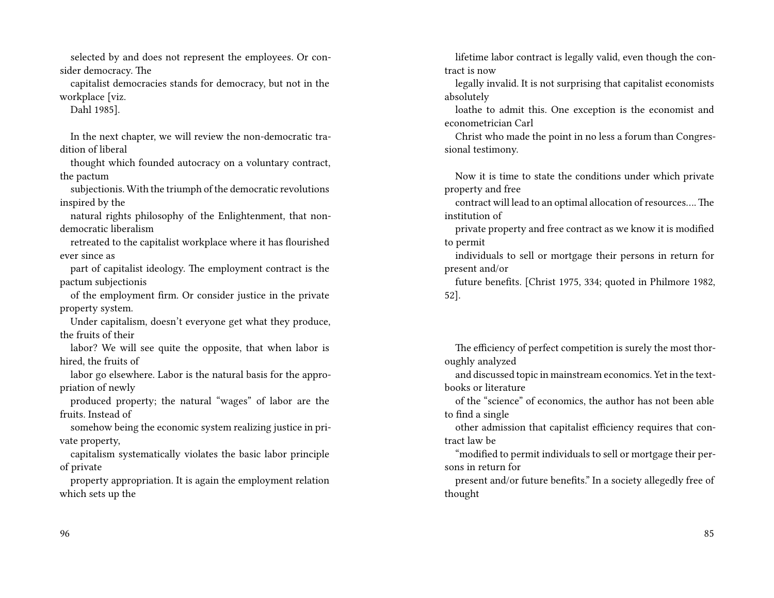selected by and does not represent the employees. Or consider democracy. The

capitalist democracies stands for democracy, but not in the workplace [viz.

Dahl 1985].

In the next chapter, we will review the non-democratic tradition of liberal

thought which founded autocracy on a voluntary contract, the pactum

subjectionis. With the triumph of the democratic revolutions inspired by the

natural rights philosophy of the Enlightenment, that nondemocratic liberalism

retreated to the capitalist workplace where it has flourished ever since as

part of capitalist ideology. The employment contract is the pactum subjectionis

of the employment firm. Or consider justice in the private property system.

Under capitalism, doesn't everyone get what they produce, the fruits of their

labor? We will see quite the opposite, that when labor is hired, the fruits of

labor go elsewhere. Labor is the natural basis for the appropriation of newly

produced property; the natural "wages" of labor are the fruits. Instead of

somehow being the economic system realizing justice in private property,

capitalism systematically violates the basic labor principle of private

property appropriation. It is again the employment relation which sets up the

lifetime labor contract is legally valid, even though the contract is now

legally invalid. It is not surprising that capitalist economists absolutely

loathe to admit this. One exception is the economist and econometrician Carl

Christ who made the point in no less a forum than Congressional testimony.

Now it is time to state the conditions under which private property and free

contract will lead to an optimal allocation of resources…. The institution of

private property and free contract as we know it is modified to permit

individuals to sell or mortgage their persons in return for present and/or

future benefits. [Christ 1975, 334; quoted in Philmore 1982, 52].

The efficiency of perfect competition is surely the most thoroughly analyzed

and discussed topic in mainstream economics. Yet in the textbooks or literature

of the "science" of economics, the author has not been able to find a single

other admission that capitalist efficiency requires that contract law be

"modified to permit individuals to sell or mortgage their persons in return for

present and/or future benefits." In a society allegedly free of thought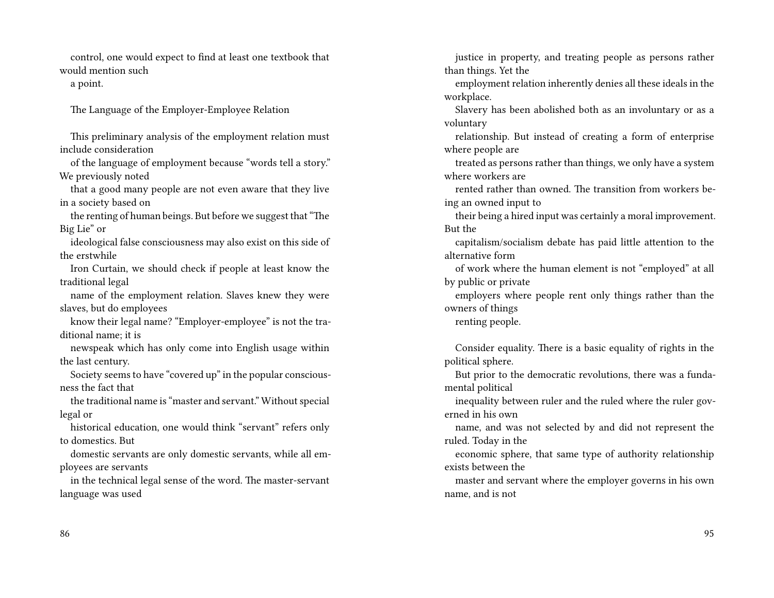control, one would expect to find at least one textbook that would mention such

a point.

The Language of the Employer-Employee Relation

This preliminary analysis of the employment relation must include consideration

of the language of employment because "words tell a story." We previously noted

that a good many people are not even aware that they live in a society based on

the renting of human beings. But before we suggest that "The Big Lie" or

ideological false consciousness may also exist on this side of the erstwhile

Iron Curtain, we should check if people at least know the traditional legal

name of the employment relation. Slaves knew they were slaves, but do employees

know their legal name? "Employer-employee" is not the traditional name; it is

newspeak which has only come into English usage within the last century.

Society seems to have "covered up" in the popular consciousness the fact that

the traditional name is "master and servant." Without special legal or

historical education, one would think "servant" refers only to domestics. But

domestic servants are only domestic servants, while all employees are servants

in the technical legal sense of the word. The master-servant language was used

justice in property, and treating people as persons rather than things. Yet the

employment relation inherently denies all these ideals in the workplace.

Slavery has been abolished both as an involuntary or as a voluntary

relationship. But instead of creating a form of enterprise where people are

treated as persons rather than things, we only have a system where workers are

rented rather than owned. The transition from workers being an owned input to

their being a hired input was certainly a moral improvement. But the

capitalism/socialism debate has paid little attention to the alternative form

of work where the human element is not "employed" at all by public or private

employers where people rent only things rather than the owners of things

renting people.

Consider equality. There is a basic equality of rights in the political sphere.

But prior to the democratic revolutions, there was a fundamental political

inequality between ruler and the ruled where the ruler governed in his own

name, and was not selected by and did not represent the ruled. Today in the

economic sphere, that same type of authority relationship exists between the

master and servant where the employer governs in his own name, and is not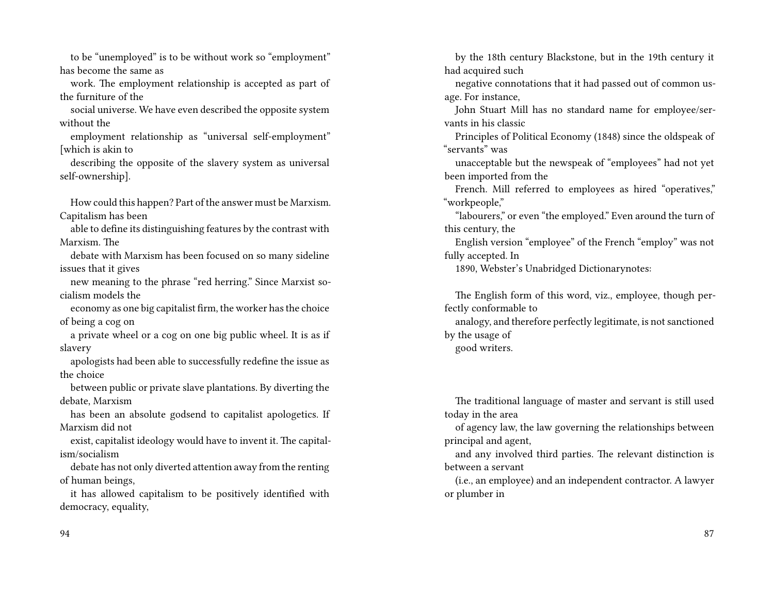to be "unemployed" is to be without work so "employment" has become the same as

work. The employment relationship is accepted as part of the furniture of the

social universe. We have even described the opposite system without the

employment relationship as "universal self-employment" [which is akin to

describing the opposite of the slavery system as universal self-ownership].

How could this happen? Part of the answer must be Marxism. Capitalism has been

able to define its distinguishing features by the contrast with Marxism. The

debate with Marxism has been focused on so many sideline issues that it gives

new meaning to the phrase "red herring." Since Marxist socialism models the

economy as one big capitalist firm, the worker has the choice of being a cog on

a private wheel or a cog on one big public wheel. It is as if slavery

apologists had been able to successfully redefine the issue as the choice

between public or private slave plantations. By diverting the debate, Marxism

has been an absolute godsend to capitalist apologetics. If Marxism did not

exist, capitalist ideology would have to invent it. The capitalism/socialism

debate has not only diverted attention away from the renting of human beings,

it has allowed capitalism to be positively identified with democracy, equality,

by the 18th century Blackstone, but in the 19th century it had acquired such

negative connotations that it had passed out of common usage. For instance,

John Stuart Mill has no standard name for employee/servants in his classic

Principles of Political Economy (1848) since the oldspeak of "servants" was

unacceptable but the newspeak of "employees" had not yet been imported from the

French. Mill referred to employees as hired "operatives," "workpeople,"

"labourers," or even "the employed." Even around the turn of this century, the

English version "employee" of the French "employ" was not fully accepted. In

1890, Webster's Unabridged Dictionarynotes:

The English form of this word, viz., employee, though perfectly conformable to

analogy, and therefore perfectly legitimate, is not sanctioned by the usage of

good writers.

The traditional language of master and servant is still used today in the area

of agency law, the law governing the relationships between principal and agent,

and any involved third parties. The relevant distinction is between a servant

(i.e., an employee) and an independent contractor. A lawyer or plumber in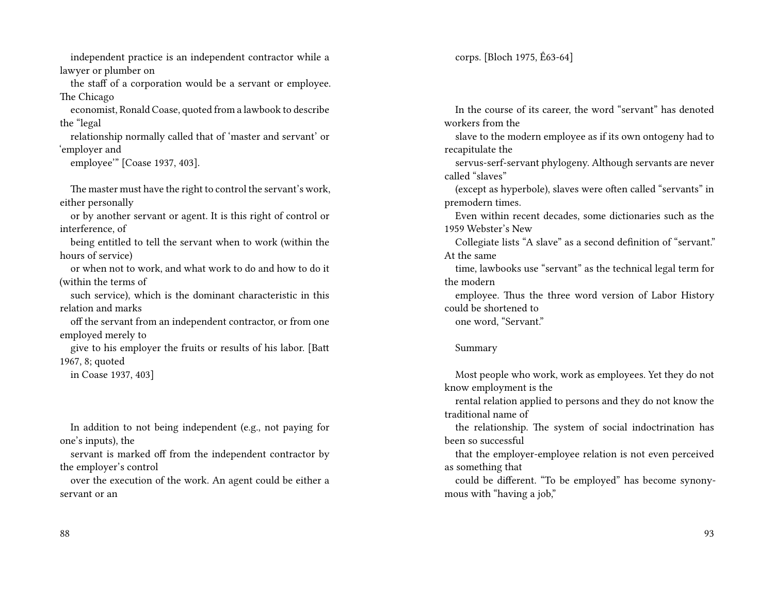independent practice is an independent contractor while a lawyer or plumber on

the staff of a corporation would be a servant or employee. The Chicago

economist, Ronald Coase, quoted from a lawbook to describe the "legal

relationship normally called that of 'master and servant' or 'employer and

employee'" [Coase 1937, 403].

The master must have the right to control the servant's work, either personally

or by another servant or agent. It is this right of control or interference, of

being entitled to tell the servant when to work (within the hours of service)

or when not to work, and what work to do and how to do it (within the terms of

such service), which is the dominant characteristic in this relation and marks

off the servant from an independent contractor, or from one employed merely to

give to his employer the fruits or results of his labor. [Batt 1967, 8; quoted

in Coase 1937, 403]

In addition to not being independent (e.g., not paying for one's inputs), the

servant is marked off from the independent contractor by the employer's control

over the execution of the work. An agent could be either a servant or an

corps. [Bloch 1975, Ê63-64]

In the course of its career, the word "servant" has denoted workers from the

slave to the modern employee as if its own ontogeny had to recapitulate the

servus-serf-servant phylogeny. Although servants are never called "slaves"

(except as hyperbole), slaves were often called "servants" in premodern times.

Even within recent decades, some dictionaries such as the 1959 Webster's New

Collegiate lists "A slave" as a second definition of "servant." At the same

time, lawbooks use "servant" as the technical legal term for the modern

employee. Thus the three word version of Labor History could be shortened to

one word, "Servant."

## Summary

Most people who work, work as employees. Yet they do not know employment is the

rental relation applied to persons and they do not know the traditional name of

the relationship. The system of social indoctrination has been so successful

that the employer-employee relation is not even perceived as something that

could be different. "To be employed" has become synonymous with "having a job,"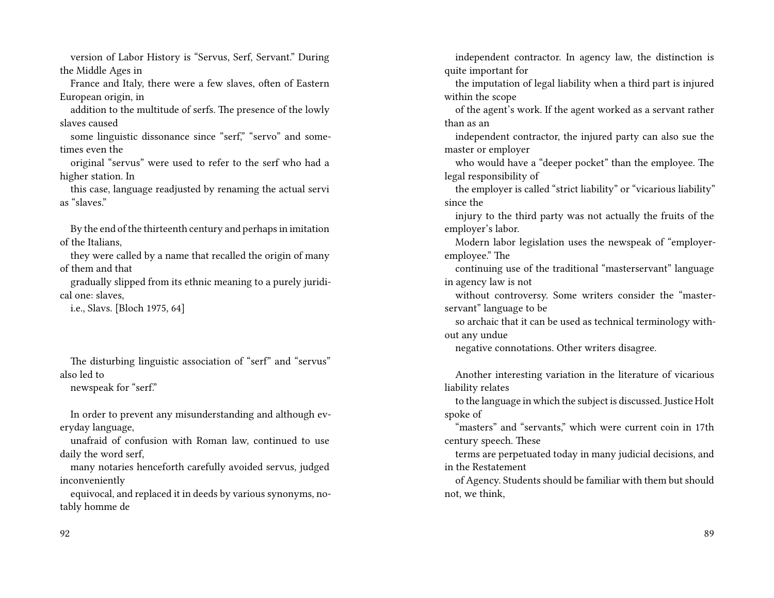version of Labor History is "Servus, Serf, Servant." During the Middle Ages in

France and Italy, there were a few slaves, often of Eastern European origin, in

addition to the multitude of serfs. The presence of the lowly slaves caused

some linguistic dissonance since "serf," "servo" and sometimes even the

original "servus" were used to refer to the serf who had a higher station. In

this case, language readjusted by renaming the actual servi as "slaves."

By the end of the thirteenth century and perhaps in imitation of the Italians,

they were called by a name that recalled the origin of many of them and that

gradually slipped from its ethnic meaning to a purely juridical one: slaves,

i.e., Slavs. [Bloch 1975, 64]

The disturbing linguistic association of "serf" and "servus" also led to

newspeak for "serf."

In order to prevent any misunderstanding and although everyday language,

unafraid of confusion with Roman law, continued to use daily the word serf,

many notaries henceforth carefully avoided servus, judged inconveniently

equivocal, and replaced it in deeds by various synonyms, notably homme de

92

independent contractor. In agency law, the distinction is quite important for

the imputation of legal liability when a third part is injured within the scope

of the agent's work. If the agent worked as a servant rather than as an

independent contractor, the injured party can also sue the master or employer

who would have a "deeper pocket" than the employee. The legal responsibility of

the employer is called "strict liability" or "vicarious liability" since the

injury to the third party was not actually the fruits of the employer's labor.

Modern labor legislation uses the newspeak of "employeremployee." The

continuing use of the traditional "masterservant" language in agency law is not

without controversy. Some writers consider the "masterservant" language to be

so archaic that it can be used as technical terminology without any undue

negative connotations. Other writers disagree.

Another interesting variation in the literature of vicarious liability relates

to the language in which the subject is discussed. Justice Holt spoke of

"masters" and "servants," which were current coin in 17th century speech. These

terms are perpetuated today in many judicial decisions, and in the Restatement

of Agency. Students should be familiar with them but should not, we think,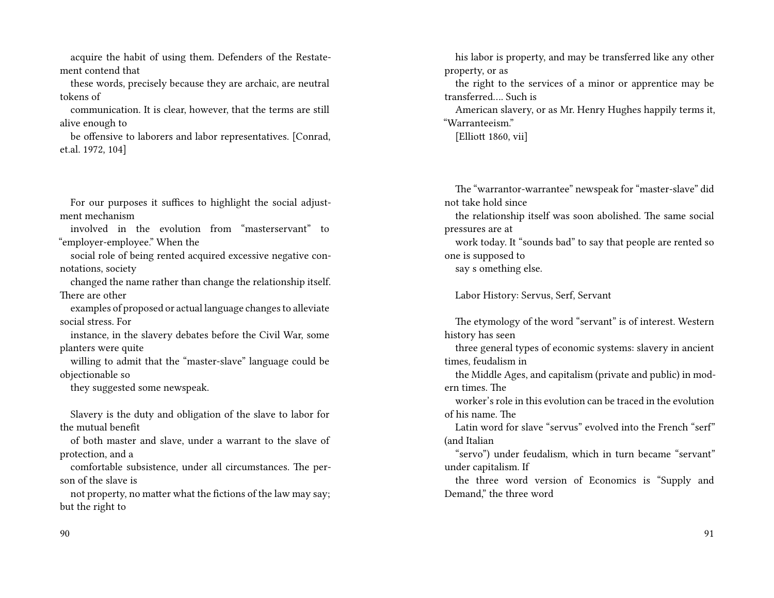acquire the habit of using them. Defenders of the Restatement contend that

these words, precisely because they are archaic, are neutral tokens of

communication. It is clear, however, that the terms are still alive enough to

be offensive to laborers and labor representatives. [Conrad, et.al. 1972, 104]

For our purposes it suffices to highlight the social adjustment mechanism

involved in the evolution from "masterservant" to "employer-employee." When the

social role of being rented acquired excessive negative connotations, society

changed the name rather than change the relationship itself. There are other

examples of proposed or actual language changes to alleviate social stress. For

instance, in the slavery debates before the Civil War, some planters were quite

willing to admit that the "master-slave" language could be objectionable so

they suggested some newspeak.

Slavery is the duty and obligation of the slave to labor for the mutual benefit

of both master and slave, under a warrant to the slave of protection, and a

comfortable subsistence, under all circumstances. The person of the slave is

not property, no matter what the fictions of the law may say; but the right to

90

his labor is property, and may be transferred like any other property, or as

the right to the services of a minor or apprentice may be transferred…. Such is

American slavery, or as Mr. Henry Hughes happily terms it, "Warranteeism."

[Elliott 1860, vii]

The "warrantor-warrantee" newspeak for "master-slave" did not take hold since

the relationship itself was soon abolished. The same social pressures are at

work today. It "sounds bad" to say that people are rented so one is supposed to

say s omething else.

Labor History: Servus, Serf, Servant

The etymology of the word "servant" is of interest. Western history has seen

three general types of economic systems: slavery in ancient times, feudalism in

the Middle Ages, and capitalism (private and public) in modern times. The

worker's role in this evolution can be traced in the evolution of his name. The

Latin word for slave "servus" evolved into the French "serf" (and Italian

"servo") under feudalism, which in turn became "servant" under capitalism. If

the three word version of Economics is "Supply and Demand," the three word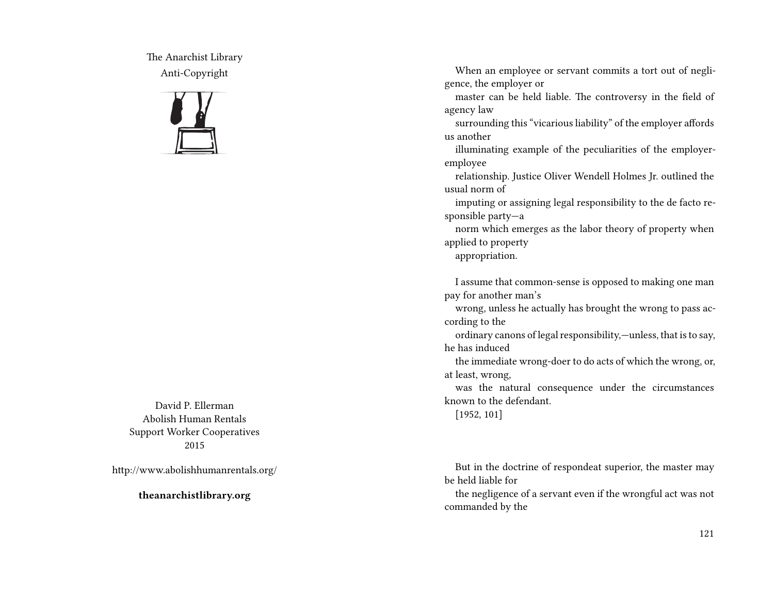The Anarchist Library Anti-Copyright



David P. Ellerman Abolish Human Rentals Support Worker Cooperatives 2015

http://www.abolishhumanrentals.org/

**theanarchistlibrary.org**

When an employee or servant commits a tort out of negligence, the employer or

master can be held liable. The controversy in the field of agency law

surrounding this "vicarious liability" of the employer affords us another

illuminating example of the peculiarities of the employeremployee

relationship. Justice Oliver Wendell Holmes Jr. outlined the usual norm of

imputing or assigning legal responsibility to the de facto responsible party—a

norm which emerges as the labor theory of property when applied to property

appropriation.

I assume that common-sense is opposed to making one man pay for another man's

wrong, unless he actually has brought the wrong to pass according to the

ordinary canons of legal responsibility,—unless, that is to say, he has induced

the immediate wrong-doer to do acts of which the wrong, or, at least, wrong,

was the natural consequence under the circumstances known to the defendant.

[1952, 101]

But in the doctrine of respondeat superior, the master may be held liable for

the negligence of a servant even if the wrongful act was not commanded by the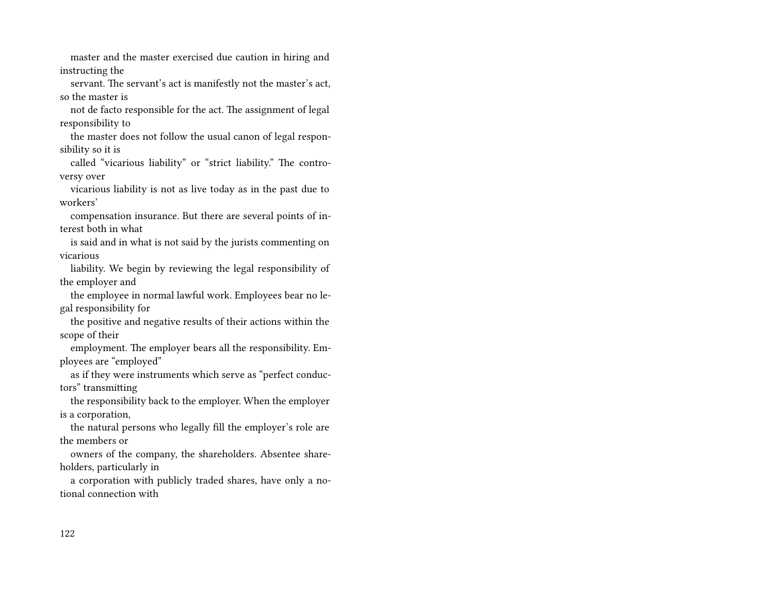master and the master exercised due caution in hiring and instructing the

servant. The servant's act is manifestly not the master's act, so the master is

not de facto responsible for the act. The assignment of legal responsibility to

the master does not follow the usual canon of legal responsibility so it is

called "vicarious liability" or "strict liability." The controversy over

vicarious liability is not as live today as in the past due to workers'

compensation insurance. But there are several points of interest both in what

is said and in what is not said by the jurists commenting on vicarious

liability. We begin by reviewing the legal responsibility of the employer and

the employee in normal lawful work. Employees bear no legal responsibility for

the positive and negative results of their actions within the scope of their

employment. The employer bears all the responsibility. Employees are "employed"

as if they were instruments which serve as "perfect conductors" transmitting

the responsibility back to the employer. When the employer is a corporation,

the natural persons who legally fill the employer's role are the members or

owners of the company, the shareholders. Absentee shareholders, particularly in

a corporation with publicly traded shares, have only a notional connection with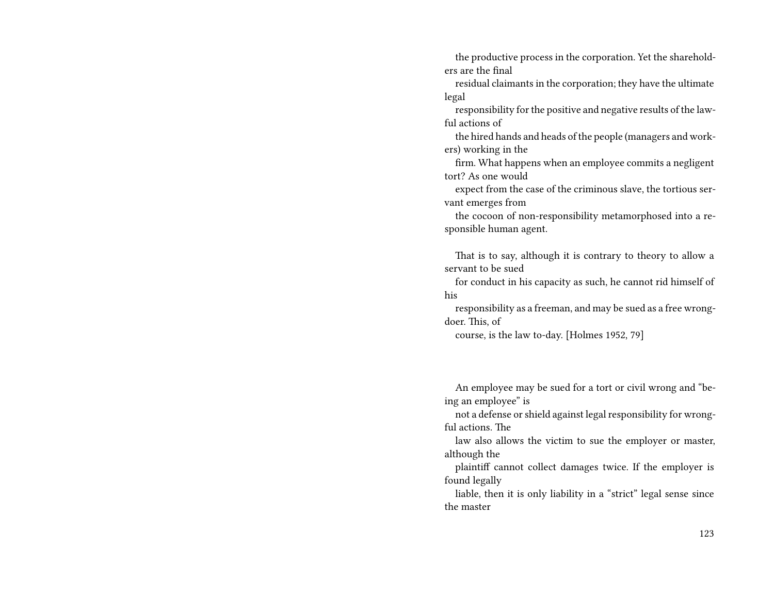the productive process in the corporation. Yet the shareholders are the final

residual claimants in the corporation; they have the ultimate legal

responsibility for the positive and negative results of the lawful actions of

the hired hands and heads of the people (managers and workers) working in the

firm. What happens when an employee commits a negligent tort? As one would

expect from the case of the criminous slave, the tortious servant emerges from

the cocoon of non-responsibility metamorphosed into a responsible human agent.

That is to say, although it is contrary to theory to allow a servant to be sued

for conduct in his capacity as such, he cannot rid himself of his

responsibility as a freeman, and may be sued as a free wrongdoer. This, of

course, is the law to-day. [Holmes 1952, 79]

An employee may be sued for a tort or civil wrong and "being an employee" is

not a defense or shield against legal responsibility for wrongful actions. The

law also allows the victim to sue the employer or master, although the

plaintiff cannot collect damages twice. If the employer is found legally

liable, then it is only liability in a "strict" legal sense since the master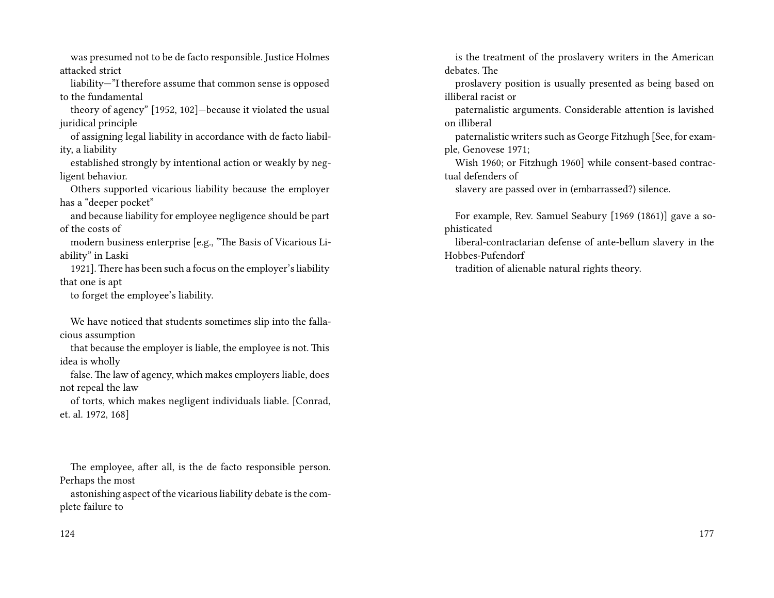was presumed not to be de facto responsible. Justice Holmes attacked strict

liability—"I therefore assume that common sense is opposed to the fundamental

theory of agency" [1952, 102]—because it violated the usual juridical principle

of assigning legal liability in accordance with de facto liability, a liability

established strongly by intentional action or weakly by negligent behavior.

Others supported vicarious liability because the employer has a "deeper pocket"

and because liability for employee negligence should be part of the costs of

modern business enterprise [e.g., "The Basis of Vicarious Liability" in Laski

1921].There has been such a focus on the employer's liability that one is apt

to forget the employee's liability.

We have noticed that students sometimes slip into the fallacious assumption

that because the employer is liable, the employee is not. This idea is wholly

false. The law of agency, which makes employers liable, does not repeal the law

of torts, which makes negligent individuals liable. [Conrad, et. al. 1972, 168]

The employee, after all, is the de facto responsible person. Perhaps the most

astonishing aspect of the vicarious liability debate is the complete failure to

124

is the treatment of the proslavery writers in the American debates. The

proslavery position is usually presented as being based on illiberal racist or

paternalistic arguments. Considerable attention is lavished on illiberal

paternalistic writers such as George Fitzhugh [See, for example, Genovese 1971;

Wish 1960; or Fitzhugh 1960] while consent-based contractual defenders of

slavery are passed over in (embarrassed?) silence.

For example, Rev. Samuel Seabury [1969 (1861)] gave a sophisticated

liberal-contractarian defense of ante-bellum slavery in the Hobbes-Pufendorf

tradition of alienable natural rights theory.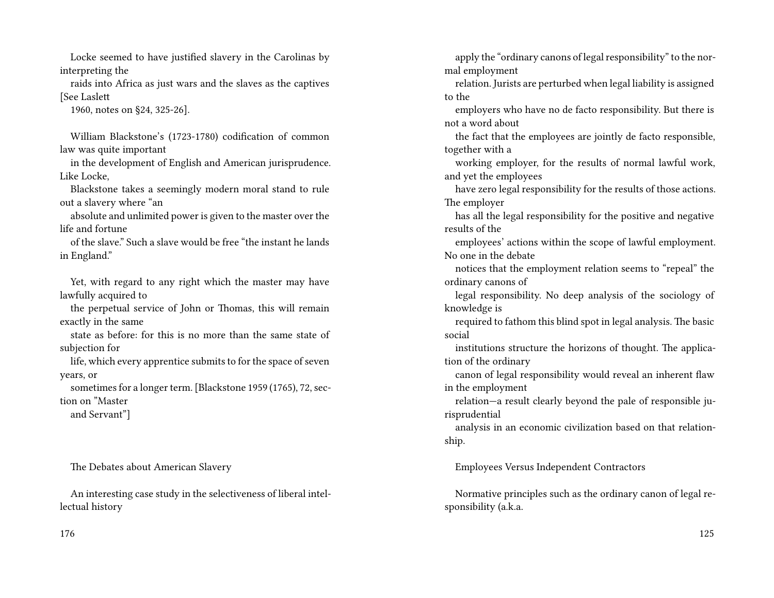Locke seemed to have justified slavery in the Carolinas by interpreting the

raids into Africa as just wars and the slaves as the captives [See Laslett

1960, notes on §24, 325-26].

William Blackstone's (1723-1780) codification of common law was quite important

in the development of English and American jurisprudence. Like Locke,

Blackstone takes a seemingly modern moral stand to rule out a slavery where "an

absolute and unlimited power is given to the master over the life and fortune

of the slave." Such a slave would be free "the instant he lands in England."

Yet, with regard to any right which the master may have lawfully acquired to

the perpetual service of John or Thomas, this will remain exactly in the same

state as before: for this is no more than the same state of subjection for

life, which every apprentice submits to for the space of seven years, or

sometimes for a longer term. [Blackstone 1959 (1765), 72, section on "Master

and Servant"]

The Debates about American Slavery

An interesting case study in the selectiveness of liberal intellectual history

176

apply the "ordinary canons of legal responsibility" to the normal employment

relation. Jurists are perturbed when legal liability is assigned to the

employers who have no de facto responsibility. But there is not a word about

the fact that the employees are jointly de facto responsible, together with a

working employer, for the results of normal lawful work, and yet the employees

have zero legal responsibility for the results of those actions. The employer

has all the legal responsibility for the positive and negative results of the

employees' actions within the scope of lawful employment. No one in the debate

notices that the employment relation seems to "repeal" the ordinary canons of

legal responsibility. No deep analysis of the sociology of knowledge is

required to fathom this blind spot in legal analysis. The basic social

institutions structure the horizons of thought. The application of the ordinary

canon of legal responsibility would reveal an inherent flaw in the employment

relation—a result clearly beyond the pale of responsible jurisprudential

analysis in an economic civilization based on that relationship.

Employees Versus Independent Contractors

Normative principles such as the ordinary canon of legal responsibility (a.k.a.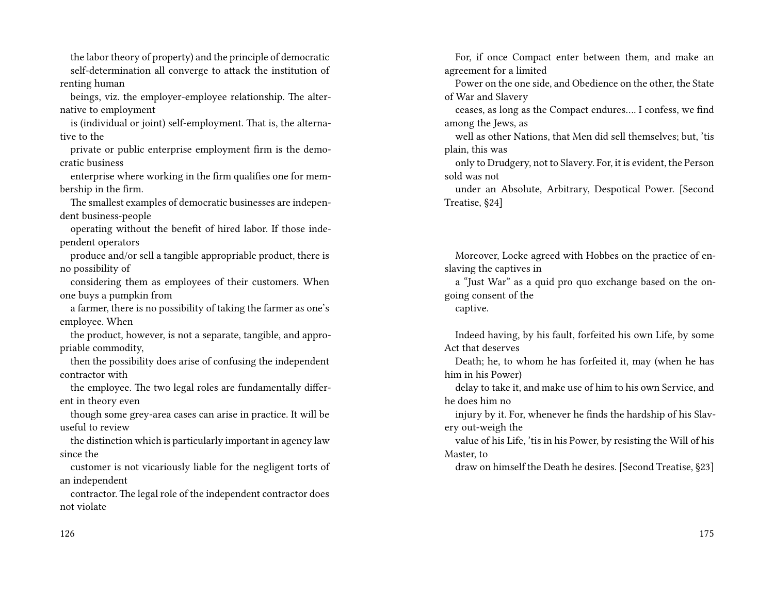the labor theory of property) and the principle of democratic self-determination all converge to attack the institution of renting human

beings, viz. the employer-employee relationship. The alternative to employment

is (individual or joint) self-employment. That is, the alternative to the

private or public enterprise employment firm is the democratic business

enterprise where working in the firm qualifies one for membership in the firm.

The smallest examples of democratic businesses are independent business-people

operating without the benefit of hired labor. If those independent operators

produce and/or sell a tangible appropriable product, there is no possibility of

considering them as employees of their customers. When one buys a pumpkin from

a farmer, there is no possibility of taking the farmer as one's employee. When

the product, however, is not a separate, tangible, and appropriable commodity,

then the possibility does arise of confusing the independent contractor with

the employee. The two legal roles are fundamentally different in theory even

though some grey-area cases can arise in practice. It will be useful to review

the distinction which is particularly important in agency law since the

customer is not vicariously liable for the negligent torts of an independent

contractor. The legal role of the independent contractor does not violate

126

For, if once Compact enter between them, and make an agreement for a limited

Power on the one side, and Obedience on the other, the State of War and Slavery

ceases, as long as the Compact endures…. I confess, we find among the Jews, as

well as other Nations, that Men did sell themselves; but, 'tis plain, this was

only to Drudgery, not to Slavery. For, it is evident, the Person sold was not

under an Absolute, Arbitrary, Despotical Power. [Second Treatise, §24]

Moreover, Locke agreed with Hobbes on the practice of enslaving the captives in

a "Just War" as a quid pro quo exchange based on the ongoing consent of the

captive.

Indeed having, by his fault, forfeited his own Life, by some Act that deserves

Death; he, to whom he has forfeited it, may (when he has him in his Power)

delay to take it, and make use of him to his own Service, and he does him no

injury by it. For, whenever he finds the hardship of his Slavery out-weigh the

value of his Life, 'tis in his Power, by resisting the Will of his Master, to

draw on himself the Death he desires. [Second Treatise, §23]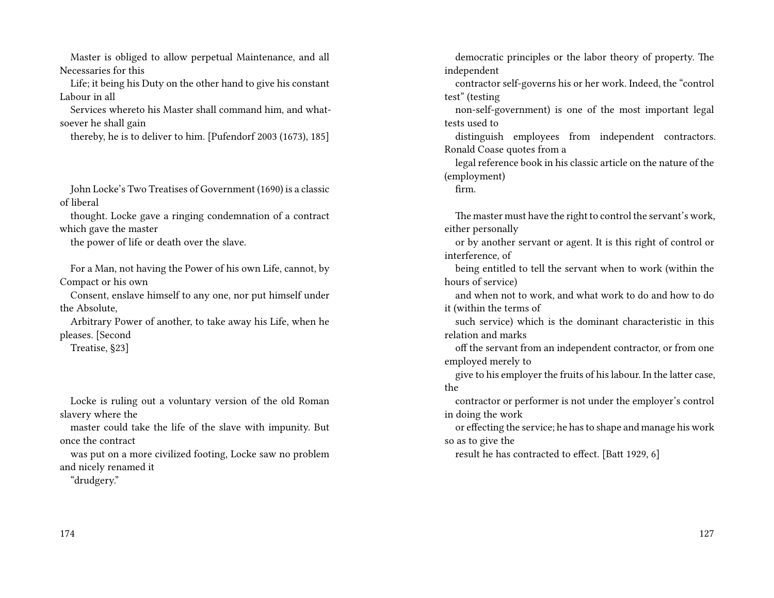Master is obliged to allow perpetual Maintenance, and all Necessaries for this

Life; it being his Duty on the other hand to give his constant Labour in all

Services whereto his Master shall command him, and whatsoever he shall gain

thereby, he is to deliver to him. [Pufendorf 2003 (1673), 185]

John Locke's Two Treatises of Government (1690) is a classic of liberal

thought. Locke gave a ringing condemnation of a contract which gave the master

the power of life or death over the slave.

For a Man, not having the Power of his own Life, cannot, by Compact or his own

Consent, enslave himself to any one, nor put himself under the Absolute,

Arbitrary Power of another, to take away his Life, when he pleases. [Second

Treatise, §23]

Locke is ruling out a voluntary version of the old Roman slavery where the

master could take the life of the slave with impunity. But once the contract

was put on a more civilized footing, Locke saw no problem and nicely renamed it

"drudgery."

democratic principles or the labor theory of property. The independent

contractor self-governs his or her work. Indeed, the "control test" (testing

non-self-government) is one of the most important legal tests used to

distinguish employees from independent contractors. Ronald Coase quotes from a

legal reference book in his classic article on the nature of the (employment)

firm.

The master must have the right to control the servant's work, either personally

or by another servant or agent. It is this right of control or interference, of

being entitled to tell the servant when to work (within the hours of service)

and when not to work, and what work to do and how to do it (within the terms of

such service) which is the dominant characteristic in this relation and marks

off the servant from an independent contractor, or from one employed merely to

give to his employer the fruits of his labour. In the latter case, the

contractor or performer is not under the employer's control in doing the work

or effecting the service; he has to shape and manage his work so as to give the

result he has contracted to effect. [Batt 1929, 6]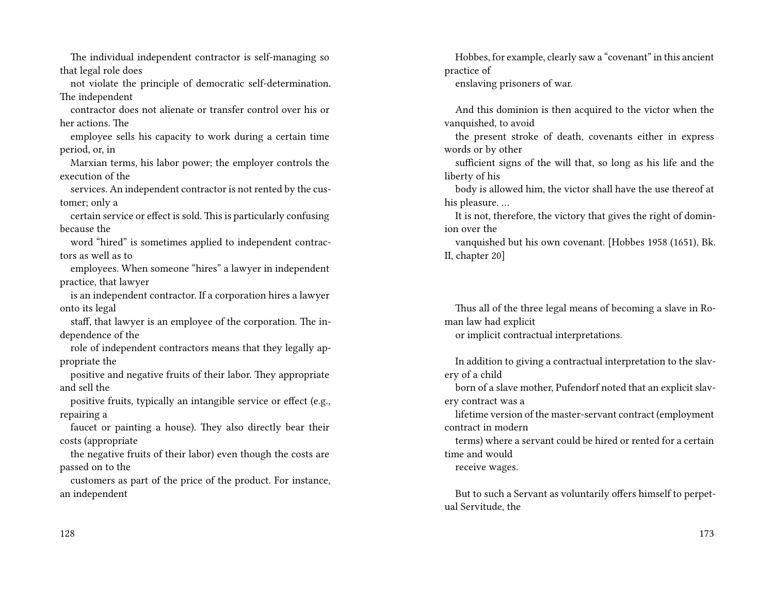The individual independent contractor is self-managing so that legal role does

not violate the principle of democratic self-determination. The independent

contractor does not alienate or transfer control over his or her actions. The

employee sells his capacity to work during a certain time period, or, in

Marxian terms, his labor power; the employer controls the execution of the

services. An independent contractor is not rented by the customer; only a

certain service or effect is sold. This is particularly confusing because the

word "hired" is sometimes applied to independent contractors as well as to

employees. When someone "hires" a lawyer in independent practice, that lawyer

is an independent contractor. If a corporation hires a lawyer onto its legal

staff, that lawyer is an employee of the corporation. The independence of the

role of independent contractors means that they legally appropriate the

positive and negative fruits of their labor. They appropriate and sell the

positive fruits, typically an intangible service or effect (e.g., repairing a

faucet or painting a house). They also directly bear their costs (appropriate

the negative fruits of their labor) even though the costs are passed on to the

customers as part of the price of the product. For instance, an independent

Hobbes, for example, clearly saw a "covenant" in this ancient practice of

enslaving prisoners of war.

And this dominion is then acquired to the victor when the vanquished, to avoid

the present stroke of death, covenants either in express words or by other

sufficient signs of the will that, so long as his life and the liberty of his

body is allowed him, the victor shall have the use thereof at his pleasure. …

It is not, therefore, the victory that gives the right of dominion over the

vanquished but his own covenant. [Hobbes 1958 (1651), Bk. II, chapter 20]

Thus all of the three legal means of becoming a slave in Roman law had explicit

or implicit contractual interpretations.

In addition to giving a contractual interpretation to the slavery of a child

born of a slave mother, Pufendorf noted that an explicit slavery contract was a

lifetime version of the master-servant contract (employment contract in modern

terms) where a servant could be hired or rented for a certain time and would

receive wages.

But to such a Servant as voluntarily offers himself to perpetual Servitude, the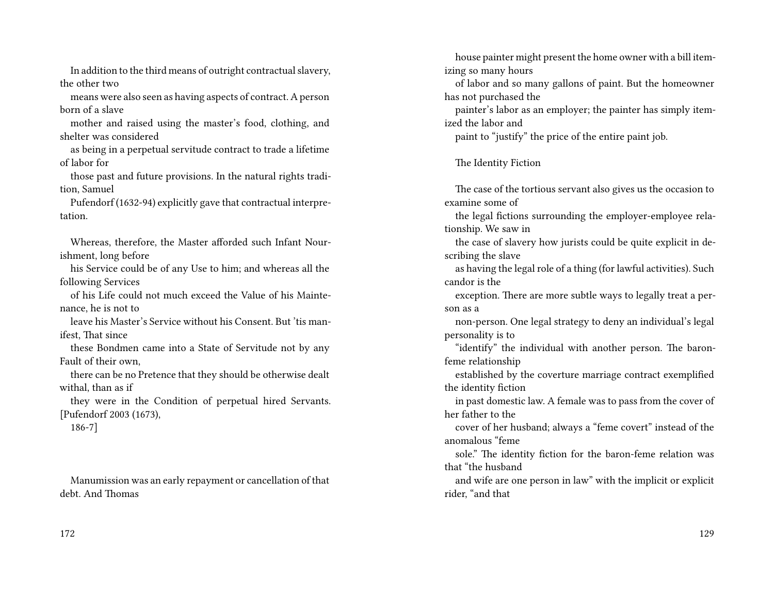In addition to the third means of outright contractual slavery, the other two

means were also seen as having aspects of contract. A person born of a slave

mother and raised using the master's food, clothing, and shelter was considered

as being in a perpetual servitude contract to trade a lifetime of labor for

those past and future provisions. In the natural rights tradition, Samuel

Pufendorf (1632-94) explicitly gave that contractual interpretation.

Whereas, therefore, the Master afforded such Infant Nourishment, long before

his Service could be of any Use to him; and whereas all the following Services

of his Life could not much exceed the Value of his Maintenance, he is not to

leave his Master's Service without his Consent. But 'tis manifest, That since

these Bondmen came into a State of Servitude not by any Fault of their own,

there can be no Pretence that they should be otherwise dealt withal, than as if

they were in the Condition of perpetual hired Servants. [Pufendorf 2003 (1673),

186-7]

Manumission was an early repayment or cancellation of that debt. And Thomas

house painter might present the home owner with a bill itemizing so many hours

of labor and so many gallons of paint. But the homeowner has not purchased the

painter's labor as an employer; the painter has simply itemized the labor and

paint to "justify" the price of the entire paint job.

The Identity Fiction

The case of the tortious servant also gives us the occasion to examine some of

the legal fictions surrounding the employer-employee relationship. We saw in

the case of slavery how jurists could be quite explicit in describing the slave

as having the legal role of a thing (for lawful activities). Such candor is the

exception. There are more subtle ways to legally treat a person as a

non-person. One legal strategy to deny an individual's legal personality is to

"identify" the individual with another person. The baronfeme relationship

established by the coverture marriage contract exemplified the identity fiction

in past domestic law. A female was to pass from the cover of her father to the

cover of her husband; always a "feme covert" instead of the anomalous "feme

sole." The identity fiction for the baron-feme relation was that "the husband

and wife are one person in law" with the implicit or explicit rider, "and that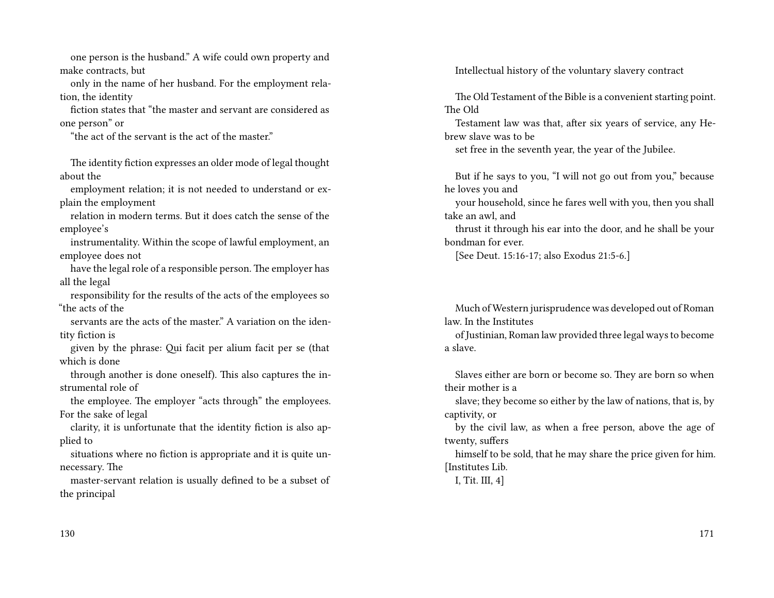one person is the husband." A wife could own property and make contracts, but

only in the name of her husband. For the employment relation, the identity

fiction states that "the master and servant are considered as one person" or

"the act of the servant is the act of the master."

The identity fiction expresses an older mode of legal thought about the

employment relation; it is not needed to understand or explain the employment

relation in modern terms. But it does catch the sense of the employee's

instrumentality. Within the scope of lawful employment, an employee does not

have the legal role of a responsible person. The employer has all the legal

responsibility for the results of the acts of the employees so "the acts of the

servants are the acts of the master." A variation on the identity fiction is

given by the phrase: Qui facit per alium facit per se (that which is done

through another is done oneself). This also captures the instrumental role of

the employee. The employer "acts through" the employees. For the sake of legal

clarity, it is unfortunate that the identity fiction is also applied to

situations where no fiction is appropriate and it is quite unnecessary. The

master-servant relation is usually defined to be a subset of the principal

Intellectual history of the voluntary slavery contract

The Old Testament of the Bible is a convenient starting point. The Old

Testament law was that, after six years of service, any Hebrew slave was to be

set free in the seventh year, the year of the Jubilee.

But if he says to you, "I will not go out from you," because he loves you and

your household, since he fares well with you, then you shall take an awl, and

thrust it through his ear into the door, and he shall be your bondman for ever.

[See Deut. 15:16-17; also Exodus 21:5-6.]

Much of Western jurisprudence was developed out of Roman law. In the Institutes

of Justinian, Roman law provided three legal ways to become a slave.

Slaves either are born or become so. They are born so when their mother is a

slave; they become so either by the law of nations, that is, by captivity, or

by the civil law, as when a free person, above the age of twenty, suffers

himself to be sold, that he may share the price given for him. [Institutes Lib.

I, Tit. III, 4]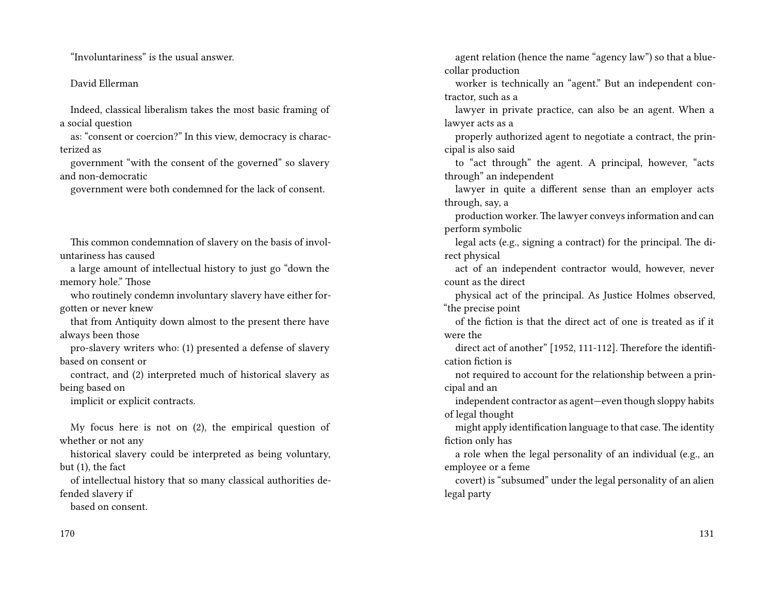"Involuntariness" is the usual answer.

## David Ellerman

Indeed, classical liberalism takes the most basic framing of a social question

as: "consent or coercion?" In this view, democracy is characterized as

government "with the consent of the governed" so slavery and non-democratic

government were both condemned for the lack of consent.

This common condemnation of slavery on the basis of involuntariness has caused

a large amount of intellectual history to just go "down the memory hole." Those

who routinely condemn involuntary slavery have either forgotten or never knew

that from Antiquity down almost to the present there have always been those

pro-slavery writers who: (1) presented a defense of slavery based on consent or

contract, and (2) interpreted much of historical slavery as being based on

implicit or explicit contracts.

My focus here is not on (2), the empirical question of whether or not any

historical slavery could be interpreted as being voluntary, but (1), the fact

of intellectual history that so many classical authorities defended slavery if

based on consent.

170

agent relation (hence the name "agency law") so that a bluecollar production

worker is technically an "agent." But an independent contractor, such as a

lawyer in private practice, can also be an agent. When a lawyer acts as a

properly authorized agent to negotiate a contract, the principal is also said

to "act through" the agent. A principal, however, "acts through" an independent

lawyer in quite a different sense than an employer acts through, say, a

production worker. The lawyer conveys information and can perform symbolic

legal acts (e.g., signing a contract) for the principal. The direct physical

act of an independent contractor would, however, never count as the direct

physical act of the principal. As Justice Holmes observed, "the precise point

of the fiction is that the direct act of one is treated as if it were the

direct act of another" [1952, 111-112]. Therefore the identification fiction is

not required to account for the relationship between a principal and an

independent contractor as agent—even though sloppy habits of legal thought

might apply identification language to that case. The identity fiction only has

a role when the legal personality of an individual (e.g., an employee or a feme

covert) is "subsumed" under the legal personality of an alien legal party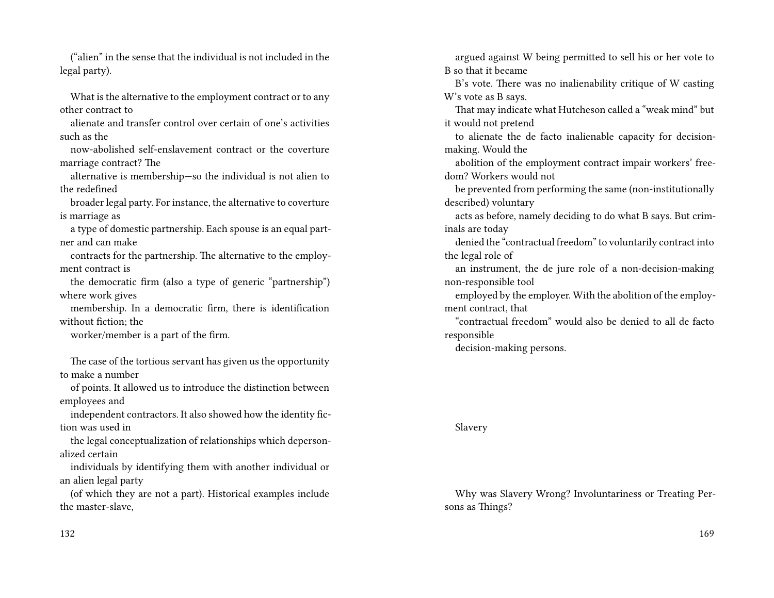("alien" in the sense that the individual is not included in the legal party).

What is the alternative to the employment contract or to any other contract to

alienate and transfer control over certain of one's activities such as the

now-abolished self-enslavement contract or the coverture marriage contract? The

alternative is membership—so the individual is not alien to the redefined

broader legal party. For instance, the alternative to coverture is marriage as

a type of domestic partnership. Each spouse is an equal partner and can make

contracts for the partnership. The alternative to the employment contract is

the democratic firm (also a type of generic "partnership") where work gives

membership. In a democratic firm, there is identification without fiction; the

worker/member is a part of the firm.

The case of the tortious servant has given us the opportunity to make a number

of points. It allowed us to introduce the distinction between employees and

independent contractors. It also showed how the identity fiction was used in

the legal conceptualization of relationships which depersonalized certain

individuals by identifying them with another individual or an alien legal party

(of which they are not a part). Historical examples include the master-slave,

132

argued against W being permitted to sell his or her vote to B so that it became

B's vote. There was no inalienability critique of W casting W's vote as B says.

That may indicate what Hutcheson called a "weak mind" but it would not pretend

to alienate the de facto inalienable capacity for decisionmaking. Would the

abolition of the employment contract impair workers' freedom? Workers would not

be prevented from performing the same (non-institutionally described) voluntary

acts as before, namely deciding to do what B says. But criminals are today

denied the "contractual freedom" to voluntarily contract into the legal role of

an instrument, the de jure role of a non-decision-making non-responsible tool

employed by the employer. With the abolition of the employment contract, that

"contractual freedom" would also be denied to all de facto responsible

decision-making persons.

Slavery

Why was Slavery Wrong? Involuntariness or Treating Persons as Things?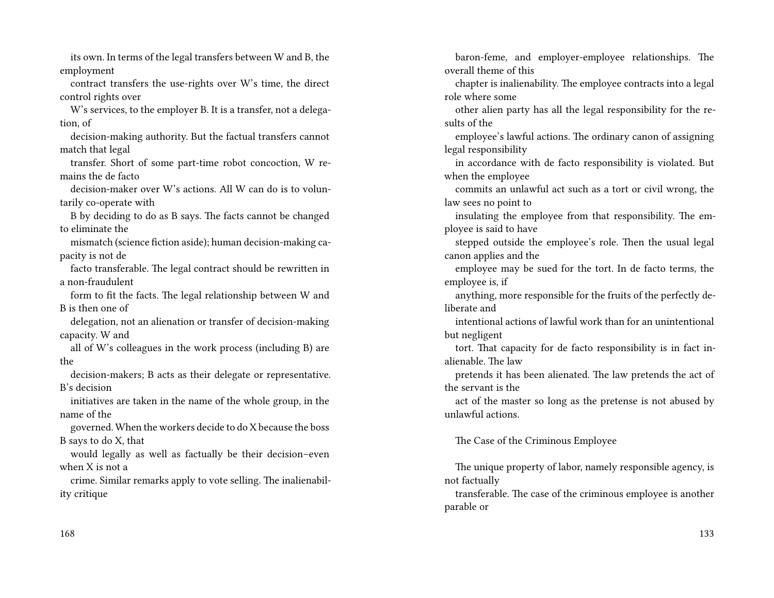its own. In terms of the legal transfers between W and B, the employment

contract transfers the use-rights over W's time, the direct control rights over

W's services, to the employer B. It is a transfer, not a delegation, of

decision-making authority. But the factual transfers cannot match that legal

transfer. Short of some part-time robot concoction, W remains the de facto

decision-maker over W's actions. All W can do is to voluntarily co-operate with

B by deciding to do as B says. The facts cannot be changed to eliminate the

mismatch (science fiction aside); human decision-making capacity is not de

facto transferable. The legal contract should be rewritten in a non-fraudulent

form to fit the facts. The legal relationship between W and B is then one of

delegation, not an alienation or transfer of decision-making capacity. W and

all of W's colleagues in the work process (including B) are the

decision-makers; B acts as their delegate or representative. B's decision

initiatives are taken in the name of the whole group, in the name of the

governed. When the workers decide to do X because the boss B says to do X, that

would legally as well as factually be their decision–even when X is not a

crime. Similar remarks apply to vote selling. The inalienability critique

baron-feme, and employer-employee relationships. The overall theme of this

chapter is inalienability. The employee contracts into a legal role where some

other alien party has all the legal responsibility for the results of the

employee's lawful actions. The ordinary canon of assigning legal responsibility

in accordance with de facto responsibility is violated. But when the employee

commits an unlawful act such as a tort or civil wrong, the law sees no point to

insulating the employee from that responsibility. The employee is said to have

stepped outside the employee's role. Then the usual legal canon applies and the

employee may be sued for the tort. In de facto terms, the employee is, if

anything, more responsible for the fruits of the perfectly deliberate and

intentional actions of lawful work than for an unintentional but negligent

tort. That capacity for de facto responsibility is in fact inalienable. The law

pretends it has been alienated. The law pretends the act of the servant is the

act of the master so long as the pretense is not abused by unlawful actions.

The Case of the Criminous Employee

The unique property of labor, namely responsible agency, is not factually

transferable. The case of the criminous employee is another parable or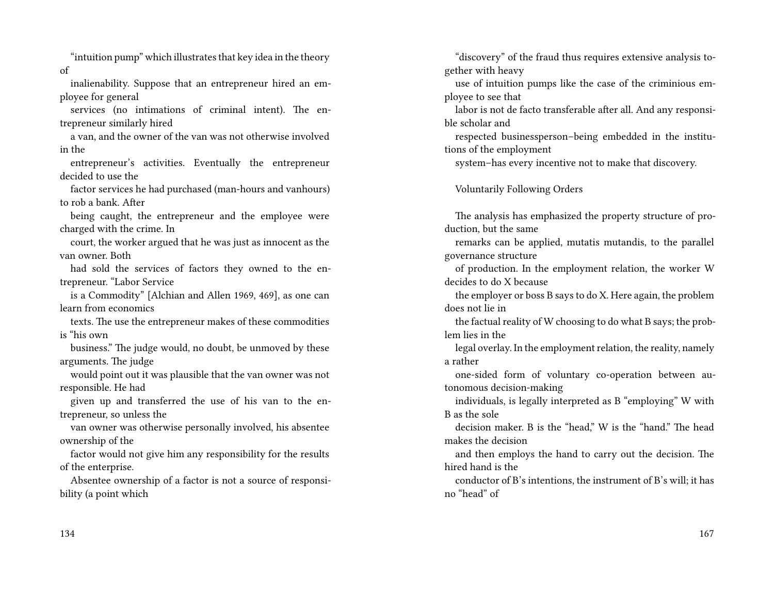"intuition pump" which illustrates that key idea in the theory of

inalienability. Suppose that an entrepreneur hired an employee for general

services (no intimations of criminal intent). The entrepreneur similarly hired

a van, and the owner of the van was not otherwise involved in the

entrepreneur's activities. Eventually the entrepreneur decided to use the

factor services he had purchased (man-hours and vanhours) to rob a bank. After

being caught, the entrepreneur and the employee were charged with the crime. In

court, the worker argued that he was just as innocent as the van owner. Both

had sold the services of factors they owned to the entrepreneur. "Labor Service

is a Commodity" [Alchian and Allen 1969, 469], as one can learn from economics

texts. The use the entrepreneur makes of these commodities is "his own

business." The judge would, no doubt, be unmoved by these arguments. The judge

would point out it was plausible that the van owner was not responsible. He had

given up and transferred the use of his van to the entrepreneur, so unless the

van owner was otherwise personally involved, his absentee ownership of the

factor would not give him any responsibility for the results of the enterprise.

Absentee ownership of a factor is not a source of responsibility (a point which

"discovery" of the fraud thus requires extensive analysis together with heavy

use of intuition pumps like the case of the criminious employee to see that

labor is not de facto transferable after all. And any responsible scholar and

respected businessperson–being embedded in the institutions of the employment

system–has every incentive not to make that discovery.

Voluntarily Following Orders

The analysis has emphasized the property structure of production, but the same

remarks can be applied, mutatis mutandis, to the parallel governance structure

of production. In the employment relation, the worker W decides to do X because

the employer or boss B says to do X. Here again, the problem does not lie in

the factual reality of W choosing to do what B says; the problem lies in the

legal overlay. In the employment relation, the reality, namely a rather

one-sided form of voluntary co-operation between autonomous decision-making

individuals, is legally interpreted as B "employing" W with B as the sole

decision maker. B is the "head," W is the "hand." The head makes the decision

and then employs the hand to carry out the decision. The hired hand is the

conductor of B's intentions, the instrument of B's will; it has no "head" of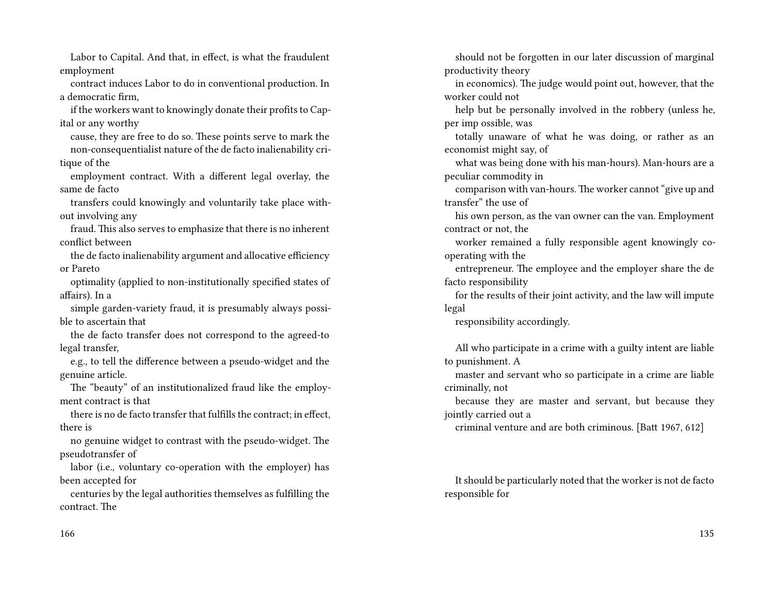Labor to Capital. And that, in effect, is what the fraudulent employment

contract induces Labor to do in conventional production. In a democratic firm,

if the workers want to knowingly donate their profits to Capital or any worthy

cause, they are free to do so. These points serve to mark the non-consequentialist nature of the de facto inalienability critique of the

employment contract. With a different legal overlay, the same de facto

transfers could knowingly and voluntarily take place without involving any

fraud. This also serves to emphasize that there is no inherent conflict between

the de facto inalienability argument and allocative efficiency or Pareto

optimality (applied to non-institutionally specified states of affairs). In a

simple garden-variety fraud, it is presumably always possible to ascertain that

the de facto transfer does not correspond to the agreed-to legal transfer,

e.g., to tell the difference between a pseudo-widget and the genuine article.

The "beauty" of an institutionalized fraud like the employment contract is that

there is no de facto transfer that fulfills the contract; in effect, there is

no genuine widget to contrast with the pseudo-widget. The pseudotransfer of

labor (i.e., voluntary co-operation with the employer) has been accepted for

centuries by the legal authorities themselves as fulfilling the contract. The

166

should not be forgotten in our later discussion of marginal productivity theory

in economics). The judge would point out, however, that the worker could not

help but be personally involved in the robbery (unless he, per imp ossible, was

totally unaware of what he was doing, or rather as an economist might say, of

what was being done with his man-hours). Man-hours are a peculiar commodity in

comparison with van-hours.The worker cannot "give up and transfer" the use of

his own person, as the van owner can the van. Employment contract or not, the

worker remained a fully responsible agent knowingly cooperating with the

entrepreneur. The employee and the employer share the de facto responsibility

for the results of their joint activity, and the law will impute legal

responsibility accordingly.

All who participate in a crime with a guilty intent are liable to punishment. A

master and servant who so participate in a crime are liable criminally, not

because they are master and servant, but because they jointly carried out a

criminal venture and are both criminous. [Batt 1967, 612]

It should be particularly noted that the worker is not de facto responsible for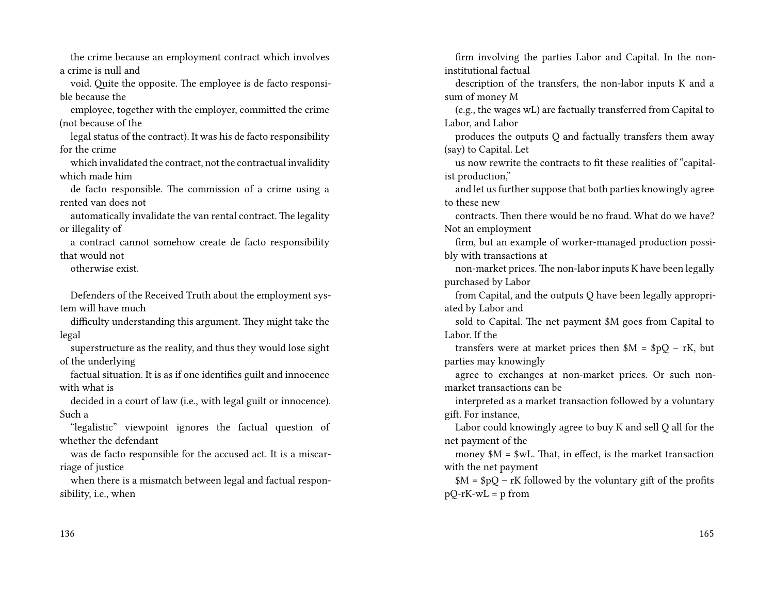the crime because an employment contract which involves a crime is null and

void. Quite the opposite. The employee is de facto responsible because the

employee, together with the employer, committed the crime (not because of the

legal status of the contract). It was his de facto responsibility for the crime

which invalidated the contract, not the contractual invalidity which made him

de facto responsible. The commission of a crime using a rented van does not

automatically invalidate the van rental contract. The legality or illegality of

a contract cannot somehow create de facto responsibility that would not

otherwise exist.

Defenders of the Received Truth about the employment system will have much

difficulty understanding this argument. They might take the legal

superstructure as the reality, and thus they would lose sight of the underlying

factual situation. It is as if one identifies guilt and innocence with what is

decided in a court of law (i.e., with legal guilt or innocence). Such a

"legalistic" viewpoint ignores the factual question of whether the defendant

was de facto responsible for the accused act. It is a miscarriage of justice

when there is a mismatch between legal and factual responsibility, i.e., when

firm involving the parties Labor and Capital. In the noninstitutional factual

description of the transfers, the non-labor inputs K and a sum of money M

(e.g., the wages wL) are factually transferred from Capital to Labor, and Labor

produces the outputs Q and factually transfers them away (say) to Capital. Let

us now rewrite the contracts to fit these realities of "capitalist production,"

and let us further suppose that both parties knowingly agree to these new

contracts. Then there would be no fraud. What do we have? Not an employment

firm, but an example of worker-managed production possibly with transactions at

non-market prices. The non-labor inputs K have been legally purchased by Labor

from Capital, and the outputs Q have been legally appropriated by Labor and

sold to Capital. The net payment \$M goes from Capital to Labor. If the

transfers were at market prices then  $M = \pmb{r}$  =  $\pmb{r}$  =  $\pmb{r}$  =  $\pmb{r}$  =  $\pmb{r}$  =  $\pmb{r}$ parties may knowingly

agree to exchanges at non-market prices. Or such nonmarket transactions can be

interpreted as a market transaction followed by a voluntary gift. For instance,

Labor could knowingly agree to buy K and sell Q all for the net payment of the

money  $M = \text{wL}$ . That, in effect, is the market transaction with the net payment

 $M = \text{SpQ} - rK$  followed by the voluntary gift of the profits  $pQ-rK-wL = p$  from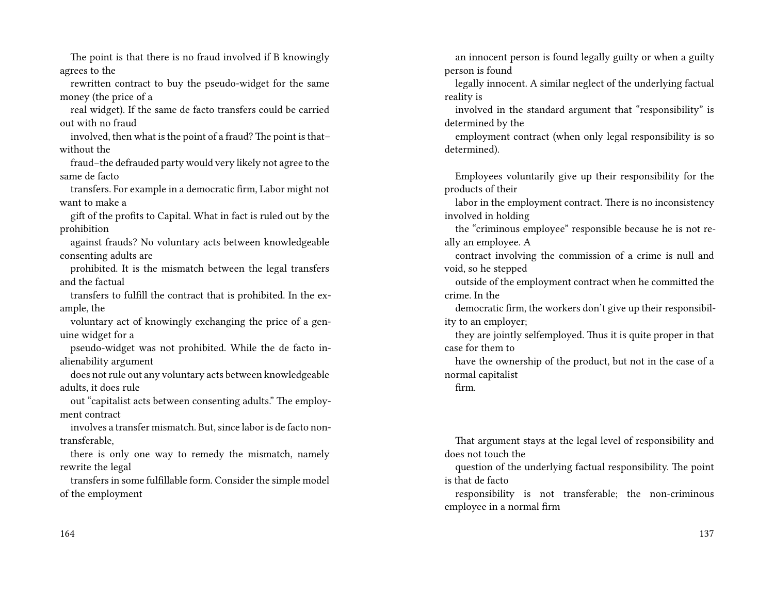The point is that there is no fraud involved if B knowingly agrees to the

rewritten contract to buy the pseudo-widget for the same money (the price of a

real widget). If the same de facto transfers could be carried out with no fraud

involved, then what is the point of a fraud? The point is that– without the

fraud–the defrauded party would very likely not agree to the same de facto

transfers. For example in a democratic firm, Labor might not want to make a

gift of the profits to Capital. What in fact is ruled out by the prohibition

against frauds? No voluntary acts between knowledgeable consenting adults are

prohibited. It is the mismatch between the legal transfers and the factual

transfers to fulfill the contract that is prohibited. In the example, the

voluntary act of knowingly exchanging the price of a genuine widget for a

pseudo-widget was not prohibited. While the de facto inalienability argument

does not rule out any voluntary acts between knowledgeable adults, it does rule

out "capitalist acts between consenting adults." The employment contract

involves a transfer mismatch. But, since labor is de facto nontransferable,

there is only one way to remedy the mismatch, namely rewrite the legal

transfers in some fulfillable form. Consider the simple model of the employment

an innocent person is found legally guilty or when a guilty person is found

legally innocent. A similar neglect of the underlying factual reality is

involved in the standard argument that "responsibility" is determined by the

employment contract (when only legal responsibility is so determined).

Employees voluntarily give up their responsibility for the products of their

labor in the employment contract. There is no inconsistency involved in holding

the "criminous employee" responsible because he is not really an employee. A

contract involving the commission of a crime is null and void, so he stepped

outside of the employment contract when he committed the crime. In the

democratic firm, the workers don't give up their responsibility to an employer;

they are jointly selfemployed. Thus it is quite proper in that case for them to

have the ownership of the product, but not in the case of a normal capitalist

firm.

That argument stays at the legal level of responsibility and does not touch the

question of the underlying factual responsibility. The point is that de facto

responsibility is not transferable; the non-criminous employee in a normal firm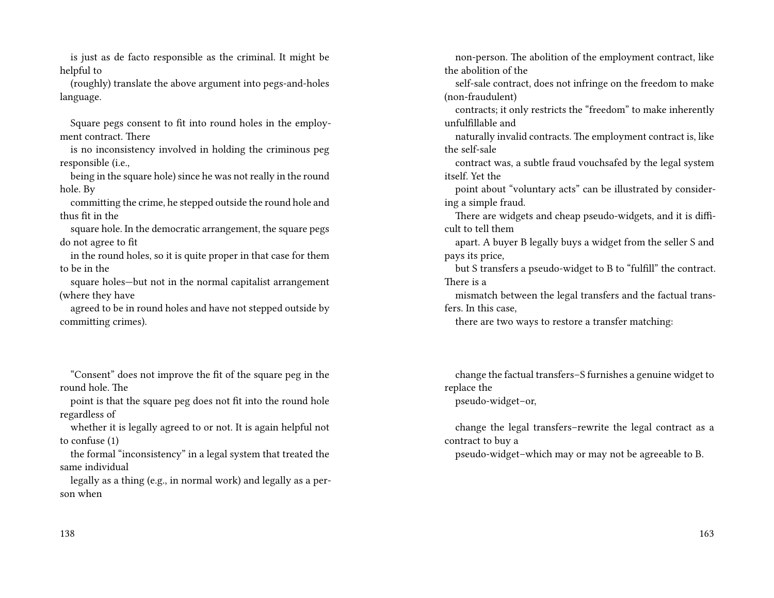is just as de facto responsible as the criminal. It might be helpful to

(roughly) translate the above argument into pegs-and-holes language.

Square pegs consent to fit into round holes in the employment contract. There

is no inconsistency involved in holding the criminous peg responsible (i.e.,

being in the square hole) since he was not really in the round hole. By

committing the crime, he stepped outside the round hole and thus fit in the

square hole. In the democratic arrangement, the square pegs do not agree to fit

in the round holes, so it is quite proper in that case for them to be in the

square holes—but not in the normal capitalist arrangement (where they have

agreed to be in round holes and have not stepped outside by committing crimes).

"Consent" does not improve the fit of the square peg in the round hole. The

point is that the square peg does not fit into the round hole regardless of

whether it is legally agreed to or not. It is again helpful not to confuse (1)

the formal "inconsistency" in a legal system that treated the same individual

legally as a thing (e.g., in normal work) and legally as a person when

non-person. The abolition of the employment contract, like the abolition of the

self-sale contract, does not infringe on the freedom to make (non-fraudulent)

contracts; it only restricts the "freedom" to make inherently unfulfillable and

naturally invalid contracts. The employment contract is, like the self-sale

contract was, a subtle fraud vouchsafed by the legal system itself. Yet the

point about "voluntary acts" can be illustrated by considering a simple fraud.

There are widgets and cheap pseudo-widgets, and it is difficult to tell them

apart. A buyer B legally buys a widget from the seller S and pays its price,

but S transfers a pseudo-widget to B to "fulfill" the contract. There is a

mismatch between the legal transfers and the factual transfers. In this case,

there are two ways to restore a transfer matching:

change the factual transfers–S furnishes a genuine widget to replace the

pseudo-widget–or,

change the legal transfers–rewrite the legal contract as a contract to buy a

pseudo-widget–which may or may not be agreeable to B.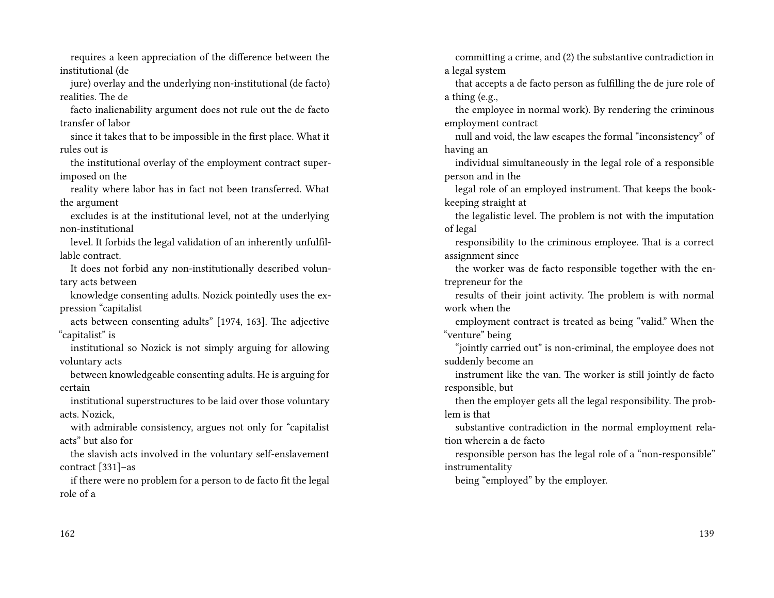requires a keen appreciation of the difference between the institutional (de

jure) overlay and the underlying non-institutional (de facto) realities. The de

facto inalienability argument does not rule out the de facto transfer of labor

since it takes that to be impossible in the first place. What it rules out is

the institutional overlay of the employment contract superimposed on the

reality where labor has in fact not been transferred. What the argument

excludes is at the institutional level, not at the underlying non-institutional

level. It forbids the legal validation of an inherently unfulfillable contract.

It does not forbid any non-institutionally described voluntary acts between

knowledge consenting adults. Nozick pointedly uses the expression "capitalist

acts between consenting adults" [1974, 163]. The adjective "capitalist" is

institutional so Nozick is not simply arguing for allowing voluntary acts

between knowledgeable consenting adults. He is arguing for certain

institutional superstructures to be laid over those voluntary acts. Nozick,

with admirable consistency, argues not only for "capitalist acts" but also for

the slavish acts involved in the voluntary self-enslavement contract [331]–as

if there were no problem for a person to de facto fit the legal role of a

committing a crime, and (2) the substantive contradiction in a legal system

that accepts a de facto person as fulfilling the de jure role of a thing (e.g.,

the employee in normal work). By rendering the criminous employment contract

null and void, the law escapes the formal "inconsistency" of having an

individual simultaneously in the legal role of a responsible person and in the

legal role of an employed instrument. That keeps the bookkeeping straight at

the legalistic level. The problem is not with the imputation of legal

responsibility to the criminous employee. That is a correct assignment since

the worker was de facto responsible together with the entrepreneur for the

results of their joint activity. The problem is with normal work when the

employment contract is treated as being "valid." When the "venture" being

"jointly carried out" is non-criminal, the employee does not suddenly become an

instrument like the van. The worker is still jointly de facto responsible, but

then the employer gets all the legal responsibility. The problem is that

substantive contradiction in the normal employment relation wherein a de facto

responsible person has the legal role of a "non-responsible" instrumentality

being "employed" by the employer.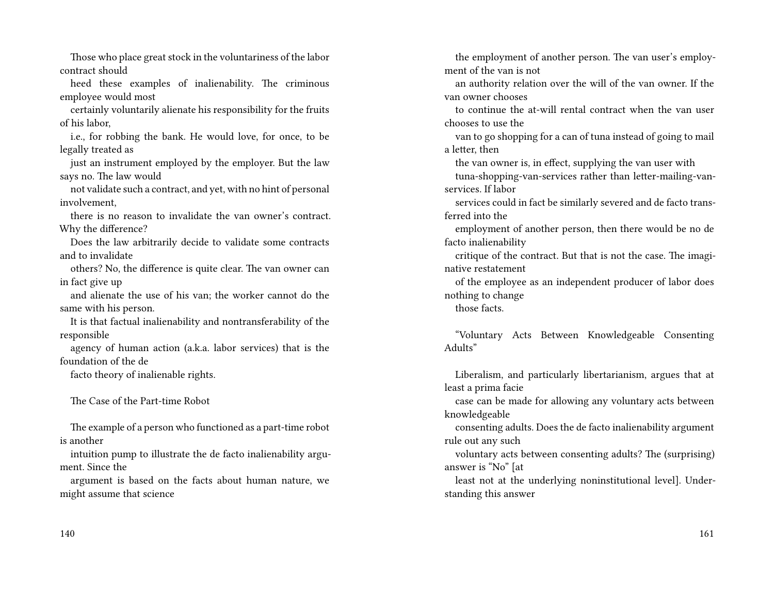Those who place great stock in the voluntariness of the labor contract should

heed these examples of inalienability. The criminous employee would most

certainly voluntarily alienate his responsibility for the fruits of his labor,

i.e., for robbing the bank. He would love, for once, to be legally treated as

just an instrument employed by the employer. But the law says no. The law would

not validate such a contract, and yet, with no hint of personal involvement,

there is no reason to invalidate the van owner's contract. Why the difference?

Does the law arbitrarily decide to validate some contracts and to invalidate

others? No, the difference is quite clear. The van owner can in fact give up

and alienate the use of his van; the worker cannot do the same with his person.

It is that factual inalienability and nontransferability of the responsible

agency of human action (a.k.a. labor services) that is the foundation of the de

facto theory of inalienable rights.

The Case of the Part-time Robot

The example of a person who functioned as a part-time robot is another

intuition pump to illustrate the de facto inalienability argument. Since the

argument is based on the facts about human nature, we might assume that science

the employment of another person. The van user's employment of the van is not

an authority relation over the will of the van owner. If the van owner chooses

to continue the at-will rental contract when the van user chooses to use the

van to go shopping for a can of tuna instead of going to mail a letter, then

the van owner is, in effect, supplying the van user with

tuna-shopping-van-services rather than letter-mailing-vanservices. If labor

services could in fact be similarly severed and de facto transferred into the

employment of another person, then there would be no de facto inalienability

critique of the contract. But that is not the case. The imaginative restatement

of the employee as an independent producer of labor does nothing to change

those facts.

"Voluntary Acts Between Knowledgeable Consenting Adults"

Liberalism, and particularly libertarianism, argues that at least a prima facie

case can be made for allowing any voluntary acts between knowledgeable

consenting adults. Does the de facto inalienability argument rule out any such

voluntary acts between consenting adults? The (surprising) answer is "No" [at

least not at the underlying noninstitutional level]. Understanding this answer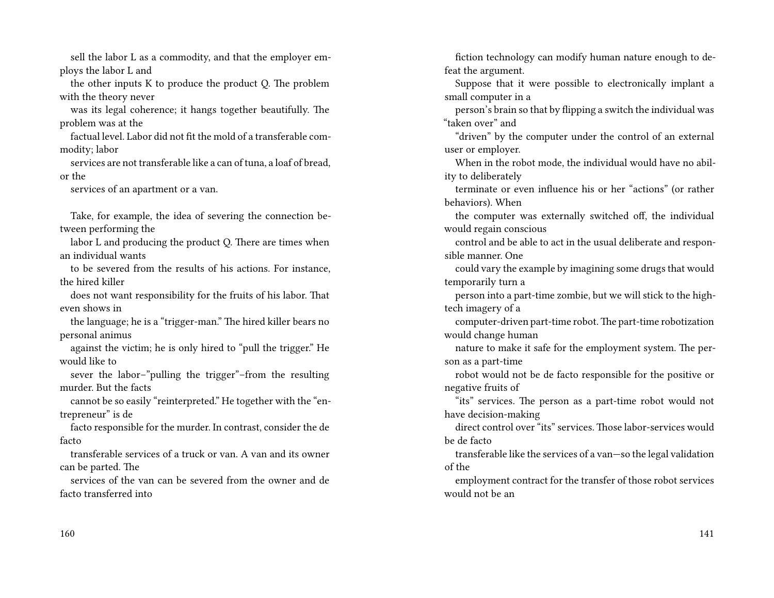sell the labor L as a commodity, and that the employer employs the labor L and

the other inputs K to produce the product Q. The problem with the theory never

was its legal coherence; it hangs together beautifully. The problem was at the

factual level. Labor did not fit the mold of a transferable commodity; labor

services are not transferable like a can of tuna, a loaf of bread, or the

services of an apartment or a van.

Take, for example, the idea of severing the connection between performing the

labor L and producing the product Q. There are times when an individual wants

to be severed from the results of his actions. For instance, the hired killer

does not want responsibility for the fruits of his labor. That even shows in

the language; he is a "trigger-man." The hired killer bears no personal animus

against the victim; he is only hired to "pull the trigger." He would like to

sever the labor–"pulling the trigger"–from the resulting murder. But the facts

cannot be so easily "reinterpreted." He together with the "entrepreneur" is de

facto responsible for the murder. In contrast, consider the de facto

transferable services of a truck or van. A van and its owner can be parted. The

services of the van can be severed from the owner and de facto transferred into

fiction technology can modify human nature enough to defeat the argument.

Suppose that it were possible to electronically implant a small computer in a

person's brain so that by flipping a switch the individual was "taken over" and

"driven" by the computer under the control of an external user or employer.

When in the robot mode, the individual would have no ability to deliberately

terminate or even influence his or her "actions" (or rather behaviors). When

the computer was externally switched off, the individual would regain conscious

control and be able to act in the usual deliberate and responsible manner. One

could vary the example by imagining some drugs that would temporarily turn a

person into a part-time zombie, but we will stick to the hightech imagery of a

computer-driven part-time robot.The part-time robotization would change human

nature to make it safe for the employment system. The person as a part-time

robot would not be de facto responsible for the positive or negative fruits of

"its" services. The person as a part-time robot would not have decision-making

direct control over "its" services. Those labor-services would be de facto

transferable like the services of a van—so the legal validation of the

employment contract for the transfer of those robot services would not be an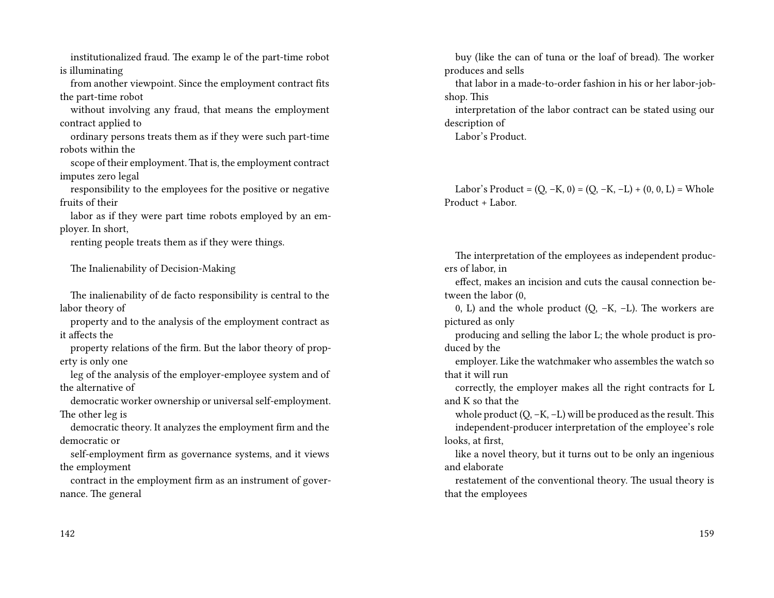institutionalized fraud. The examp le of the part-time robot is illuminating

from another viewpoint. Since the employment contract fits the part-time robot

without involving any fraud, that means the employment contract applied to

ordinary persons treats them as if they were such part-time robots within the

scope of their employment.That is, the employment contract imputes zero legal

responsibility to the employees for the positive or negative fruits of their

labor as if they were part time robots employed by an employer. In short,

renting people treats them as if they were things.

The Inalienability of Decision-Making

The inalienability of de facto responsibility is central to the labor theory of

property and to the analysis of the employment contract as it affects the

property relations of the firm. But the labor theory of property is only one

leg of the analysis of the employer-employee system and of the alternative of

democratic worker ownership or universal self-employment. The other leg is

democratic theory. It analyzes the employment firm and the democratic or

self-employment firm as governance systems, and it views the employment

contract in the employment firm as an instrument of governance. The general

buy (like the can of tuna or the loaf of bread). The worker produces and sells

that labor in a made-to-order fashion in his or her labor-jobshop. This

interpretation of the labor contract can be stated using our description of

Labor's Product.

Labor's Product =  $(Q, -K, 0) = (Q, -K, -L) + (0, 0, L) =$  Whole Product + Labor.

The interpretation of the employees as independent producers of labor, in

effect, makes an incision and cuts the causal connection between the labor (0,

0, L) and the whole product  $(Q, -K, -L)$ . The workers are pictured as only

producing and selling the labor L; the whole product is produced by the

employer. Like the watchmaker who assembles the watch so that it will run

correctly, the employer makes all the right contracts for L and K so that the

whole product (Q, –K, –L) will be produced as the result. This independent-producer interpretation of the employee's role looks, at first,

like a novel theory, but it turns out to be only an ingenious and elaborate

restatement of the conventional theory. The usual theory is that the employees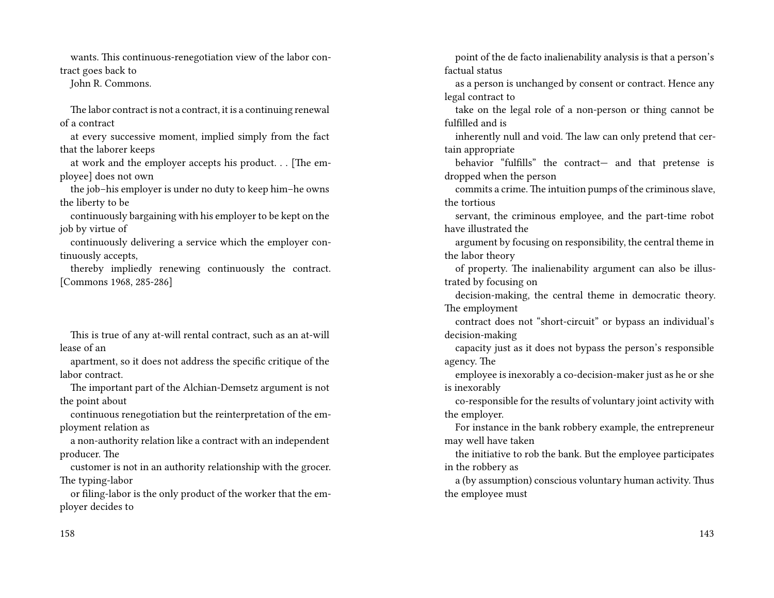wants. This continuous-renegotiation view of the labor contract goes back to

John R. Commons.

The labor contract is not a contract, it is a continuing renewal of a contract

at every successive moment, implied simply from the fact that the laborer keeps

at work and the employer accepts his product. . . [The employee] does not own

the job–his employer is under no duty to keep him–he owns the liberty to be

continuously bargaining with his employer to be kept on the job by virtue of

continuously delivering a service which the employer continuously accepts,

thereby impliedly renewing continuously the contract. [Commons 1968, 285-286]

This is true of any at-will rental contract, such as an at-will lease of an

apartment, so it does not address the specific critique of the labor contract.

The important part of the Alchian-Demsetz argument is not the point about

continuous renegotiation but the reinterpretation of the employment relation as

a non-authority relation like a contract with an independent producer. The

customer is not in an authority relationship with the grocer. The typing-labor

or filing-labor is the only product of the worker that the employer decides to

point of the de facto inalienability analysis is that a person's factual status

as a person is unchanged by consent or contract. Hence any legal contract to

take on the legal role of a non-person or thing cannot be fulfilled and is

inherently null and void. The law can only pretend that certain appropriate

behavior "fulfills" the contract— and that pretense is dropped when the person

commits a crime. The intuition pumps of the criminous slave, the tortious

servant, the criminous employee, and the part-time robot have illustrated the

argument by focusing on responsibility, the central theme in the labor theory

of property. The inalienability argument can also be illustrated by focusing on

decision-making, the central theme in democratic theory. The employment

contract does not "short-circuit" or bypass an individual's decision-making

capacity just as it does not bypass the person's responsible agency. The

employee is inexorably a co-decision-maker just as he or she is inexorably

co-responsible for the results of voluntary joint activity with the employer.

For instance in the bank robbery example, the entrepreneur may well have taken

the initiative to rob the bank. But the employee participates in the robbery as

a (by assumption) conscious voluntary human activity. Thus the employee must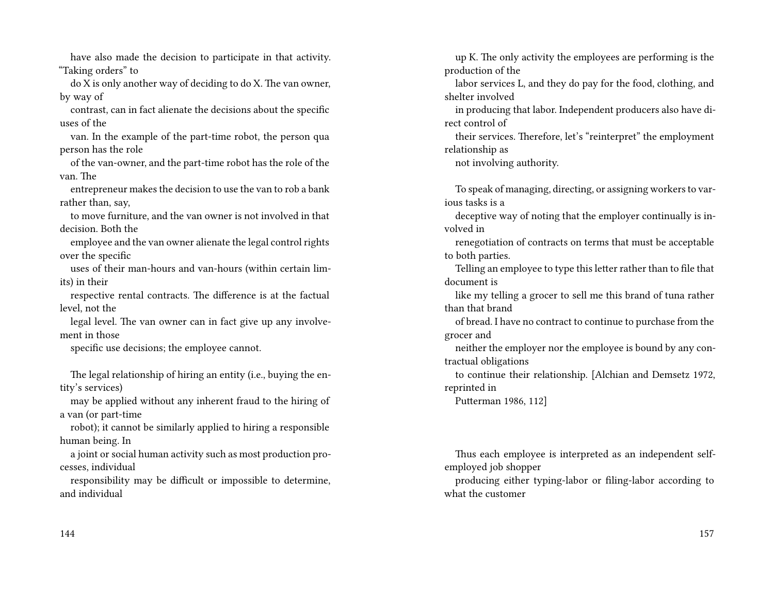have also made the decision to participate in that activity. "Taking orders" to

do X is only another way of deciding to do X. The van owner, by way of

contrast, can in fact alienate the decisions about the specific uses of the

van. In the example of the part-time robot, the person qua person has the role

of the van-owner, and the part-time robot has the role of the van. The

entrepreneur makes the decision to use the van to rob a bank rather than, say,

to move furniture, and the van owner is not involved in that decision. Both the

employee and the van owner alienate the legal control rights over the specific

uses of their man-hours and van-hours (within certain limits) in their

respective rental contracts. The difference is at the factual level, not the

legal level. The van owner can in fact give up any involvement in those

specific use decisions; the employee cannot.

The legal relationship of hiring an entity (i.e., buying the entity's services)

may be applied without any inherent fraud to the hiring of a van (or part-time

robot); it cannot be similarly applied to hiring a responsible human being. In

a joint or social human activity such as most production processes, individual

responsibility may be difficult or impossible to determine, and individual

up K. The only activity the employees are performing is the production of the

labor services L, and they do pay for the food, clothing, and shelter involved

in producing that labor. Independent producers also have direct control of

their services. Therefore, let's "reinterpret" the employment relationship as

not involving authority.

To speak of managing, directing, or assigning workers to various tasks is a

deceptive way of noting that the employer continually is involved in

renegotiation of contracts on terms that must be acceptable to both parties.

Telling an employee to type this letter rather than to file that document is

like my telling a grocer to sell me this brand of tuna rather than that brand

of bread. I have no contract to continue to purchase from the grocer and

neither the employer nor the employee is bound by any contractual obligations

to continue their relationship. [Alchian and Demsetz 1972, reprinted in

Putterman 1986, 112]

Thus each employee is interpreted as an independent selfemployed job shopper

producing either typing-labor or filing-labor according to what the customer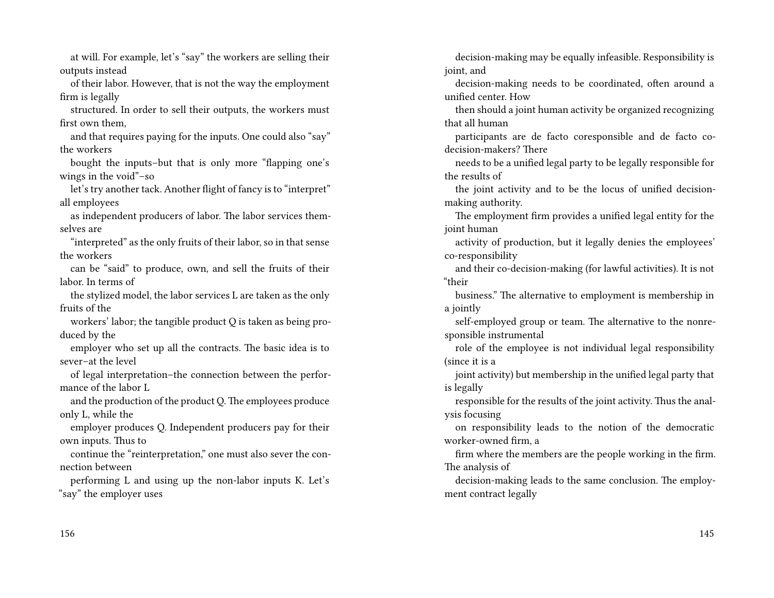at will. For example, let's "say" the workers are selling their outputs instead

of their labor. However, that is not the way the employment firm is legally

structured. In order to sell their outputs, the workers must first own them,

and that requires paying for the inputs. One could also "say" the workers

bought the inputs–but that is only more "flapping one's wings in the void"–so

let's try another tack. Another flight of fancy is to "interpret" all employees

as independent producers of labor. The labor services themselves are

"interpreted" as the only fruits of their labor, so in that sense the workers

can be "said" to produce, own, and sell the fruits of their labor. In terms of

the stylized model, the labor services L are taken as the only fruits of the

workers' labor; the tangible product Q is taken as being produced by the

employer who set up all the contracts. The basic idea is to sever–at the level

of legal interpretation–the connection between the performance of the labor L

and the production of the product Q. The employees produce only L, while the

employer produces Q. Independent producers pay for their own inputs. Thus to

continue the "reinterpretation," one must also sever the connection between

performing L and using up the non-labor inputs K. Let's "say" the employer uses

decision-making may be equally infeasible. Responsibility is joint, and

decision-making needs to be coordinated, often around a unified center. How

then should a joint human activity be organized recognizing that all human

participants are de facto coresponsible and de facto codecision-makers? There

needs to be a unified legal party to be legally responsible for the results of

the joint activity and to be the locus of unified decisionmaking authority.

The employment firm provides a unified legal entity for the joint human

activity of production, but it legally denies the employees' co-responsibility

and their co-decision-making (for lawful activities). It is not "their

business." The alternative to employment is membership in a jointly

self-employed group or team. The alternative to the nonresponsible instrumental

role of the employee is not individual legal responsibility (since it is a

joint activity) but membership in the unified legal party that is legally

responsible for the results of the joint activity. Thus the analysis focusing

on responsibility leads to the notion of the democratic worker-owned firm, a

firm where the members are the people working in the firm. The analysis of

decision-making leads to the same conclusion. The employment contract legally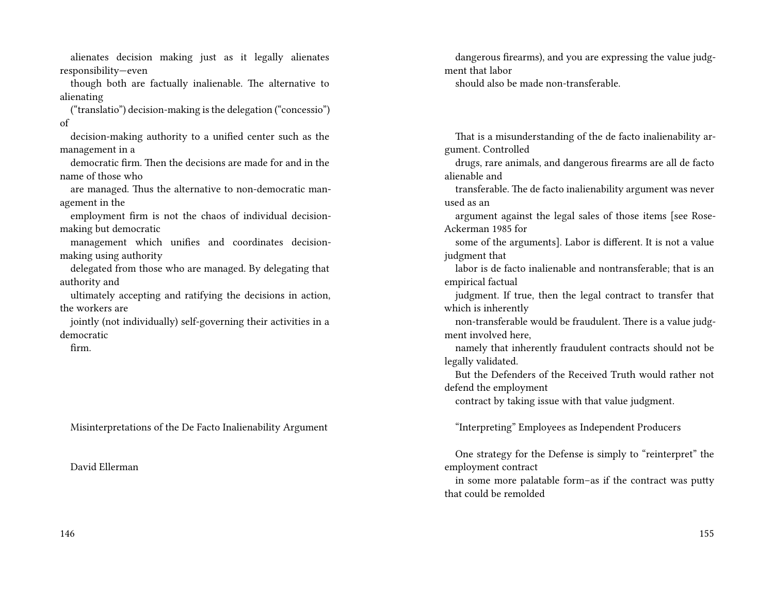alienates decision making just as it legally alienates responsibility—even

though both are factually inalienable. The alternative to alienating

("translatio") decision-making is the delegation ("concessio") of

decision-making authority to a unified center such as the management in a

democratic firm. Then the decisions are made for and in the name of those who

are managed. Thus the alternative to non-democratic management in the

employment firm is not the chaos of individual decisionmaking but democratic

management which unifies and coordinates decisionmaking using authority

delegated from those who are managed. By delegating that authority and

ultimately accepting and ratifying the decisions in action, the workers are

jointly (not individually) self-governing their activities in a democratic

firm.

Misinterpretations of the De Facto Inalienability Argument

David Ellerman

dangerous firearms), and you are expressing the value judgment that labor

should also be made non-transferable.

That is a misunderstanding of the de facto inalienability argument. Controlled

drugs, rare animals, and dangerous firearms are all de facto alienable and

transferable. The de facto inalienability argument was never used as an

argument against the legal sales of those items [see Rose-Ackerman 1985 for

some of the arguments]. Labor is different. It is not a value judgment that

labor is de facto inalienable and nontransferable; that is an empirical factual

judgment. If true, then the legal contract to transfer that which is inherently

non-transferable would be fraudulent. There is a value judgment involved here,

namely that inherently fraudulent contracts should not be legally validated.

But the Defenders of the Received Truth would rather not defend the employment

contract by taking issue with that value judgment.

"Interpreting" Employees as Independent Producers

One strategy for the Defense is simply to "reinterpret" the employment contract

in some more palatable form–as if the contract was putty that could be remolded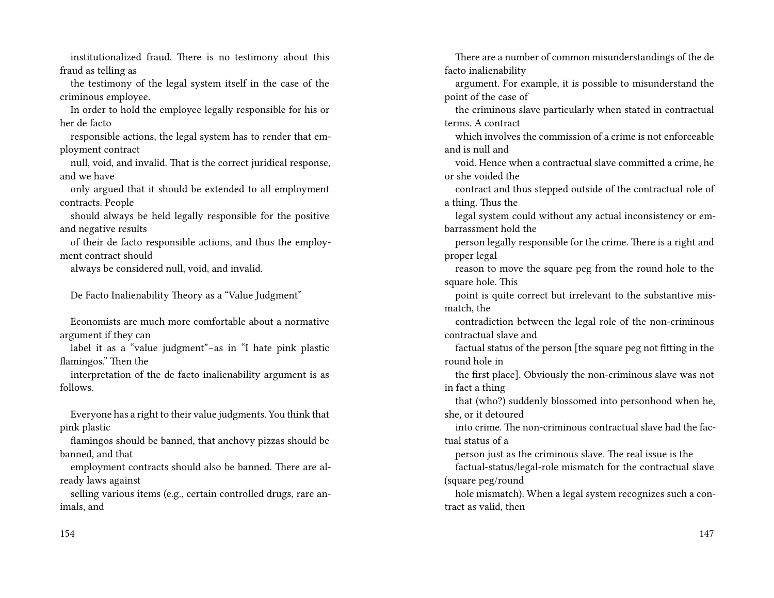institutionalized fraud. There is no testimony about this fraud as telling as

the testimony of the legal system itself in the case of the criminous employee.

In order to hold the employee legally responsible for his or her de facto

responsible actions, the legal system has to render that employment contract

null, void, and invalid. That is the correct juridical response, and we have

only argued that it should be extended to all employment contracts. People

should always be held legally responsible for the positive and negative results

of their de facto responsible actions, and thus the employment contract should

always be considered null, void, and invalid.

De Facto Inalienability Theory as a "Value Judgment"

Economists are much more comfortable about a normative argument if they can

label it as a "value judgment"–as in "I hate pink plastic flamingos." Then the

interpretation of the de facto inalienability argument is as follows.

Everyone has a right to their value judgments. You think that pink plastic

flamingos should be banned, that anchovy pizzas should be banned, and that

employment contracts should also be banned. There are already laws against

selling various items (e.g., certain controlled drugs, rare animals, and

There are a number of common misunderstandings of the de facto inalienability

argument. For example, it is possible to misunderstand the point of the case of

the criminous slave particularly when stated in contractual terms. A contract

which involves the commission of a crime is not enforceable and is null and

void. Hence when a contractual slave committed a crime, he or she voided the

contract and thus stepped outside of the contractual role of a thing. Thus the

legal system could without any actual inconsistency or embarrassment hold the

person legally responsible for the crime. There is a right and proper legal

reason to move the square peg from the round hole to the square hole. This

point is quite correct but irrelevant to the substantive mismatch, the

contradiction between the legal role of the non-criminous contractual slave and

factual status of the person [the square peg not fitting in the round hole in

the first place]. Obviously the non-criminous slave was not in fact a thing

that (who?) suddenly blossomed into personhood when he, she, or it detoured

into crime. The non-criminous contractual slave had the factual status of a

person just as the criminous slave. The real issue is the

factual-status/legal-role mismatch for the contractual slave (square peg/round

hole mismatch). When a legal system recognizes such a contract as valid, then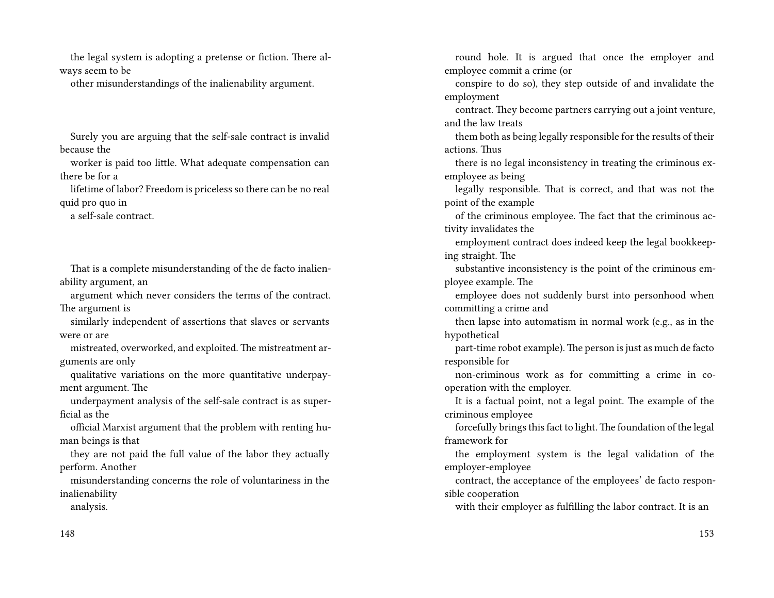the legal system is adopting a pretense or fiction. There always seem to be

other misunderstandings of the inalienability argument.

Surely you are arguing that the self-sale contract is invalid because the

worker is paid too little. What adequate compensation can there be for a

lifetime of labor? Freedom is priceless so there can be no real quid pro quo in

a self-sale contract.

That is a complete misunderstanding of the de facto inalienability argument, an

argument which never considers the terms of the contract. The argument is

similarly independent of assertions that slaves or servants were or are

mistreated, overworked, and exploited. The mistreatment arguments are only

qualitative variations on the more quantitative underpayment argument. The

underpayment analysis of the self-sale contract is as superficial as the

official Marxist argument that the problem with renting human beings is that

they are not paid the full value of the labor they actually perform. Another

misunderstanding concerns the role of voluntariness in the inalienability

analysis.

round hole. It is argued that once the employer and employee commit a crime (or

conspire to do so), they step outside of and invalidate the employment

contract. They become partners carrying out a joint venture, and the law treats

them both as being legally responsible for the results of their actions. Thus

there is no legal inconsistency in treating the criminous exemployee as being

legally responsible. That is correct, and that was not the point of the example

of the criminous employee. The fact that the criminous activity invalidates the

employment contract does indeed keep the legal bookkeeping straight. The

substantive inconsistency is the point of the criminous employee example. The

employee does not suddenly burst into personhood when committing a crime and

then lapse into automatism in normal work (e.g., as in the hypothetical

part-time robot example). The person is just as much de facto responsible for

non-criminous work as for committing a crime in cooperation with the employer.

It is a factual point, not a legal point. The example of the criminous employee

forcefully brings this fact to light. The foundation of the legal framework for

the employment system is the legal validation of the employer-employee

contract, the acceptance of the employees' de facto responsible cooperation

with their employer as fulfilling the labor contract. It is an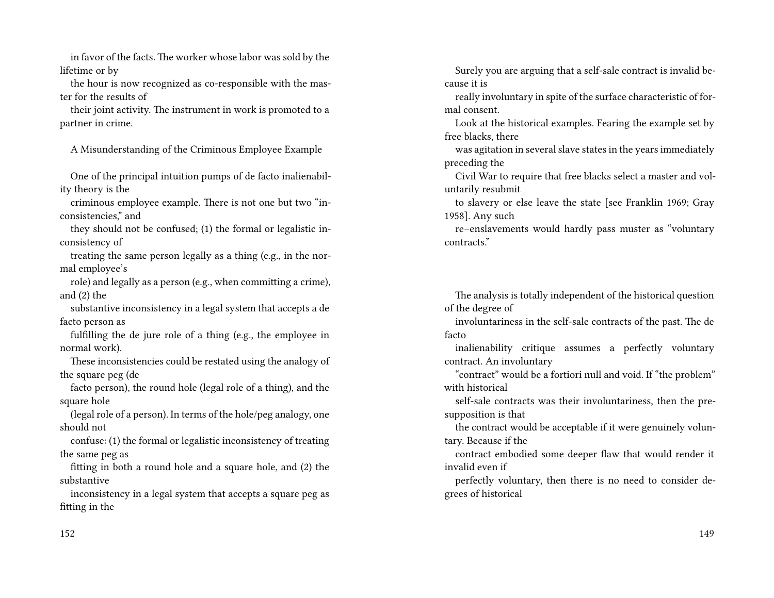in favor of the facts. The worker whose labor was sold by the lifetime or by

the hour is now recognized as co-responsible with the master for the results of

their joint activity. The instrument in work is promoted to a partner in crime.

A Misunderstanding of the Criminous Employee Example

One of the principal intuition pumps of de facto inalienability theory is the

criminous employee example. There is not one but two "inconsistencies," and

they should not be confused; (1) the formal or legalistic inconsistency of

treating the same person legally as a thing (e.g., in the normal employee's

role) and legally as a person (e.g., when committing a crime), and (2) the

substantive inconsistency in a legal system that accepts a de facto person as

fulfilling the de jure role of a thing (e.g., the employee in normal work).

These inconsistencies could be restated using the analogy of the square peg (de

facto person), the round hole (legal role of a thing), and the square hole

(legal role of a person). In terms of the hole/peg analogy, one should not

confuse: (1) the formal or legalistic inconsistency of treating the same peg as

fitting in both a round hole and a square hole, and (2) the substantive

inconsistency in a legal system that accepts a square peg as fitting in the

Surely you are arguing that a self-sale contract is invalid because it is

really involuntary in spite of the surface characteristic of formal consent.

Look at the historical examples. Fearing the example set by free blacks, there

was agitation in several slave states in the years immediately preceding the

Civil War to require that free blacks select a master and voluntarily resubmit

to slavery or else leave the state [see Franklin 1969; Gray 1958]. Any such

re–enslavements would hardly pass muster as "voluntary contracts."

The analysis is totally independent of the historical question of the degree of

involuntariness in the self-sale contracts of the past. The de facto

inalienability critique assumes a perfectly voluntary contract. An involuntary

"contract" would be a fortiori null and void. If "the problem" with historical

self-sale contracts was their involuntariness, then the presupposition is that

the contract would be acceptable if it were genuinely voluntary. Because if the

contract embodied some deeper flaw that would render it invalid even if

perfectly voluntary, then there is no need to consider degrees of historical